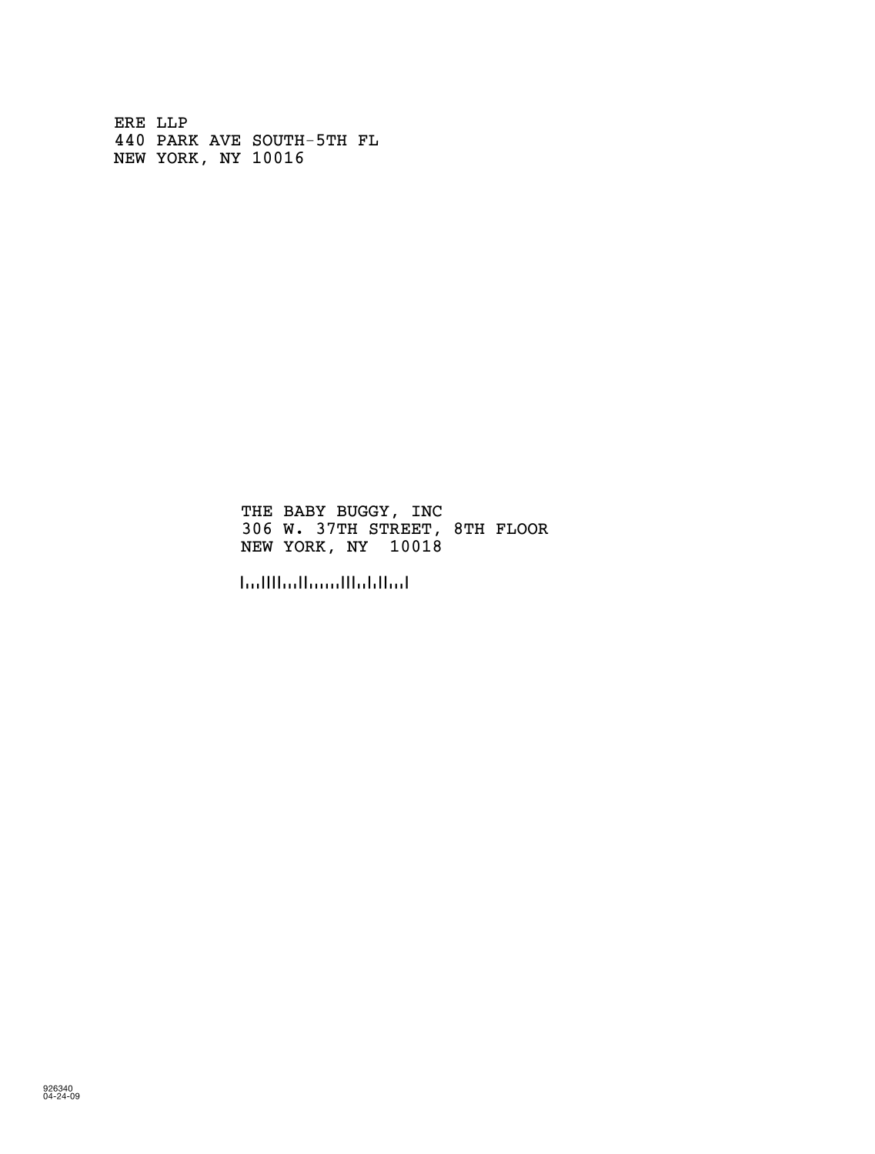ERE LLP 440 PARK AVE SOUTH-5TH FL NEW YORK, NY 10016

> THE BABY BUGGY, INC 306 W. 37TH STREET, 8TH FLOOR NEW YORK, NY 10018

!100180!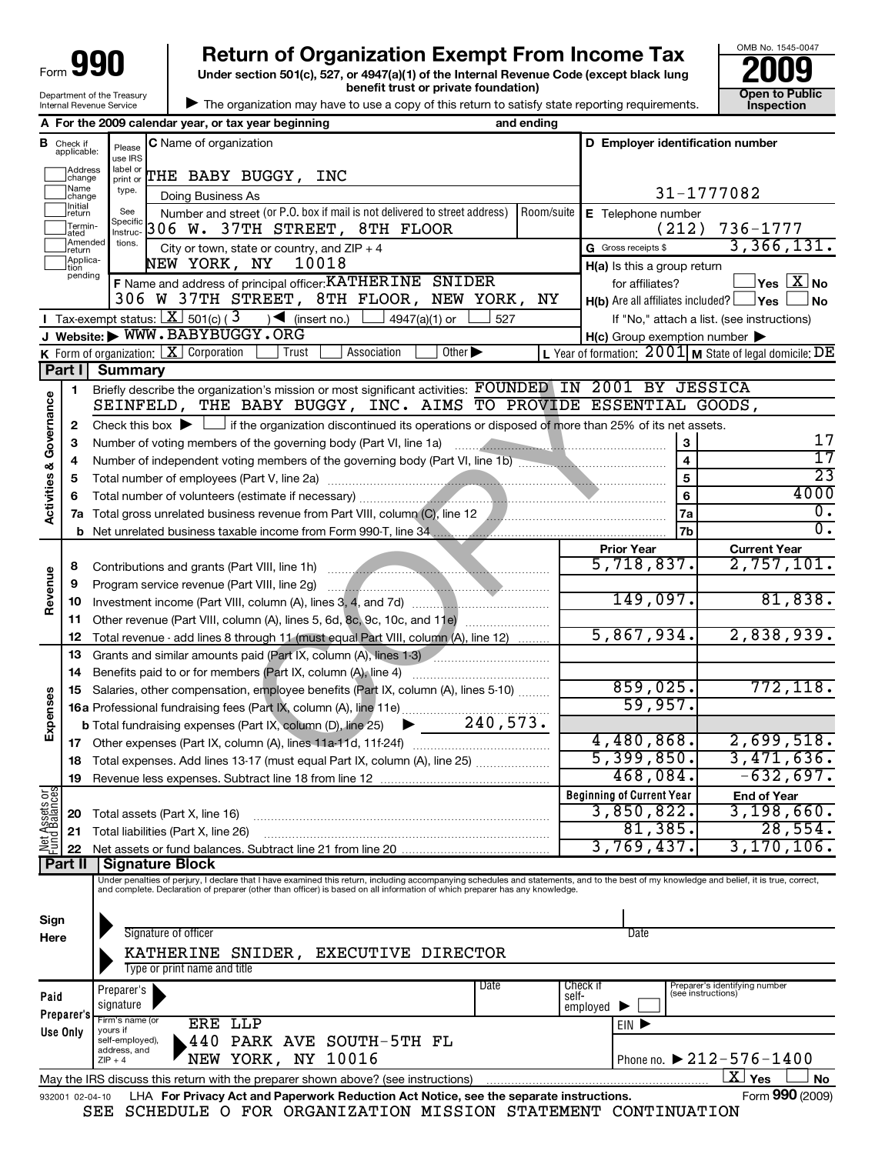| Form | 191                                                    |
|------|--------------------------------------------------------|
|      | Department of the Treasury<br>Internal Revenue Service |

# **990** Return of Organization Exempt From Income Tax  $\frac{6008 \text{ No. }1545-004}{2009}$

**Under section 501(c), 527, or 4947(a)(1) of the Internal Revenue Code (except black lung benefit trust or private foundation) Construction Construction Open to Public** 



| The organization may have to use a copy of this return to satisfy state reporting requirements.

|                                |                               | and ending<br>A For the 2009 calendar year, or tax year beginning                                                                                                                                                              |                                                           |                                                     |
|--------------------------------|-------------------------------|--------------------------------------------------------------------------------------------------------------------------------------------------------------------------------------------------------------------------------|-----------------------------------------------------------|-----------------------------------------------------|
|                                | <b>B</b> Check if applicable: | C Name of organization<br>Please<br>use IRS                                                                                                                                                                                    | D Employer identification number                          |                                                     |
|                                | Address<br>change             | label or<br>THE BABY BUGGY, INC<br>print or                                                                                                                                                                                    |                                                           |                                                     |
|                                | Name<br>change                | type.<br>Doing Business As                                                                                                                                                                                                     |                                                           | 31-1777082                                          |
|                                | Initial<br>return             | Number and street (or P.O. box if mail is not delivered to street address)<br>Room/suite<br>See                                                                                                                                | E Telephone number                                        |                                                     |
|                                | Termin-<br>ated               | Specific<br>SPECING 306 W. 37TH STREET, 8TH FLOOR                                                                                                                                                                              |                                                           | $(212)$ 736-1777                                    |
|                                | Amended<br>return             | tions.<br>City or town, state or country, and $ZIP + 4$                                                                                                                                                                        | G Gross receipts \$                                       | 3,366,131.                                          |
|                                | Applica-<br>tion<br>pending   | 10018<br>NEW YORK, NY                                                                                                                                                                                                          | H(a) Is this a group return                               |                                                     |
|                                |                               | F Name and address of principal officer: KATHERINE SNIDER                                                                                                                                                                      | for affiliates?                                           | $\exists$ Yes $\boxed{\text{X}}$ No                 |
|                                |                               | 306 W 37TH STREET, 8TH FLOOR, NEW YORK, NY                                                                                                                                                                                     | $H(b)$ Are all affiliates included? $\Box$ Yes            | ⊿ No                                                |
|                                |                               | <b>I</b> Tax-exempt status: $\boxed{\mathbf{X}}$ 501(c) ( 3 ) ◀ (insert no.) $\boxed{\phantom{0}}$ 4947(a)(1) or<br>527                                                                                                        |                                                           | If "No," attach a list. (see instructions)          |
|                                |                               | J Website: WWW.BABYBUGGY.ORG                                                                                                                                                                                                   | $H(c)$ Group exemption number $\blacktriangleright$       |                                                     |
|                                | Part I                        | <b>K</b> Form of organization: $X$ Corporation<br>Other $\blacktriangleright$<br>Trust<br>Association<br><b>Summary</b>                                                                                                        | L Year of formation: $2001$ M State of legal domicile: DE |                                                     |
|                                |                               | Briefly describe the organization's mission or most significant activities: FOUNDED IN 2001 BY JESSICA                                                                                                                         |                                                           |                                                     |
|                                | 1                             | SEINFELD, THE BABY BUGGY, INC. AIMS TO PROVIDE ESSENTIAL GOODS,                                                                                                                                                                |                                                           |                                                     |
| Governance                     | 2                             | Check this box $\blacktriangleright$ $\Box$ if the organization discontinued its operations or disposed of more than 25% of its net assets.                                                                                    |                                                           |                                                     |
|                                | 3                             |                                                                                                                                                                                                                                | $\mathbf{3}$                                              | 17                                                  |
|                                | 4                             |                                                                                                                                                                                                                                | $\overline{\mathbf{4}}$                                   | 17                                                  |
| య                              | 5                             | Total number of employees (Part V, line 2a) manufactured and contact the control of the control of the control of the control of the control of the control of the control of the control of the control of the control of the | 5                                                         | $\overline{23}$                                     |
|                                | 6                             |                                                                                                                                                                                                                                | 6                                                         | 4000                                                |
| Activities                     | 7a                            |                                                                                                                                                                                                                                | 7a                                                        | $\overline{0}$ .                                    |
|                                |                               |                                                                                                                                                                                                                                | 7b                                                        | $\overline{0}$ .                                    |
|                                |                               |                                                                                                                                                                                                                                | <b>Prior Year</b>                                         | <b>Current Year</b>                                 |
|                                | 8                             |                                                                                                                                                                                                                                | 5,718,837.                                                | 2,757,101.                                          |
| Revenue                        | 9                             | Program service revenue (Part VIII, line 2g)<br><u> 1999 - Anno Barrison, Amerikaansk politiker (</u>                                                                                                                          |                                                           |                                                     |
|                                | 10                            |                                                                                                                                                                                                                                | 149,097.                                                  | 81,838.                                             |
|                                | 11                            |                                                                                                                                                                                                                                |                                                           |                                                     |
|                                | 12                            | Total revenue - add lines 8 through 11 (must equal Part VIII, column (A), line 12)                                                                                                                                             | 5,867,934.                                                | 2,838,939.                                          |
|                                | 13                            | Grants and similar amounts paid (Part IX, column (A), lines 1-3)                                                                                                                                                               |                                                           |                                                     |
|                                | 14                            |                                                                                                                                                                                                                                |                                                           |                                                     |
|                                | 15                            | Salaries, other compensation, employee benefits (Part IX, column (A), lines 5-10)                                                                                                                                              | 859,025.                                                  | 772, 118.                                           |
| Expenses                       |                               | 16a Professional fundraising fees (Part IX, column (A), line 11e)                                                                                                                                                              | 59,957.                                                   |                                                     |
|                                |                               | <b>b</b> Total fundraising expenses (Part IX, column (D), line 25) $\rightarrow$ 240, 573.                                                                                                                                     |                                                           |                                                     |
|                                |                               |                                                                                                                                                                                                                                | 4,480,868.                                                | 2,699,518.                                          |
|                                |                               | 18 Total expenses. Add lines 13-17 (must equal Part IX, column (A), line 25)                                                                                                                                                   | 5,399,850.                                                | 3,471,636.                                          |
|                                | 19                            | Revenue less expenses. Subtract line 18 from line 12                                                                                                                                                                           | 468,084.                                                  | $-632,697.$                                         |
|                                |                               |                                                                                                                                                                                                                                | <b>Beginning of Current Year</b>                          | <b>End of Year</b>                                  |
|                                | 20                            | Total assets (Part X, line 16)                                                                                                                                                                                                 | 3,850,822.                                                | 3,198,660.                                          |
| Net Assets or<br>Fund Balances | 21                            | Total liabilities (Part X, line 26)                                                                                                                                                                                            | 81,385.                                                   | 28,554.                                             |
|                                | 22<br>Part II                 | <b>Signature Block</b>                                                                                                                                                                                                         | 3,769,437.                                                | 3,170,106.                                          |
|                                |                               | Under penalties of perjury, I declare that I have examined this return, including accompanying schedules and statements, and to the best of my knowledge and belief, it is true, correct,                                      |                                                           |                                                     |
|                                |                               | and complete. Declaration of preparer (other than officer) is based on all information of which preparer has any knowledge.                                                                                                    |                                                           |                                                     |
|                                |                               |                                                                                                                                                                                                                                |                                                           |                                                     |
| Sign                           |                               | Signature of officer                                                                                                                                                                                                           | Date                                                      |                                                     |
| Here                           |                               | KATHERINE SNIDER, EXECUTIVE DIRECTOR                                                                                                                                                                                           |                                                           |                                                     |
|                                |                               | Type or print name and title                                                                                                                                                                                                   |                                                           |                                                     |
|                                |                               | Date<br>Preparer's                                                                                                                                                                                                             | Check if                                                  | Preparer's identifying number<br>(see instructions) |
| Paid                           |                               | signature                                                                                                                                                                                                                      | self-<br>employed                                         |                                                     |
|                                | Preparer's                    | Firm's name (or<br>ERE LLP<br>yours if                                                                                                                                                                                         | EIN D                                                     |                                                     |
|                                | Use Only                      | 440 PARK AVE SOUTH-5TH FL<br>self-employed),                                                                                                                                                                                   |                                                           |                                                     |
|                                |                               | address, and<br>NY 10016<br>NEW YORK,<br>$ZIP + 4$                                                                                                                                                                             |                                                           | Phone no. ▶ 212-576-1400                            |
|                                |                               | May the IRS discuss this return with the preparer shown above? (see instructions)                                                                                                                                              |                                                           | $\overline{\text{X}}$ Yes<br>No                     |
|                                | 932001 02-04-10               | LHA For Privacy Act and Paperwork Reduction Act Notice, see the separate instructions.                                                                                                                                         |                                                           | Form 990 (2009)                                     |
|                                |                               | SEE SCHEDULE O FOR ORGANIZATION MISSION STATEMENT CONTINUATION                                                                                                                                                                 |                                                           |                                                     |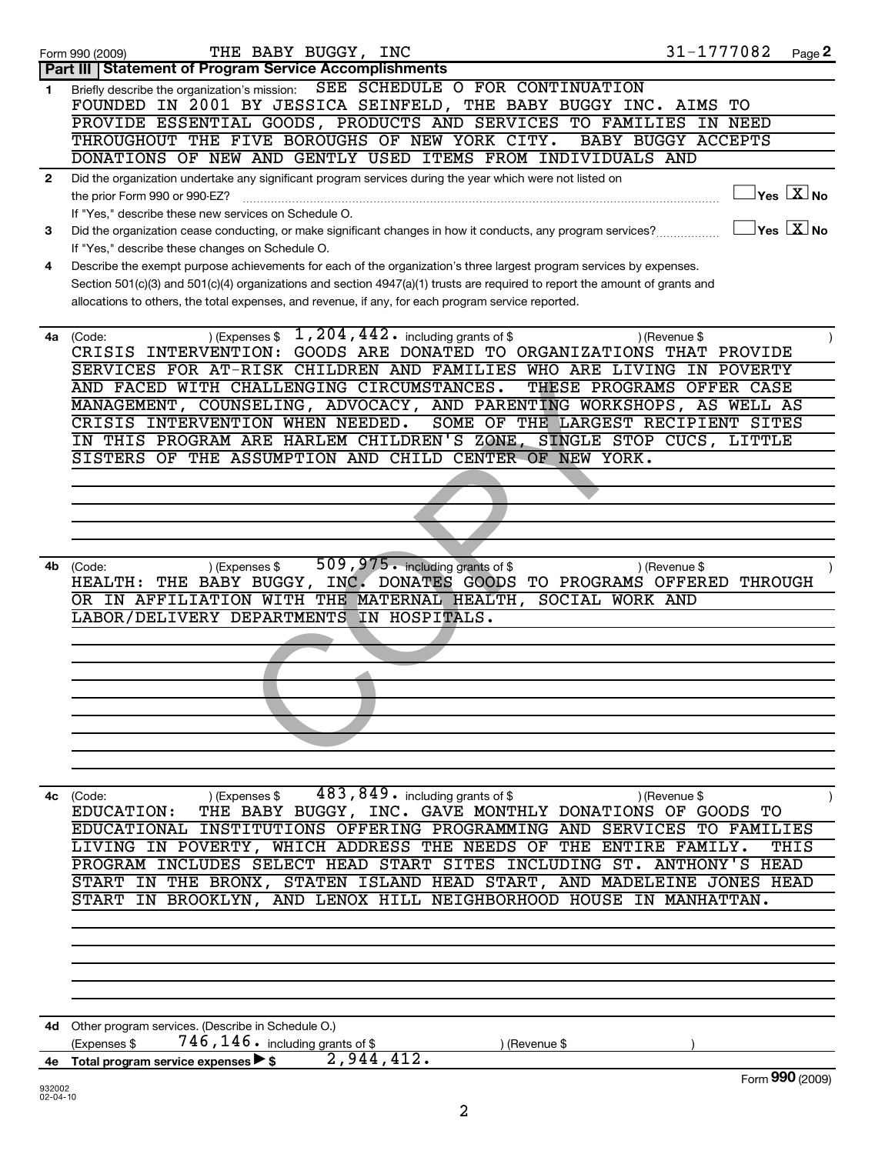|              | 31-1777082<br>THE BABY BUGGY, INC<br>Page 2<br>Form 990 (2009)                                                                                   |
|--------------|--------------------------------------------------------------------------------------------------------------------------------------------------|
|              | <b>Part III   Statement of Program Service Accomplishments</b>                                                                                   |
| 1            | Briefly describe the organization's mission: SEE SCHEDULE O FOR CONTINUATION<br>FOUNDED IN 2001 BY JESSICA SEINFELD, THE BABY BUGGY INC. AIMS TO |
|              | PROVIDE ESSENTIAL GOODS, PRODUCTS AND SERVICES TO FAMILIES IN NEED                                                                               |
|              | THROUGHOUT THE FIVE BOROUGHS OF NEW YORK CITY.<br>BABY BUGGY ACCEPTS                                                                             |
|              | DONATIONS OF NEW AND GENTLY USED ITEMS FROM INDIVIDUALS AND                                                                                      |
| $\mathbf{2}$ | Did the organization undertake any significant program services during the year which were not listed on                                         |
|              | $\exists$ Yes $\boxed{\text{X}}$ No<br>the prior Form 990 or 990-EZ?                                                                             |
|              | If "Yes," describe these new services on Schedule O.                                                                                             |
| 3            | $\Box$ Yes $\boxed{X}$ No<br>Did the organization cease conducting, or make significant changes in how it conducts, any program services?        |
|              | If "Yes," describe these changes on Schedule O.                                                                                                  |
| 4            | Describe the exempt purpose achievements for each of the organization's three largest program services by expenses.                              |
|              | Section 501(c)(3) and 501(c)(4) organizations and section 4947(a)(1) trusts are required to report the amount of grants and                      |
|              |                                                                                                                                                  |
|              | allocations to others, the total expenses, and revenue, if any, for each program service reported.                                               |
|              | $(1, 204, 442)$ including grants of \$                                                                                                           |
| 4a l         | (Code:<br>) (Revenue \$<br>CRISIS INTERVENTION: GOODS ARE DONATED TO ORGANIZATIONS THAT PROVIDE                                                  |
|              | SERVICES FOR AT-RISK CHILDREN AND FAMILIES WHO ARE LIVING IN POVERTY                                                                             |
|              | AND FACED WITH CHALLENGING CIRCUMSTANCES.<br>THESE PROGRAMS OFFER CASE                                                                           |
|              |                                                                                                                                                  |
|              | MANAGEMENT, COUNSELING, ADVOCACY, AND PARENTING WORKSHOPS, AS WELL AS<br>CRISIS INTERVENTION WHEN NEEDED. SOME OF THE LARGEST RECIPIENT SITES    |
|              |                                                                                                                                                  |
|              | IN THIS PROGRAM ARE HARLEM CHILDREN'S ZONE, SINGLE STOP CUCS, LITTLE                                                                             |
|              | SISTERS OF THE ASSUMPTION AND CHILD CENTER OF NEW YORK.                                                                                          |
|              |                                                                                                                                                  |
|              |                                                                                                                                                  |
|              |                                                                                                                                                  |
|              |                                                                                                                                                  |
|              | 509, 975. including grants of \$                                                                                                                 |
| 4b.          | ) (Expenses \$<br>) (Revenue \$<br>(Code:<br>HEALTH: THE BABY BUGGY, INC. DONATES GOODS TO PROGRAMS OFFERED THROUGH                              |
|              | OR IN AFFILIATION WITH THE MATERNAL HEALTH,<br>SOCIAL WORK AND                                                                                   |
|              | LABOR/DELIVERY DEPARTMENTS IN HOSPITALS.                                                                                                         |
|              |                                                                                                                                                  |
|              |                                                                                                                                                  |
|              |                                                                                                                                                  |
|              |                                                                                                                                                  |
|              |                                                                                                                                                  |
|              |                                                                                                                                                  |
|              |                                                                                                                                                  |
|              |                                                                                                                                                  |
|              |                                                                                                                                                  |
| 4с           | $483, 849$ · including grants of \$<br>) (Expenses \$<br>) (Revenue \$<br>(Code:                                                                 |
|              | THE BABY BUGGY, INC. GAVE MONTHLY DONATIONS OF GOODS TO<br>EDUCATION:                                                                            |
|              | EDUCATIONAL INSTITUTIONS OFFERING PROGRAMMING AND SERVICES TO FAMILIES                                                                           |
|              | LIVING IN POVERTY, WHICH ADDRESS THE NEEDS OF THE ENTIRE FAMILY.<br>THIS                                                                         |
|              | PROGRAM INCLUDES SELECT HEAD START SITES INCLUDING ST. ANTHONY'S HEAD                                                                            |
|              | START IN THE BRONX, STATEN ISLAND HEAD START, AND MADELEINE JONES HEAD                                                                           |
|              | IN BROOKLYN, AND LENOX HILL NEIGHBORHOOD HOUSE IN MANHATTAN.<br>START                                                                            |
|              |                                                                                                                                                  |
|              |                                                                                                                                                  |
|              |                                                                                                                                                  |
|              |                                                                                                                                                  |
|              |                                                                                                                                                  |
|              |                                                                                                                                                  |
| 4d           | Other program services. (Describe in Schedule O.)                                                                                                |
|              | $746$ , $146$ . including grants of \$<br>(Expenses \$<br>) (Revenue \$                                                                          |
| 4е —         | 2,944,412.<br>Total program service expenses > \$                                                                                                |
| 932002       | Form 990 (2009)                                                                                                                                  |
|              |                                                                                                                                                  |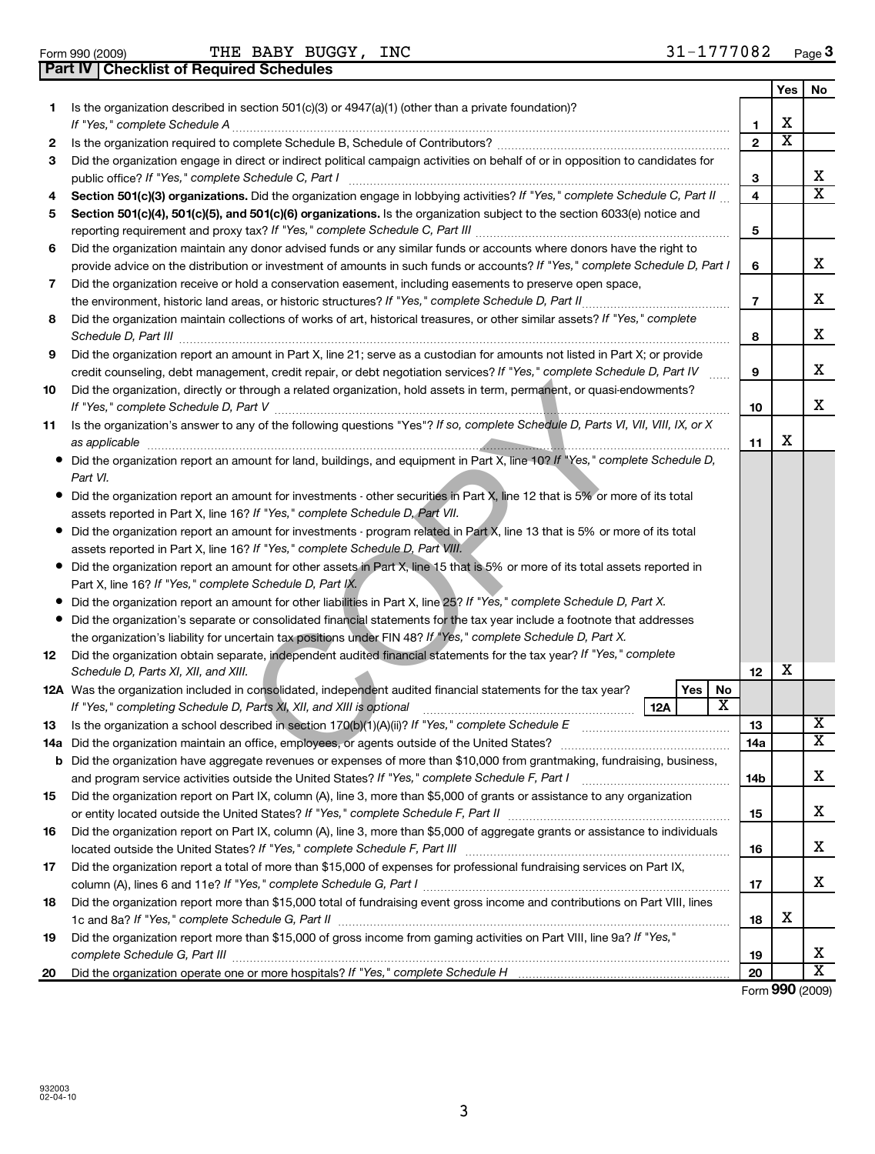|           | THE BABY BUGGY,<br>INC<br>Form 990 (2009)                                                                                                                                                                                                                                                                                                                          | 31-1777082     |                |                              | Page                    |
|-----------|--------------------------------------------------------------------------------------------------------------------------------------------------------------------------------------------------------------------------------------------------------------------------------------------------------------------------------------------------------------------|----------------|----------------|------------------------------|-------------------------|
|           | <b>Part IV   Checklist of Required Schedules</b>                                                                                                                                                                                                                                                                                                                   |                |                |                              |                         |
|           |                                                                                                                                                                                                                                                                                                                                                                    |                |                | Yes   No                     |                         |
| 1.        | Is the organization described in section 501(c)(3) or $4947(a)(1)$ (other than a private foundation)?                                                                                                                                                                                                                                                              |                |                |                              |                         |
|           | If "Yes," complete Schedule A                                                                                                                                                                                                                                                                                                                                      |                | 1              | х<br>$\overline{\textbf{x}}$ |                         |
| 2         |                                                                                                                                                                                                                                                                                                                                                                    |                | $\overline{2}$ |                              |                         |
| З         | Did the organization engage in direct or indirect political campaign activities on behalf of or in opposition to candidates for                                                                                                                                                                                                                                    |                |                |                              | х                       |
|           | public office? If "Yes," complete Schedule C, Part I                                                                                                                                                                                                                                                                                                               |                | 3              |                              | $\overline{\textbf{x}}$ |
| 4         | Section 501(c)(3) organizations. Did the organization engage in lobbying activities? If "Yes," complete Schedule C, Part II                                                                                                                                                                                                                                        |                | 4              |                              |                         |
| 5         | Section 501(c)(4), 501(c)(5), and 501(c)(6) organizations. Is the organization subject to the section 6033(e) notice and                                                                                                                                                                                                                                           |                |                |                              |                         |
|           |                                                                                                                                                                                                                                                                                                                                                                    |                | 5              |                              |                         |
| 6         | Did the organization maintain any donor advised funds or any similar funds or accounts where donors have the right to                                                                                                                                                                                                                                              |                | 6              |                              | X                       |
|           | provide advice on the distribution or investment of amounts in such funds or accounts? If "Yes," complete Schedule D, Part I                                                                                                                                                                                                                                       |                |                |                              |                         |
| 7         | Did the organization receive or hold a conservation easement, including easements to preserve open space,<br>the environment, historic land areas, or historic structures? If "Yes," complete Schedule D, Part II                                                                                                                                                  |                | $\overline{7}$ |                              | Χ                       |
| 8         | Did the organization maintain collections of works of art, historical treasures, or other similar assets? If "Yes," complete                                                                                                                                                                                                                                       |                |                |                              |                         |
|           |                                                                                                                                                                                                                                                                                                                                                                    |                | 8              |                              | X                       |
| 9         | Schedule D, Part III <b>Marting Constructs</b> and the construction of the construction of the construction of the construction of the construction of the construction of the construction of the construction of the construction<br>Did the organization report an amount in Part X, line 21; serve as a custodian for amounts not listed in Part X; or provide |                |                |                              |                         |
|           | credit counseling, debt management, credit repair, or debt negotiation services? If "Yes," complete Schedule D, Part IV                                                                                                                                                                                                                                            |                | 9              |                              | X                       |
| 10        | Did the organization, directly or through a related organization, hold assets in term, permanent, or quasi-endowments?                                                                                                                                                                                                                                             |                |                |                              |                         |
|           |                                                                                                                                                                                                                                                                                                                                                                    |                | 10             |                              | Χ                       |
| 11        | Is the organization's answer to any of the following questions "Yes"? If so, complete Schedule D, Parts VI, VII, VIII, IX, or X                                                                                                                                                                                                                                    |                |                |                              |                         |
|           | as applicable encourant and a series of the contract of the contract of the contract of the contract of the contract of the contract of the contract of the contract of the contract of the contract of the contract of the co                                                                                                                                     |                | 11             | х                            |                         |
|           | Did the organization report an amount for land, buildings, and equipment in Part X, line 10? If "Yes," complete Schedule D,                                                                                                                                                                                                                                        |                |                |                              |                         |
|           | Part VI.                                                                                                                                                                                                                                                                                                                                                           |                |                |                              |                         |
| $\bullet$ | Did the organization report an amount for investments - other securities in Part X, line 12 that is 5% or more of its total                                                                                                                                                                                                                                        |                |                |                              |                         |
|           | assets reported in Part X, line 16? If "Yes," complete Schedule D, Part VII.                                                                                                                                                                                                                                                                                       |                |                |                              |                         |
|           | Did the organization report an amount for investments - program related in Part X, line 13 that is 5% or more of its total                                                                                                                                                                                                                                         |                |                |                              |                         |
|           | assets reported in Part X, line 16? If "Yes," complete Schedule D, Part VIII.                                                                                                                                                                                                                                                                                      |                |                |                              |                         |
|           | Did the organization report an amount for other assets in Part X, line 15 that is 5% or more of its total assets reported in                                                                                                                                                                                                                                       |                |                |                              |                         |
|           | Part X, line 16? If "Yes," complete Schedule D, Part IX.                                                                                                                                                                                                                                                                                                           |                |                |                              |                         |
|           | Did the organization report an amount for other liabilities in Part X, line 25? If "Yes," complete Schedule D, Part X.                                                                                                                                                                                                                                             |                |                |                              |                         |
|           | Did the organization's separate or consolidated financial statements for the tax year include a footnote that addresses                                                                                                                                                                                                                                            |                |                |                              |                         |
|           | the organization's liability for uncertain tax positions under FIN 48? If "Yes," complete Schedule D, Part X.                                                                                                                                                                                                                                                      |                |                |                              |                         |
| 12        | Did the organization obtain separate, independent audited financial statements for the tax year? If "Yes," complete                                                                                                                                                                                                                                                |                |                |                              |                         |
|           | Schedule D, Parts XI, XII, and XIII.                                                                                                                                                                                                                                                                                                                               |                | 12             | х                            |                         |
|           | 12A Was the organization included in consolidated, independent audited financial statements for the tax year?                                                                                                                                                                                                                                                      | Yes<br>No<br>Y |                |                              |                         |
|           | If "Yes," completing Schedule D, Parts XI, XII, and XIII is optional [100] [128]                                                                                                                                                                                                                                                                                   | ▵              |                |                              | X                       |
| 13        | Is the organization a school described in section $170(b)(1)(A)(ii)?$ If "Yes," complete Schedule E                                                                                                                                                                                                                                                                |                | 13             |                              | X                       |
| 14a       | Did the organization have aggregate revenues or expenses of more than \$10,000 from grantmaking, fundraising, business,                                                                                                                                                                                                                                            |                | 14a            |                              |                         |
| b         | and program service activities outside the United States? If "Yes," complete Schedule F, Part I                                                                                                                                                                                                                                                                    |                |                |                              | Х                       |
| 15        | Did the organization report on Part IX, column (A), line 3, more than \$5,000 of grants or assistance to any organization                                                                                                                                                                                                                                          |                | 14b            |                              |                         |
|           |                                                                                                                                                                                                                                                                                                                                                                    |                | 15             |                              | Х                       |
| 16        | Did the organization report on Part IX, column (A), line 3, more than \$5,000 of aggregate grants or assistance to individuals                                                                                                                                                                                                                                     |                |                |                              |                         |
|           |                                                                                                                                                                                                                                                                                                                                                                    |                | 16             |                              | х                       |
| 17        | Did the organization report a total of more than \$15,000 of expenses for professional fundraising services on Part IX,                                                                                                                                                                                                                                            |                |                |                              |                         |
|           |                                                                                                                                                                                                                                                                                                                                                                    |                | 17             |                              | Х                       |
| 18        | Did the organization report more than \$15,000 total of fundraising event gross income and contributions on Part VIII, lines                                                                                                                                                                                                                                       |                |                |                              |                         |
|           | $rad$ $0.2$ If $V_{02}$ , $v_{\alpha}$ complete Separatele C. Rest II                                                                                                                                                                                                                                                                                              |                |                | Y                            |                         |

**18** 1c and 8a? If "Yes," complete Schedule G, Part II …………………………………………………………………………………

**19** Did the organization report more than \$15,000 of gross income from gaming activities on Part VIII, line 9a? If "Yes," *complete Schedule G, Part III* ~~~~~~~~~~~~~~~~~~~~~~~~~~~~~~~~~~~~~~~~~~~~~~~

**20** Did the organization operate one or more hospitals? If "Yes," complete Schedule H 

Form (2009) **990**

X

**19 20** Yes No

X  $\overline{\mathtt{x}}$ 

X

X

X

X

X

 $\overline{\mathtt{x}}$  $\overline{\mathtt{x}}$ 

X

X

X

X

X X

|  | v | . .<br>v<br>v |  |
|--|---|---------------|--|
|  |   |               |  |

3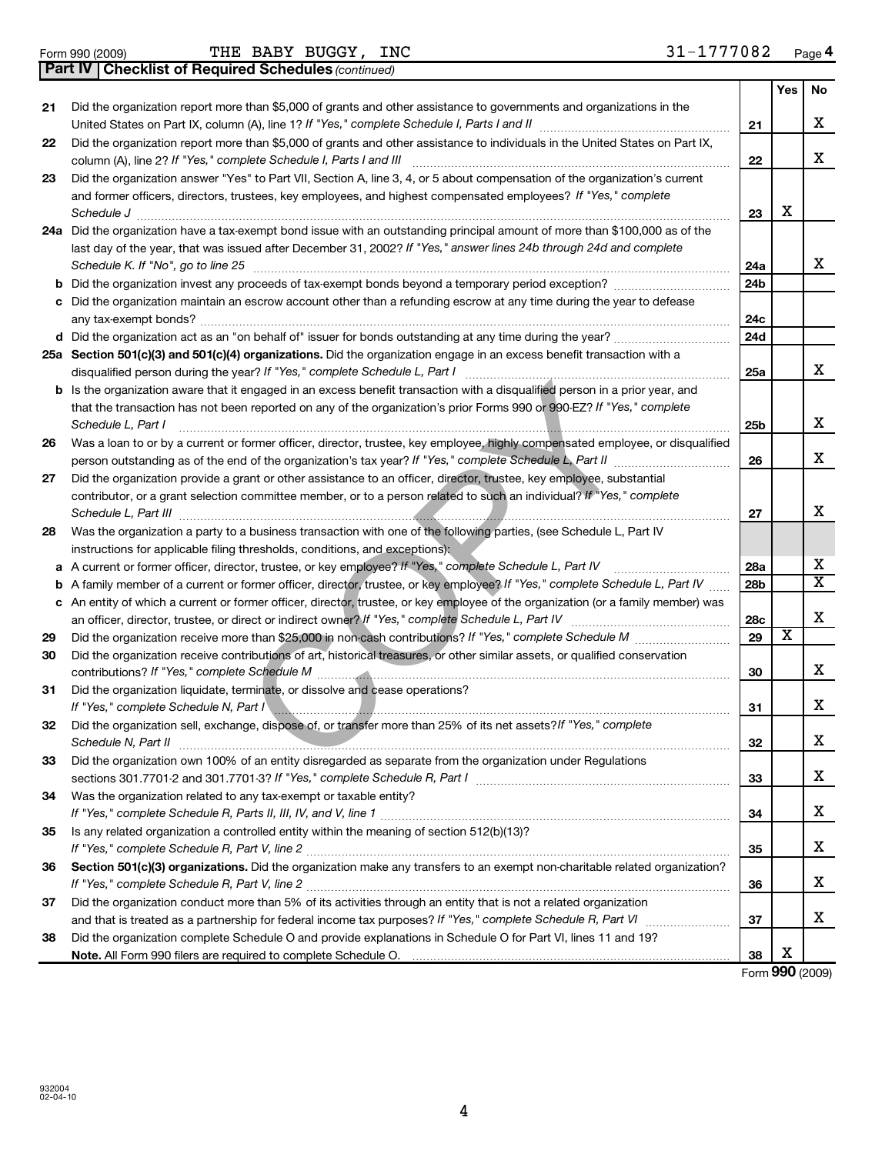|    | <b>Part IV   Checklist of Required Schedules (continued)</b>                                                                                                                                                                                                                                                                                             |                 |                         |                       |
|----|----------------------------------------------------------------------------------------------------------------------------------------------------------------------------------------------------------------------------------------------------------------------------------------------------------------------------------------------------------|-----------------|-------------------------|-----------------------|
| 21 | Did the organization report more than \$5,000 of grants and other assistance to governments and organizations in the                                                                                                                                                                                                                                     |                 | Yes                     | <b>No</b>             |
|    |                                                                                                                                                                                                                                                                                                                                                          | 21              |                         | X                     |
| 22 | Did the organization report more than \$5,000 of grants and other assistance to individuals in the United States on Part IX,                                                                                                                                                                                                                             |                 |                         |                       |
|    | column (A), line 2? If "Yes," complete Schedule I, Parts I and III                                                                                                                                                                                                                                                                                       | 22              |                         | X                     |
| 23 | Did the organization answer "Yes" to Part VII, Section A, line 3, 4, or 5 about compensation of the organization's current                                                                                                                                                                                                                               |                 |                         |                       |
|    | and former officers, directors, trustees, key employees, and highest compensated employees? If "Yes," complete                                                                                                                                                                                                                                           |                 |                         |                       |
|    | Schedule J                                                                                                                                                                                                                                                                                                                                               | 23              | X                       |                       |
|    | 24a Did the organization have a tax-exempt bond issue with an outstanding principal amount of more than \$100,000 as of the                                                                                                                                                                                                                              |                 |                         |                       |
|    | last day of the year, that was issued after December 31, 2002? If "Yes," answer lines 24b through 24d and complete                                                                                                                                                                                                                                       |                 |                         | X                     |
|    | Schedule K. If "No", go to line 25 [11] Schedule K. If "No", go to line 25                                                                                                                                                                                                                                                                               | 24a             |                         |                       |
|    | c Did the organization maintain an escrow account other than a refunding escrow at any time during the year to defease                                                                                                                                                                                                                                   | 24 <sub>b</sub> |                         |                       |
|    |                                                                                                                                                                                                                                                                                                                                                          | 24 <sub>c</sub> |                         |                       |
|    |                                                                                                                                                                                                                                                                                                                                                          | 24d             |                         |                       |
|    | 25a Section 501(c)(3) and 501(c)(4) organizations. Did the organization engage in an excess benefit transaction with a                                                                                                                                                                                                                                   |                 |                         |                       |
|    |                                                                                                                                                                                                                                                                                                                                                          | 25a             |                         | X                     |
|    | b Is the organization aware that it engaged in an excess benefit transaction with a disqualified person in a prior year, and                                                                                                                                                                                                                             |                 |                         |                       |
|    | that the transaction has not been reported on any of the organization's prior Forms 990 or 990-EZ? If "Yes," complete                                                                                                                                                                                                                                    |                 |                         |                       |
|    | Schedule L, Part I                                                                                                                                                                                                                                                                                                                                       | 25 <sub>b</sub> |                         | X                     |
| 26 | Was a loan to or by a current or former officer, director, trustee, key employee, highly compensated employee, or disqualified                                                                                                                                                                                                                           |                 |                         |                       |
|    |                                                                                                                                                                                                                                                                                                                                                          | 26              |                         | X                     |
| 27 | Did the organization provide a grant or other assistance to an officer, director, trustee, key employee, substantial                                                                                                                                                                                                                                     |                 |                         |                       |
|    | contributor, or a grant selection committee member, or to a person related to such an individual? If "Yes," complete                                                                                                                                                                                                                                     |                 |                         |                       |
|    |                                                                                                                                                                                                                                                                                                                                                          | 27              |                         | X                     |
| 28 | Was the organization a party to a business transaction with one of the following parties, (see Schedule L, Part IV                                                                                                                                                                                                                                       |                 |                         |                       |
|    | instructions for applicable filing thresholds, conditions, and exceptions):<br>a A current or former officer, director, trustee, or key employee? If "Yes," complete Schedule L, Part IV                                                                                                                                                                 | 28a             |                         | Χ                     |
|    | <b>b</b> A family member of a current or former officer, director, trustee, or key employee? If "Yes," complete Schedule L, Part IV                                                                                                                                                                                                                      | 28 <sub>b</sub> |                         | $\overline{\text{x}}$ |
|    | c An entity of which a current or former officer, director, trustee, or key employee of the organization (or a family member) was                                                                                                                                                                                                                        |                 |                         |                       |
|    |                                                                                                                                                                                                                                                                                                                                                          | <b>28c</b>      |                         | X                     |
| 29 |                                                                                                                                                                                                                                                                                                                                                          | 29              | $\overline{\textbf{x}}$ |                       |
| 30 | Did the organization receive contributions of art, historical treasures, or other similar assets, or qualified conservation                                                                                                                                                                                                                              |                 |                         |                       |
|    |                                                                                                                                                                                                                                                                                                                                                          | 30              |                         | X                     |
| 31 | Did the organization liquidate, terminate, or dissolve and cease operations?                                                                                                                                                                                                                                                                             |                 |                         |                       |
|    | If "Yes," complete Schedule N, Part I                                                                                                                                                                                                                                                                                                                    | 31              |                         | X                     |
| 32 | Did the organization sell, exchange, dispose of, or transfer more than 25% of its net assets? If "Yes," complete<br>Schedule N, Part II <u>www.communications and contract and contract and contract and contract and contract and contract and contract and contract and contract and contract and contract and contract and contract and contract </u> | 32              |                         | X                     |
| 33 | Did the organization own 100% of an entity disregarded as separate from the organization under Regulations                                                                                                                                                                                                                                               |                 |                         |                       |

# Did the organization sell, exchange, dispose of, or transfer more than 25% of its net assets?If "Yes," complete *Schedule N, Part II* ~~~~~~~~~~~~~~~~~~~~~~~~~~~~~~~~~~~~~~~~~~~~~~~~~~~~ *If "Yes," complete Schedule R, Part I* Did the organization own 100% of an entity disregarded as separate from the organization under Regulations

| 33 | Did the organization own 100% of an entity disregarded as separate from the organization under Regulations                 |    |   |
|----|----------------------------------------------------------------------------------------------------------------------------|----|---|
|    | sections 301.7701-2 and 301.7701-3? If "Yes," complete Schedule R, Part I                                                  | 33 | х |
| 34 | Was the organization related to any tax-exempt or taxable entity?                                                          |    |   |
|    | If "Yes," complete Schedule R, Parts II, III, IV, and V, line 1                                                            | 34 |   |
| 35 | Is any related organization a controlled entity within the meaning of section 512(b)(13)?                                  |    |   |
|    | If "Yes," complete Schedule R, Part V, line 2                                                                              | 35 | х |
| 36 | Section 501(c)(3) organizations. Did the organization make any transfers to an exempt non-charitable related organization? |    |   |
|    | If "Yes," complete Schedule R, Part V, line 2                                                                              | 36 |   |
| 37 | Did the organization conduct more than 5% of its activities through an entity that is not a related organization           |    |   |
|    | and that is treated as a partnership for federal income tax purposes? If "Yes," complete Schedule R, Part VI               | 37 |   |
| 38 | Did the organization complete Schedule O and provide explanations in Schedule O for Part VI, lines 11 and 19?              |    |   |
|    | <b>Note.</b> All Form 990 filers are required to complete Schedule O.                                                      | 38 |   |

4

Form (2009) **990**

Yes No

X

X

X

X

X

X

X

X  $\overline{\text{x}}$ 

X

X

X

X

|  | Form 990 (2009) |
|--|-----------------|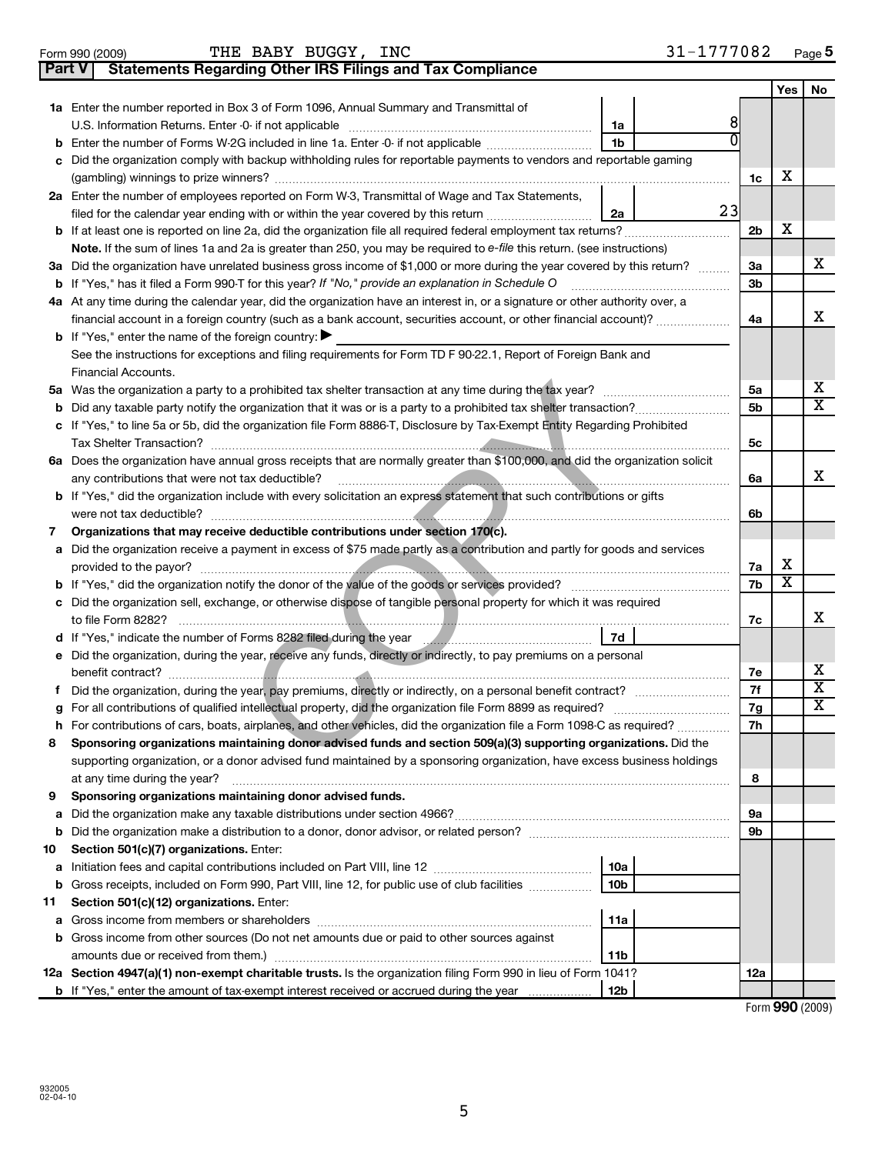| 932005   |  |
|----------|--|
| 02-04-10 |  |

|    |                                                                                                                                                                                   | 1a              | 8  |                |                         |                         |
|----|-----------------------------------------------------------------------------------------------------------------------------------------------------------------------------------|-----------------|----|----------------|-------------------------|-------------------------|
| b  | Enter the number of Forms W-2G included in line 1a. Enter -0- if not applicable                                                                                                   | 1b              |    |                |                         |                         |
| с  | Did the organization comply with backup withholding rules for reportable payments to vendors and reportable gaming                                                                |                 |    |                |                         |                         |
|    |                                                                                                                                                                                   |                 |    |                | х                       |                         |
|    | 2a Enter the number of employees reported on Form W-3, Transmittal of Wage and Tax Statements,                                                                                    |                 |    |                |                         |                         |
|    | filed for the calendar year ending with or within the year covered by this return                                                                                                 | 2a              | 23 |                |                         |                         |
| b  | If at least one is reported on line 2a, did the organization file all required federal employment tax returns?                                                                    |                 |    | 2 <sub>b</sub> | X                       |                         |
|    | Note. If the sum of lines 1a and 2a is greater than 250, you may be required to e-file this return. (see instructions)                                                            |                 |    |                |                         |                         |
|    | 3a Did the organization have unrelated business gross income of \$1,000 or more during the year covered by this return?                                                           |                 |    |                |                         | x                       |
| b  | If "Yes," has it filed a Form 990 T for this year? If "No," provide an explanation in Schedule O                                                                                  |                 |    | 3b             |                         |                         |
|    | 4a At any time during the calendar year, did the organization have an interest in, or a signature or other authority over, a                                                      |                 |    |                |                         |                         |
|    | financial account in a foreign country (such as a bank account, securities account, or other financial account)?                                                                  |                 |    | 4a             |                         | x                       |
|    | <b>b</b> If "Yes," enter the name of the foreign country:                                                                                                                         |                 |    |                |                         |                         |
|    | See the instructions for exceptions and filing requirements for Form TD F 90-22.1, Report of Foreign Bank and                                                                     |                 |    |                |                         |                         |
|    | Financial Accounts.                                                                                                                                                               |                 |    |                |                         |                         |
|    | 5a Was the organization a party to a prohibited tax shelter transaction at any time during the tax year?                                                                          |                 |    | 5a             |                         | х<br>X                  |
|    |                                                                                                                                                                                   |                 |    | 5b             |                         |                         |
|    | If "Yes," to line 5a or 5b, did the organization file Form 8886-T, Disclosure by Tax-Exempt Entity Regarding Prohibited                                                           |                 |    |                |                         |                         |
|    |                                                                                                                                                                                   |                 |    | 5с             |                         |                         |
|    | 6a Does the organization have annual gross receipts that are normally greater than \$100,000, and did the organization solicit<br>any contributions that were not tax deductible? |                 |    |                |                         | х                       |
| b  | If "Yes," did the organization include with every solicitation an express statement that such contributions or gifts                                                              |                 |    | 6a             |                         |                         |
|    |                                                                                                                                                                                   |                 |    | 6b             |                         |                         |
| 7  | Organizations that may receive deductible contributions under section 170(c).                                                                                                     |                 |    |                |                         |                         |
| а  | Did the organization receive a payment in excess of \$75 made partly as a contribution and partly for goods and services                                                          |                 |    |                |                         |                         |
|    |                                                                                                                                                                                   |                 |    | 7a             | Χ                       |                         |
| b  |                                                                                                                                                                                   |                 |    | 7b             | $\overline{\textbf{x}}$ |                         |
|    | Did the organization sell, exchange, or otherwise dispose of tangible personal property for which it was required                                                                 |                 |    |                |                         |                         |
|    |                                                                                                                                                                                   |                 |    | 7c             |                         | X                       |
|    |                                                                                                                                                                                   | 7d              |    |                |                         |                         |
| е  | Did the organization, during the year, receive any funds, directly or indirectly, to pay premiums on a personal                                                                   |                 |    |                |                         |                         |
|    |                                                                                                                                                                                   |                 |    | 7е             |                         | х                       |
| f. |                                                                                                                                                                                   |                 |    | 7f             |                         | $\overline{\textbf{x}}$ |
| g  | For all contributions of qualified intellectual property, did the organization file Form 8899 as required?                                                                        |                 |    | 7g             |                         | x                       |
| h  | For contributions of cars, boats, airplanes, and other vehicles, did the organization file a Form 1098-C as required?                                                             |                 |    | 7h             |                         |                         |
| 8  | Sponsoring organizations maintaining donor advised funds and section 509(a)(3) supporting organizations. Did the                                                                  |                 |    |                |                         |                         |
|    | supporting organization, or a donor advised fund maintained by a sponsoring organization, have excess business holdings                                                           |                 |    |                |                         |                         |
|    | at any time during the year?                                                                                                                                                      |                 |    | 8              |                         |                         |
| 9  | Sponsoring organizations maintaining donor advised funds.                                                                                                                         |                 |    |                |                         |                         |
| a  |                                                                                                                                                                                   |                 |    | 9а             |                         |                         |
| b  |                                                                                                                                                                                   |                 |    | 9b             |                         |                         |
| 10 | Section 501(c)(7) organizations. Enter:                                                                                                                                           |                 |    |                |                         |                         |
| а  |                                                                                                                                                                                   | 10a             |    |                |                         |                         |
| b  | Gross receipts, included on Form 990, Part VIII, line 12, for public use of club facilities                                                                                       | 10 <sub>b</sub> |    |                |                         |                         |
| 11 | Section 501(c)(12) organizations. Enter:                                                                                                                                          |                 |    |                |                         |                         |
| а  |                                                                                                                                                                                   | 11a             |    |                |                         |                         |
| b  | Gross income from other sources (Do not net amounts due or paid to other sources against                                                                                          |                 |    |                |                         |                         |
|    | amounts due or received from them.)                                                                                                                                               | 11 <sub>b</sub> |    |                |                         |                         |
|    | 12a Section 4947(a)(1) non-exempt charitable trusts. Is the organization filing Form 990 in lieu of Form 1041?                                                                    |                 |    | 12a            |                         |                         |
|    | <b>b</b> If "Yes," enter the amount of tax-exempt interest received or accrued during the year                                                                                    | 12 <sub>b</sub> |    |                | $Form$ QQO $(2000)$     |                         |

**Part V Statements Regarding Other IRS Filings and Tax Compliance**

**1 a** Enter the number reported in Box 3 of Form 1096, Annual Summary and Transmittal of

Yes No

Form (2009) **990**

|  | Form 990 (2009 |
|--|----------------|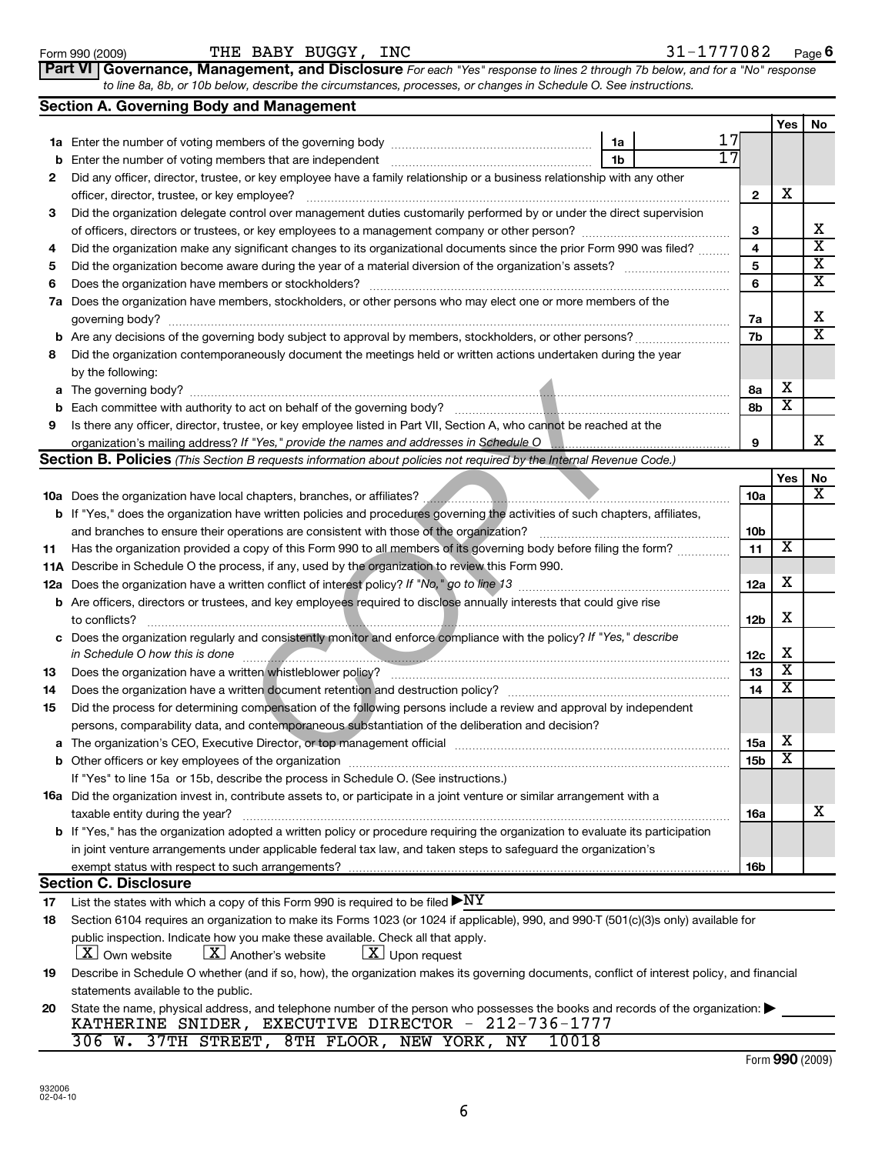**19**

| public inspection. Indicate how you make these available. Check all that apply.                                                             |
|---------------------------------------------------------------------------------------------------------------------------------------------|
| $\boxed{\textbf{X}}$ Own website $\boxed{\textbf{X}}$ Another's website $\boxed{\textbf{X}}$ Upon request                                   |
| Describe in Schedule O whether (and if so, how), the organization makes its governing documents, conflict of interest policy, and financial |
| statements available to the public.                                                                                                         |
| State the name, physical address, and telephone number of the person who possesses the books and records of the organization:               |

| statements available to the public.                                                                                              |
|----------------------------------------------------------------------------------------------------------------------------------|
| 20 State the name, physical address, and telephone number of the person who possesses the books and records of the organization: |
| KATHERINE SNIDER, EXECUTIVE DIRECTOR - 212-736-1777                                                                              |

306 W. 37TH STREET, 8TH FLOOR, NEW YORK, NY 10018

|     |                                                                                                                                                                                                                                                                        | 8a              | х                     |           |
|-----|------------------------------------------------------------------------------------------------------------------------------------------------------------------------------------------------------------------------------------------------------------------------|-----------------|-----------------------|-----------|
| b   |                                                                                                                                                                                                                                                                        | 8b              | х                     |           |
| 9   | Is there any officer, director, trustee, or key employee listed in Part VII, Section A, who cannot be reached at the                                                                                                                                                   |                 |                       |           |
|     | organization's mailing address? If "Yes," provide the names and addresses in Schedule O                                                                                                                                                                                | 9               |                       | x         |
|     | Section B. Policies (This Section B requests information about policies not required by the Internal Revenue Code.)                                                                                                                                                    |                 |                       |           |
|     |                                                                                                                                                                                                                                                                        |                 | Yes                   | <b>No</b> |
|     | 10a Does the organization have local chapters, branches, or affiliates?<br>2008 Martin Martin Martin Martin Martin Martin Martin Martin Martin Martin Martin Martin Martin Martin Martin                                                                               | 10a             |                       | x         |
|     | <b>b</b> If "Yes," does the organization have written policies and procedures governing the activities of such chapters, affiliates,                                                                                                                                   |                 |                       |           |
|     | and branches to ensure their operations are consistent with those of the organization?                                                                                                                                                                                 | 10 <sub>b</sub> |                       |           |
| 11  | Has the organization provided a copy of this Form 990 to all members of its governing body before filing the form?                                                                                                                                                     | 11              | х                     |           |
|     | 11A Describe in Schedule O the process, if any, used by the organization to review this Form 990.                                                                                                                                                                      |                 |                       |           |
| 12a |                                                                                                                                                                                                                                                                        | 12a             | х                     |           |
|     | <b>b</b> Are officers, directors or trustees, and key employees required to disclose annually interests that could give rise                                                                                                                                           |                 |                       |           |
|     | to conflicts?                                                                                                                                                                                                                                                          | 12 <sub>b</sub> | х                     |           |
|     | c Does the organization regularly and consistently monitor and enforce compliance with the policy? If "Yes," describe                                                                                                                                                  |                 |                       |           |
|     | in Schedule O how this is done<br><u> 1990 - Anna Barra Barnach a Chomhair Ann an t-Òghlach ann an t-Òghlach ann an t-Òghlach ann an t-Òghlach ann an t-Òghlach ann an t-Òghlach ann an t-Òghlach ann an t-Òghlach ann an t-Òghlach ann an t-Òghlach ann an t-Òghl</u> | 12 <sub>c</sub> | х                     |           |
| 13  |                                                                                                                                                                                                                                                                        | 13              | $\overline{\text{x}}$ |           |
| 14  |                                                                                                                                                                                                                                                                        | 14              | X                     |           |
| 15  | Did the process for determining compensation of the following persons include a review and approval by independent                                                                                                                                                     |                 |                       |           |
|     | persons, comparability data, and contemporaneous substantiation of the deliberation and decision?                                                                                                                                                                      |                 |                       |           |
| a   | The organization's CEO, Executive Director, or top management official manufactured content of the organization's CEO, Executive Director, or top management official                                                                                                  | 15a             | x                     |           |
|     |                                                                                                                                                                                                                                                                        | <b>15b</b>      | х                     |           |
|     | If "Yes" to line 15a or 15b, describe the process in Schedule O. (See instructions.)                                                                                                                                                                                   |                 |                       |           |
|     | <b>16a</b> Did the organization invest in, contribute assets to, or participate in a joint venture or similar arrangement with a                                                                                                                                       |                 |                       |           |
|     | taxable entity during the year?                                                                                                                                                                                                                                        | <b>16a</b>      |                       | х         |
|     | <b>b</b> If "Yes," has the organization adopted a written policy or procedure requiring the organization to evaluate its participation                                                                                                                                 |                 |                       |           |
|     | in joint venture arrangements under applicable federal tax law, and taken steps to safeguard the organization's                                                                                                                                                        |                 |                       |           |
|     |                                                                                                                                                                                                                                                                        | 16 <sub>b</sub> |                       |           |
|     | <b>Section C. Disclosure</b>                                                                                                                                                                                                                                           |                 |                       |           |
| 17  | List the states with which a copy of this Form 990 is required to be filed $\blacktriangleright\text{NY}$                                                                                                                                                              |                 |                       |           |
| 18  | Section 6104 requires an organization to make its Forms 1023 (or 1024 if applicable), 990, and 990-T (501(c)(3)s only) available for                                                                                                                                   |                 |                       |           |
|     | public inspection. Indicate how you make these available. Check all that apply.                                                                                                                                                                                        |                 |                       |           |

| <b>b</b> Each committee with authority to act on behalf of the governing body?                                         | -8b |  |
|------------------------------------------------------------------------------------------------------------------------|-----|--|
| 9 Is there any officer, director, trustee, or key employee listed in Part VII, Section A, who cannot be reached at the |     |  |
| organization's mailing address? If "Yes," provide the names and addresses in Schedule O                                |     |  |

| 4 | Did the organization make any significant changes to its organizational documents since the prior Form 990 was filed? | 4  |   | x |
|---|-----------------------------------------------------------------------------------------------------------------------|----|---|---|
| 5 | Did the organization become aware during the year of a material diversion of the organization's assets?               | 5  |   |   |
| 6 | Does the organization have members or stockholders?                                                                   | 6  |   | х |
|   | 7a Does the organization have members, stockholders, or other persons who may elect one or more members of the        |    |   |   |
|   | governing body?                                                                                                       | 7a |   |   |
|   |                                                                                                                       | 7b |   | х |
| 8 | Did the organization contemporaneously document the meetings held or written actions undertaken during the year       |    |   |   |
|   | by the following:                                                                                                     |    |   |   |
|   | <b>a</b> The governing body?                                                                                          | 8а | х |   |
|   | <b>b</b> Each committee with authority to act on behalf of the governing body?                                        | 8b |   |   |
| 9 | Is there any officer, director, trustee, or key employee listed in Part VII, Section A, who cannot be reached at the  |    |   |   |
|   | organization's mailing address? If "Yes," provide the names and addresses in Schedule O                               | 9  |   |   |

| <b>Part VI Governance, Management, and Disclosure</b> For each "Yes" response to lines 2 through 7b below, and   |
|------------------------------------------------------------------------------------------------------------------|
| to line 8a, 8b, or 10b below, describe the circumstances, processes, or changes in Schedule O. See instructions. |
| Section A. Governing Body and Management                                                                         |

**2** Did any officer, director, trustee, or key employee have a family relationship or a business relationship with any other

officer, director, trustee, or key employee? ~~~~~~~~~~~~~~~~~~~~~~~~~~~~~~~~~~~~~~~~ Did the organization delegate control over management duties customarily performed by or under the direct supervision of officers, directors or trustees, or key employees to a management company or other person? ~~~~~~~~~~~~~~

**1 a** Enter the number of voting members of the governing body ~~~~~~~~~~~~~~~~~~~

**b** Enter the number of voting members that are independent ~~~~~~~~~~~~~~~~~~~

**1a 1b**

**2**

17 17

**3**

Yes | No

X

X

**3**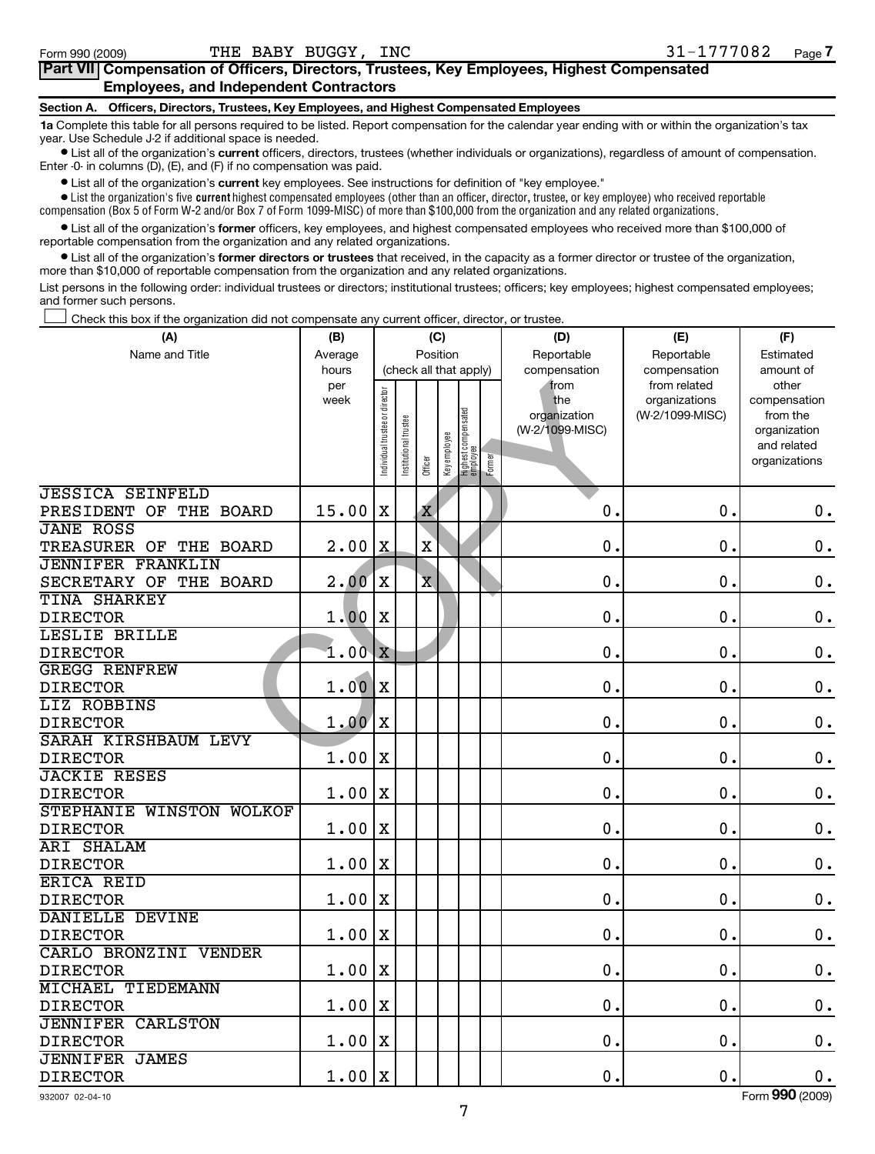#### **Part VII Compensation of Officers, Directors, Trustees, Key Employees, Highest Compensated Employees, and Independent Contractors**

#### **Section A. Officers, Directors, Trustees, Key Employees, and Highest Compensated Employees**

**1a**  Complete this table for all persons required to be listed. Report compensation for the calendar year ending with or within the organization's tax year. Use Schedule J-2 if additional space is needed.

• List all of the organization's current officers, directors, trustees (whether individuals or organizations), regardless of amount of compensation. Enter -0- in columns (D), (E), and (F) if no compensation was paid.

**•** List all of the organization's current key employees. See instructions for definition of "key employee."

 $\bullet$  List the organization's five  $\sf current$  highest compensated employees (other than an officer, director, trustee, or key employee) who received reportable compensation (Box 5 of Form W-2 and/or Box 7 of Form 1099-MISC) of more than \$100,000 from the organization and any related organizations .

• List all of the organization's former officers, key employees, and highest compensated employees who received more than \$100,000 of reportable compensation from the organization and any related organizations.

**•** List all of the organization's former directors or trustees that received, in the capacity as a former director or trustee of the organization, more than \$10,000 of reportable compensation from the organization and any related organizations.

List persons in the following order: individual trustees or directors; institutional trustees; officers; key employees; highest compensated employees; and former such persons.

Check this box if the organization did not compensate any current officer, director, or trustee.  $\left\vert \cdot\right\vert$ 

| (A)                                        | (B)                  |                               |                      | (C)                               |              |                                           | (D)                                                            | (E)                                                              | (F)                                                                                            |
|--------------------------------------------|----------------------|-------------------------------|----------------------|-----------------------------------|--------------|-------------------------------------------|----------------------------------------------------------------|------------------------------------------------------------------|------------------------------------------------------------------------------------------------|
| Name and Title                             | Average              |                               |                      | Position                          |              |                                           | Reportable                                                     | Reportable                                                       | Estimated                                                                                      |
|                                            | hours<br>per<br>week | ndividual trustee or director | nstitutional trustee | (check all that apply)<br>Officer | Key employee | Highest compensated<br>employee<br>Former | compensation<br>from<br>the<br>organization<br>(W-2/1099-MISC) | compensation<br>from related<br>organizations<br>(W-2/1099-MISC) | amount of<br>other<br>compensation<br>from the<br>organization<br>and related<br>organizations |
| <b>JESSICA SEINFELD</b>                    |                      |                               |                      |                                   |              |                                           |                                                                |                                                                  |                                                                                                |
| PRESIDENT OF<br>THE BOARD                  | 15.00                | $\mathbf X$                   |                      | $\overline{\textbf{X}}$           |              |                                           | 0.                                                             | 0.                                                               | $0$ .                                                                                          |
| <b>JANE ROSS</b><br>TREASURER OF THE BOARD | 2.00                 | X                             |                      | X                                 |              |                                           | 0.                                                             | $\mathbf 0$ .                                                    | $0$ .                                                                                          |
| <b>JENNIFER FRANKLIN</b>                   |                      |                               |                      |                                   |              |                                           |                                                                |                                                                  |                                                                                                |
| SECRETARY OF THE BOARD                     | 2.00                 | $\mathbf X$                   |                      | $\overline{\mathbf{x}}$           |              |                                           | 0.                                                             | $\mathbf 0$ .                                                    | $\mathbf 0$ .                                                                                  |
| <b>TINA SHARKEY</b>                        |                      |                               |                      |                                   |              |                                           |                                                                |                                                                  |                                                                                                |
| <b>DIRECTOR</b>                            | 1.00                 | X                             |                      |                                   |              |                                           | 0.                                                             | $\mathbf 0$ .                                                    | $\mathbf 0$ .                                                                                  |
| LESLIE BRILLE                              |                      |                               |                      |                                   |              |                                           |                                                                |                                                                  |                                                                                                |
| <b>DIRECTOR</b>                            | $1.00 \, \mathrm{X}$ |                               |                      |                                   |              |                                           | 0.                                                             | 0.                                                               | $\mathbf 0$ .                                                                                  |
| <b>GREGG RENFREW</b>                       |                      |                               |                      |                                   |              |                                           |                                                                |                                                                  |                                                                                                |
| <b>DIRECTOR</b>                            | 1.00                 | X                             |                      |                                   |              |                                           | 0.                                                             | $\mathbf 0$ .                                                    | $\mathbf 0$ .                                                                                  |
| LIZ ROBBINS                                |                      |                               |                      |                                   |              |                                           |                                                                |                                                                  |                                                                                                |
| <b>DIRECTOR</b>                            | 1.00                 | X                             |                      |                                   |              |                                           | 0.                                                             | $\mathbf 0$ .                                                    | $0$ .                                                                                          |
| <b>SARAH KIRSHBAUM LEVY</b>                |                      |                               |                      |                                   |              |                                           |                                                                |                                                                  |                                                                                                |
| <b>DIRECTOR</b>                            | 1.00                 | X                             |                      |                                   |              |                                           | 0.                                                             | $\mathbf 0$ .                                                    | $\mathbf 0$ .                                                                                  |
| <b>JACKIE RESES</b>                        |                      |                               |                      |                                   |              |                                           |                                                                |                                                                  |                                                                                                |
| <b>DIRECTOR</b>                            | 1.00                 | X                             |                      |                                   |              |                                           | 0.                                                             | $\mathbf 0$                                                      | $0$ .                                                                                          |
| <b>STEPHANIE WINSTON WOLKOF</b>            |                      |                               |                      |                                   |              |                                           |                                                                |                                                                  |                                                                                                |
| <b>DIRECTOR</b>                            | 1.00                 | х                             |                      |                                   |              |                                           | $\mathbf 0$ .                                                  | $\mathbf 0$                                                      | $0$ .                                                                                          |
| <b>ARI SHALAM</b>                          |                      |                               |                      |                                   |              |                                           |                                                                |                                                                  |                                                                                                |
| <b>DIRECTOR</b>                            | 1.00                 | X                             |                      |                                   |              |                                           | 0.                                                             | $\mathbf 0$ .                                                    | $0$ .                                                                                          |
| ERICA REID                                 |                      |                               |                      |                                   |              |                                           |                                                                |                                                                  |                                                                                                |
| <b>DIRECTOR</b>                            | 1.00                 | X                             |                      |                                   |              |                                           | 0.                                                             | $\mathbf 0$ .                                                    | $0$ .                                                                                          |
| DANIELLE DEVINE                            |                      |                               |                      |                                   |              |                                           |                                                                |                                                                  |                                                                                                |
| <b>DIRECTOR</b>                            | 1.00                 | X                             |                      |                                   |              |                                           | 0.                                                             | 0.                                                               | $0$ .                                                                                          |
| CARLO BRONZINI VENDER                      |                      |                               |                      |                                   |              |                                           |                                                                |                                                                  |                                                                                                |
| <b>DIRECTOR</b>                            | 1.00                 | X                             |                      |                                   |              |                                           | 0.                                                             | $\mathbf 0$ .                                                    | 0.                                                                                             |
| <b>MICHAEL TIEDEMANN</b>                   |                      |                               |                      |                                   |              |                                           |                                                                |                                                                  |                                                                                                |
| <b>DIRECTOR</b>                            | 1.00                 | x                             |                      |                                   |              |                                           | 0.                                                             | $\mathbf 0$ .                                                    | 0.                                                                                             |
| <b>JENNIFER CARLSTON</b>                   |                      |                               |                      |                                   |              |                                           |                                                                |                                                                  |                                                                                                |
| <b>DIRECTOR</b>                            | 1.00                 | X                             |                      |                                   |              |                                           | 0.                                                             | $\mathbf 0$                                                      | $0$ .                                                                                          |
| <b>JENNIFER JAMES</b>                      |                      |                               |                      |                                   |              |                                           |                                                                |                                                                  |                                                                                                |
| <b>DIRECTOR</b>                            | $1.00 \,   X$        |                               |                      |                                   |              |                                           | 0.                                                             | 0.                                                               | 0.                                                                                             |

932007 02-04-10

Form **990** (2009)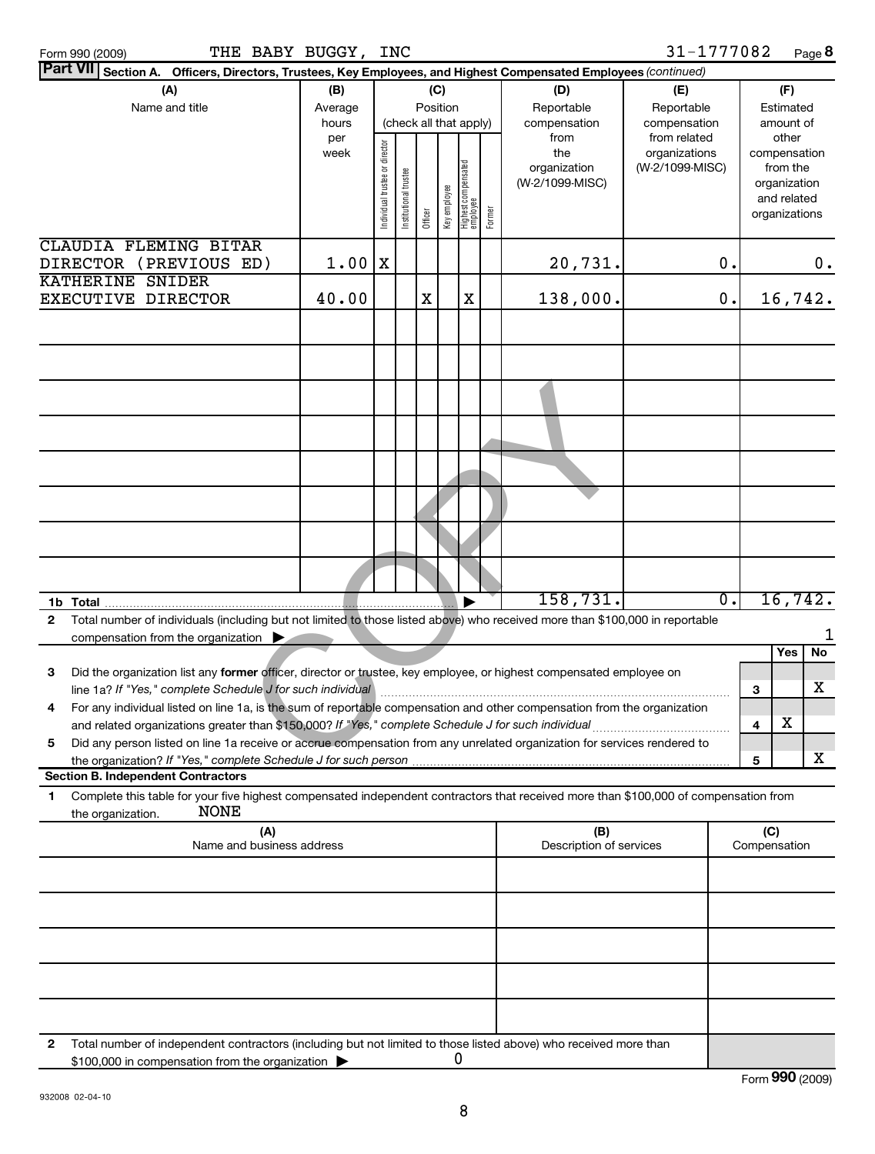| Form 990 (2009) |  |
|-----------------|--|
| $D - 1$         |  |

31-1777082 Page 8

| <b>Part VII</b> Section A. Officers, Directors, Trustees, Key Employees, and Highest Compensated Employees (continued)                                                                                                               |                |                                                                  |                      |              |              |                                           |                                                |                                                  |                  |                     |                                                                                   |          |
|--------------------------------------------------------------------------------------------------------------------------------------------------------------------------------------------------------------------------------------|----------------|------------------------------------------------------------------|----------------------|--------------|--------------|-------------------------------------------|------------------------------------------------|--------------------------------------------------|------------------|---------------------|-----------------------------------------------------------------------------------|----------|
| (A)<br>Name and title                                                                                                                                                                                                                | (B)<br>Average |                                                                  |                      | (C)          |              |                                           | (D)                                            | (E)<br>Reportable                                |                  |                     | (F)<br>Estimated                                                                  |          |
|                                                                                                                                                                                                                                      | hours          | Position<br>Reportable<br>(check all that apply)<br>compensation |                      | compensation |              |                                           | amount of                                      |                                                  |                  |                     |                                                                                   |          |
|                                                                                                                                                                                                                                      | per<br>week    | Individual trustee or director                                   | nstitutional trustee | Officer      | Key employee | Highest compensated<br>employee<br>Former | from<br>the<br>organization<br>(W-2/1099-MISC) | from related<br>organizations<br>(W-2/1099-MISC) |                  |                     | other<br>compensation<br>from the<br>organization<br>and related<br>organizations |          |
| CLAUDIA FLEMING BITAR<br>DIRECTOR (PREVIOUS ED)                                                                                                                                                                                      | 1.00           | ΙX                                                               |                      |              |              |                                           | 20,731.                                        |                                                  | $\mathbf 0$ .    |                     |                                                                                   | $0$ .    |
| <b>KATHERINE SNIDER</b><br>EXECUTIVE DIRECTOR                                                                                                                                                                                        | 40.00          |                                                                  |                      | X            |              | X                                         | 138,000.                                       |                                                  | 0.               |                     |                                                                                   | 16,742.  |
|                                                                                                                                                                                                                                      |                |                                                                  |                      |              |              |                                           |                                                |                                                  |                  |                     |                                                                                   |          |
|                                                                                                                                                                                                                                      |                |                                                                  |                      |              |              |                                           |                                                |                                                  |                  |                     |                                                                                   |          |
|                                                                                                                                                                                                                                      |                |                                                                  |                      |              |              |                                           |                                                |                                                  |                  |                     |                                                                                   |          |
|                                                                                                                                                                                                                                      |                |                                                                  |                      |              |              |                                           |                                                |                                                  |                  |                     |                                                                                   |          |
|                                                                                                                                                                                                                                      |                |                                                                  |                      |              |              |                                           |                                                |                                                  |                  |                     |                                                                                   |          |
|                                                                                                                                                                                                                                      |                |                                                                  |                      |              |              |                                           |                                                |                                                  |                  |                     |                                                                                   |          |
|                                                                                                                                                                                                                                      |                |                                                                  |                      |              |              |                                           |                                                |                                                  |                  |                     |                                                                                   |          |
|                                                                                                                                                                                                                                      |                |                                                                  |                      |              |              |                                           | 158, 731.                                      |                                                  | $\overline{0}$ . |                     |                                                                                   | 16, 742. |
| Total number of individuals (including but not limited to those listed above) who received more than \$100,000 in reportable<br>$\mathbf{2}$                                                                                         |                |                                                                  |                      |              |              |                                           |                                                |                                                  |                  |                     |                                                                                   |          |
| compensation from the organization $\blacktriangleright$                                                                                                                                                                             |                |                                                                  |                      |              |              |                                           |                                                |                                                  |                  |                     | Yes                                                                               | 1<br>No  |
| 3<br>Did the organization list any former officer, director or trustee, key employee, or highest compensated employee on<br>line 1a? If "Yes," complete Schedule J for such individual                                               |                |                                                                  |                      |              |              |                                           |                                                |                                                  |                  | 3                   |                                                                                   | x        |
| For any individual listed on line 1a, is the sum of reportable compensation and other compensation from the organization<br>4<br>and related organizations greater than \$150,000? If "Yes," complete Schedule J for such individual |                |                                                                  |                      |              |              |                                           |                                                |                                                  |                  | 4                   | х                                                                                 |          |
| Did any person listed on line 1a receive or accrue compensation from any unrelated organization for services rendered to<br>5<br>the organization? If "Yes," complete Schedule J for such person                                     |                |                                                                  |                      |              |              |                                           |                                                |                                                  |                  | 5                   |                                                                                   | x        |
| <b>Section B. Independent Contractors</b>                                                                                                                                                                                            |                |                                                                  |                      |              |              |                                           |                                                |                                                  |                  |                     |                                                                                   |          |
| Complete this table for your five highest compensated independent contractors that received more than \$100,000 of compensation from<br>1<br><b>NONE</b><br>the organization.                                                        |                |                                                                  |                      |              |              |                                           |                                                |                                                  |                  |                     |                                                                                   |          |
| (A)<br>Name and business address                                                                                                                                                                                                     |                |                                                                  |                      |              |              |                                           | (B)<br>Description of services                 |                                                  |                  | (C)<br>Compensation |                                                                                   |          |
|                                                                                                                                                                                                                                      |                |                                                                  |                      |              |              |                                           |                                                |                                                  |                  |                     |                                                                                   |          |
|                                                                                                                                                                                                                                      |                |                                                                  |                      |              |              |                                           |                                                |                                                  |                  |                     |                                                                                   |          |
|                                                                                                                                                                                                                                      |                |                                                                  |                      |              |              |                                           |                                                |                                                  |                  |                     |                                                                                   |          |
|                                                                                                                                                                                                                                      |                |                                                                  |                      |              |              |                                           |                                                |                                                  |                  |                     |                                                                                   |          |
| Total number of independent contractors (including but not limited to those listed above) who received more than<br>2                                                                                                                |                |                                                                  |                      |              |              |                                           |                                                |                                                  |                  |                     |                                                                                   |          |
| \$100,000 in compensation from the organization                                                                                                                                                                                      |                |                                                                  |                      |              |              | 0                                         |                                                |                                                  |                  |                     |                                                                                   |          |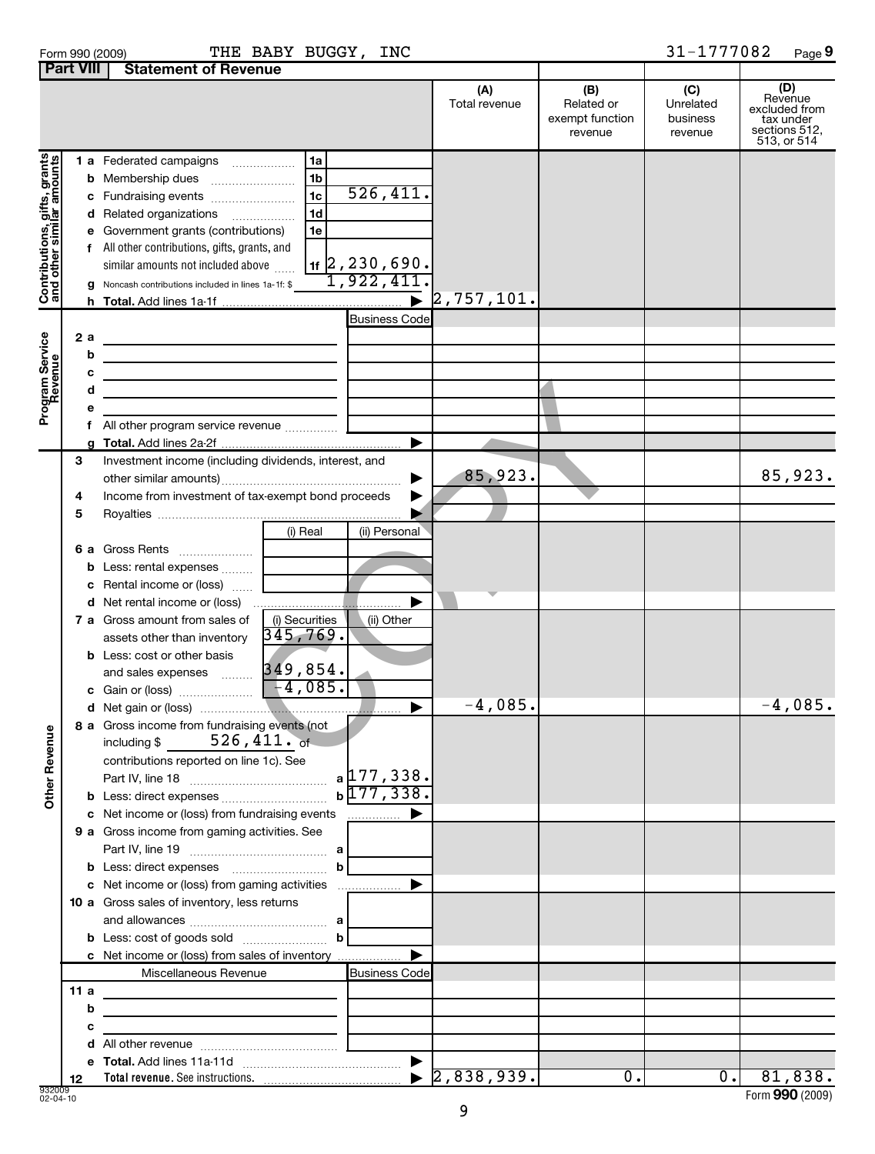| Form 990 (2009) |         |  |
|-----------------|---------|--|
|                 | ------- |  |
|                 |         |  |

Form 990 (2009) Page THE BABY BUGGY, INC 31-1777082

**9**

|                                                             | <b>Part VIII</b> | <b>Statement of Revenue</b>                                                                                                                                                                                                                                                                                                                                                                                                                              |                      |                                                 |                                         |                                                                              |
|-------------------------------------------------------------|------------------|----------------------------------------------------------------------------------------------------------------------------------------------------------------------------------------------------------------------------------------------------------------------------------------------------------------------------------------------------------------------------------------------------------------------------------------------------------|----------------------|-------------------------------------------------|-----------------------------------------|------------------------------------------------------------------------------|
|                                                             |                  |                                                                                                                                                                                                                                                                                                                                                                                                                                                          | (A)<br>Total revenue | (B)<br>Related or<br>exempt function<br>revenue | (C)<br>Unrelated<br>business<br>revenue | (D)<br>Revenue<br>excluded from<br>tax under<br>sections 512,<br>513, or 514 |
| Contributions, gifts, grants<br>  and other similar amounts |                  | 1 a Federated campaigns<br>1a<br>1 <sub>b</sub><br><b>b</b> Membership dues<br>526,411.<br>1 <sub>c</sub><br>c Fundraising events<br>1 <sub>d</sub><br>d Related organizations<br>$\overline{\phantom{a}}$<br>e Government grants (contributions)<br>1e<br>f All other contributions, gifts, grants, and<br>$\frac{1}{11}$ 2, 230, 690.<br>similar amounts not included above<br>1,922,411<br><b>g</b> Noncash contributions included in lines 1a-1f: \$ |                      |                                                 |                                         |                                                                              |
|                                                             |                  | $\blacktriangleright$                                                                                                                                                                                                                                                                                                                                                                                                                                    | 2, 757, 101.         |                                                 |                                         |                                                                              |
| Program Service<br>Revenue                                  | 2 a              | <b>Business Code</b>                                                                                                                                                                                                                                                                                                                                                                                                                                     |                      |                                                 |                                         |                                                                              |
|                                                             |                  | b<br>the contract of the contract of the contract of the contract of the contract of                                                                                                                                                                                                                                                                                                                                                                     |                      |                                                 |                                         |                                                                              |
|                                                             |                  | c<br><u> 1989 - Johann Barn, mars ann an t-Amhain ann an t-Amhain an t-Amhain an t-Amhain an t-Amhain an t-Amhain an t-</u>                                                                                                                                                                                                                                                                                                                              |                      |                                                 |                                         |                                                                              |
|                                                             |                  | d<br>the contract of the contract of the contract of the contract of the contract of                                                                                                                                                                                                                                                                                                                                                                     |                      |                                                 |                                         |                                                                              |
|                                                             |                  |                                                                                                                                                                                                                                                                                                                                                                                                                                                          |                      |                                                 |                                         |                                                                              |
|                                                             |                  | f.                                                                                                                                                                                                                                                                                                                                                                                                                                                       |                      |                                                 |                                         |                                                                              |
|                                                             |                  | ▶                                                                                                                                                                                                                                                                                                                                                                                                                                                        |                      |                                                 |                                         |                                                                              |
|                                                             | З<br>4           | Investment income (including dividends, interest, and<br>Income from investment of tax-exempt bond proceeds                                                                                                                                                                                                                                                                                                                                              | 85,923.              |                                                 |                                         | 85,923.                                                                      |
|                                                             | 5                |                                                                                                                                                                                                                                                                                                                                                                                                                                                          |                      |                                                 |                                         |                                                                              |
|                                                             |                  | (i) Real<br>(ii) Personal                                                                                                                                                                                                                                                                                                                                                                                                                                |                      |                                                 |                                         |                                                                              |
|                                                             |                  | 6 a Gross Rents                                                                                                                                                                                                                                                                                                                                                                                                                                          |                      |                                                 |                                         |                                                                              |
|                                                             |                  | <b>b</b> Less: rental expenses                                                                                                                                                                                                                                                                                                                                                                                                                           |                      |                                                 |                                         |                                                                              |
|                                                             |                  | c Rental income or (loss)                                                                                                                                                                                                                                                                                                                                                                                                                                |                      |                                                 |                                         |                                                                              |
|                                                             |                  |                                                                                                                                                                                                                                                                                                                                                                                                                                                          |                      |                                                 |                                         |                                                                              |
|                                                             |                  | (i) Securities<br><b>7 a</b> Gross amount from sales of<br>(ii) Other                                                                                                                                                                                                                                                                                                                                                                                    |                      |                                                 |                                         |                                                                              |
|                                                             |                  | 345,769.                                                                                                                                                                                                                                                                                                                                                                                                                                                 |                      |                                                 |                                         |                                                                              |
|                                                             |                  | assets other than inventory                                                                                                                                                                                                                                                                                                                                                                                                                              |                      |                                                 |                                         |                                                                              |
|                                                             |                  | <b>b</b> Less: cost or other basis                                                                                                                                                                                                                                                                                                                                                                                                                       |                      |                                                 |                                         |                                                                              |
|                                                             |                  | 349,854.<br>and sales expenses                                                                                                                                                                                                                                                                                                                                                                                                                           |                      |                                                 |                                         |                                                                              |
|                                                             |                  | $\overline{-4,085}$ .                                                                                                                                                                                                                                                                                                                                                                                                                                    |                      |                                                 |                                         |                                                                              |
|                                                             |                  | ▶                                                                                                                                                                                                                                                                                                                                                                                                                                                        | $-4,085$ .           |                                                 |                                         | $-4,085$ .                                                                   |
| <b>Other Revenue</b>                                        |                  | 8 a Gross income from fundraising events (not<br>including \$ $526,411$ . of<br>contributions reported on line 1c). See                                                                                                                                                                                                                                                                                                                                  |                      |                                                 |                                         |                                                                              |
|                                                             |                  | a 177,338.                                                                                                                                                                                                                                                                                                                                                                                                                                               |                      |                                                 |                                         |                                                                              |
|                                                             |                  | $b\sqrt{177,338}$ .                                                                                                                                                                                                                                                                                                                                                                                                                                      |                      |                                                 |                                         |                                                                              |
|                                                             |                  |                                                                                                                                                                                                                                                                                                                                                                                                                                                          |                      |                                                 |                                         |                                                                              |
|                                                             |                  | c Net income or (loss) from fundraising events                                                                                                                                                                                                                                                                                                                                                                                                           |                      |                                                 |                                         |                                                                              |
|                                                             |                  | 9 a Gross income from gaming activities. See                                                                                                                                                                                                                                                                                                                                                                                                             |                      |                                                 |                                         |                                                                              |
|                                                             |                  |                                                                                                                                                                                                                                                                                                                                                                                                                                                          |                      |                                                 |                                         |                                                                              |
|                                                             |                  | $\mathbf{b}$                                                                                                                                                                                                                                                                                                                                                                                                                                             |                      |                                                 |                                         |                                                                              |
|                                                             |                  |                                                                                                                                                                                                                                                                                                                                                                                                                                                          |                      |                                                 |                                         |                                                                              |
|                                                             |                  | 10 a Gross sales of inventory, less returns                                                                                                                                                                                                                                                                                                                                                                                                              |                      |                                                 |                                         |                                                                              |
|                                                             |                  |                                                                                                                                                                                                                                                                                                                                                                                                                                                          |                      |                                                 |                                         |                                                                              |
|                                                             |                  |                                                                                                                                                                                                                                                                                                                                                                                                                                                          |                      |                                                 |                                         |                                                                              |
|                                                             |                  |                                                                                                                                                                                                                                                                                                                                                                                                                                                          |                      |                                                 |                                         |                                                                              |
|                                                             |                  | Miscellaneous Revenue<br><b>Business Code</b>                                                                                                                                                                                                                                                                                                                                                                                                            |                      |                                                 |                                         |                                                                              |
|                                                             | 11 a             |                                                                                                                                                                                                                                                                                                                                                                                                                                                          |                      |                                                 |                                         |                                                                              |
|                                                             |                  | b<br><u> 1989 - Johann Stein, mars an deutscher Stein († 1958)</u>                                                                                                                                                                                                                                                                                                                                                                                       |                      |                                                 |                                         |                                                                              |
|                                                             |                  | с<br>the control of the control of the control of the control of the                                                                                                                                                                                                                                                                                                                                                                                     |                      |                                                 |                                         |                                                                              |
|                                                             |                  |                                                                                                                                                                                                                                                                                                                                                                                                                                                          |                      |                                                 |                                         |                                                                              |
|                                                             |                  |                                                                                                                                                                                                                                                                                                                                                                                                                                                          |                      |                                                 |                                         |                                                                              |
|                                                             | 12               | Total revenue. See instructions. $\frac{1}{2}$ , 838, 939.                                                                                                                                                                                                                                                                                                                                                                                               |                      | $\overline{0}$ .                                | $\overline{0}$ .                        | 81,838.                                                                      |
|                                                             |                  |                                                                                                                                                                                                                                                                                                                                                                                                                                                          |                      |                                                 |                                         |                                                                              |

Form (2009) **990**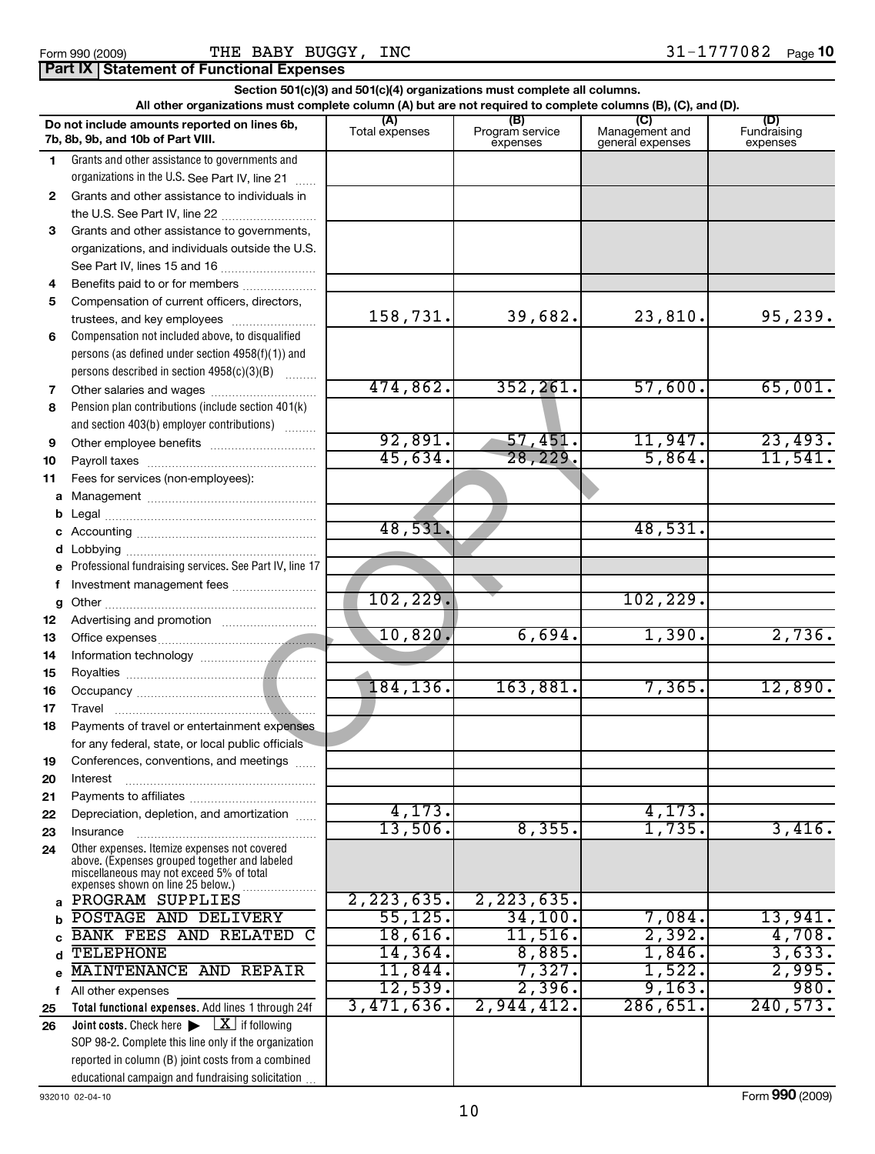|              | Section 501(c)(3) and 501(c)(4) organizations must complete all columns.<br>All other organizations must complete column (A) but are not required to complete columns (B), (C), and (D). |                |                                    |                                           |                                |  |  |  |
|--------------|------------------------------------------------------------------------------------------------------------------------------------------------------------------------------------------|----------------|------------------------------------|-------------------------------------------|--------------------------------|--|--|--|
|              | Do not include amounts reported on lines 6b,<br>7b, 8b, 9b, and 10b of Part VIII.                                                                                                        | Total expenses | (B)<br>Program service<br>expenses | (C)<br>Management and<br>general expenses | (D)<br>Fundraising<br>expenses |  |  |  |
| $\mathbf 1$  | Grants and other assistance to governments and                                                                                                                                           |                |                                    |                                           |                                |  |  |  |
|              | organizations in the U.S. See Part IV, line 21                                                                                                                                           |                |                                    |                                           |                                |  |  |  |
| $\mathbf{2}$ | Grants and other assistance to individuals in                                                                                                                                            |                |                                    |                                           |                                |  |  |  |
|              | the U.S. See Part IV, line 22                                                                                                                                                            |                |                                    |                                           |                                |  |  |  |
| 3            | Grants and other assistance to governments,                                                                                                                                              |                |                                    |                                           |                                |  |  |  |
|              | organizations, and individuals outside the U.S.                                                                                                                                          |                |                                    |                                           |                                |  |  |  |
|              | See Part IV, lines 15 and 16                                                                                                                                                             |                |                                    |                                           |                                |  |  |  |
| 4            | Benefits paid to or for members                                                                                                                                                          |                |                                    |                                           |                                |  |  |  |
| 5            | Compensation of current officers, directors,                                                                                                                                             | 158,731.       | 39,682.                            | 23,810.                                   | 95,239.                        |  |  |  |
| 6            | trustees, and key employees<br>Compensation not included above, to disqualified                                                                                                          |                |                                    |                                           |                                |  |  |  |
|              | persons (as defined under section 4958(f)(1)) and                                                                                                                                        |                |                                    |                                           |                                |  |  |  |
|              | persons described in section 4958(c)(3)(B)                                                                                                                                               |                |                                    |                                           |                                |  |  |  |
| 7            |                                                                                                                                                                                          | 474,862.       | 352, 261.                          | 57,600.                                   | 65,001.                        |  |  |  |
| 8            | Pension plan contributions (include section 401(k)                                                                                                                                       |                |                                    |                                           |                                |  |  |  |
|              | and section 403(b) employer contributions)                                                                                                                                               |                |                                    |                                           |                                |  |  |  |
| 9            |                                                                                                                                                                                          | 92,891.        | 57,451.                            | 11,947.                                   | 23,493.                        |  |  |  |
| 10           |                                                                                                                                                                                          | 45,634.        | 28, 229.                           | 5,864.                                    | 11,541.                        |  |  |  |
| 11           | Fees for services (non-employees):                                                                                                                                                       |                |                                    |                                           |                                |  |  |  |
|              |                                                                                                                                                                                          |                |                                    |                                           |                                |  |  |  |
|              |                                                                                                                                                                                          |                |                                    |                                           |                                |  |  |  |
|              |                                                                                                                                                                                          | 48,531.        |                                    | 48,531.                                   |                                |  |  |  |
|              |                                                                                                                                                                                          |                |                                    |                                           |                                |  |  |  |
| е            | Professional fundraising services. See Part IV, line 17                                                                                                                                  |                |                                    |                                           |                                |  |  |  |
| f            | Investment management fees                                                                                                                                                               |                |                                    |                                           |                                |  |  |  |
| g            |                                                                                                                                                                                          | 102, 229.      |                                    | 102, 229.                                 |                                |  |  |  |
| 12           |                                                                                                                                                                                          |                | 6,694.                             |                                           |                                |  |  |  |
| 13           |                                                                                                                                                                                          | 10,820.        |                                    | 1,390.                                    | 2,736.                         |  |  |  |
| 14           |                                                                                                                                                                                          |                |                                    |                                           |                                |  |  |  |
| 15           |                                                                                                                                                                                          | 184,136.       | 163,881.                           | 7,365.                                    | 12,890.                        |  |  |  |
| 16<br>17     |                                                                                                                                                                                          |                |                                    |                                           |                                |  |  |  |
| 18           | Payments of travel or entertainment expenses                                                                                                                                             |                |                                    |                                           |                                |  |  |  |
|              | for any federal, state, or local public officials                                                                                                                                        |                |                                    |                                           |                                |  |  |  |
| 19           | Conferences, conventions, and meetings                                                                                                                                                   |                |                                    |                                           |                                |  |  |  |
| 20           | Interest                                                                                                                                                                                 |                |                                    |                                           |                                |  |  |  |
| 21           |                                                                                                                                                                                          |                |                                    |                                           |                                |  |  |  |
| 22           | Depreciation, depletion, and amortization                                                                                                                                                | 4, 173.        |                                    | 4,173.                                    |                                |  |  |  |
| 23           | Insurance                                                                                                                                                                                | 13,506.        | 8,355.                             | 1,735.                                    | 3,416.                         |  |  |  |
| 24           | Other expenses. Itemize expenses not covered<br>above. (Expenses grouped together and labeled<br>miscellaneous may not exceed 5% of total<br>expenses shown on line 25 below.)           |                |                                    |                                           |                                |  |  |  |
|              | PROGRAM SUPPLIES                                                                                                                                                                         | 2, 223, 635.   | 2, 223, 635.                       |                                           |                                |  |  |  |
|              | POSTAGE AND DELIVERY                                                                                                                                                                     | 55,125.        | 34,100.                            | 7,084.                                    | 13,941.                        |  |  |  |
|              | BANK FEES AND RELATED<br>C                                                                                                                                                               | 18,616.        | $11,516$ .                         | 2,392.                                    | 4,708.                         |  |  |  |
|              | <b>TELEPHONE</b>                                                                                                                                                                         | 14,364.        | 8,885.                             | 1,846.                                    | 3,633.                         |  |  |  |
|              | MAINTENANCE AND REPAIR                                                                                                                                                                   | 11,844.        | 7,327.                             | 1,522.                                    | 2,995.                         |  |  |  |
| f            | All other expenses                                                                                                                                                                       | 12,539.        | 2,396.                             | 9,163.                                    | 980.                           |  |  |  |
| 25           | Total functional expenses. Add lines 1 through 24f                                                                                                                                       | 3,471,636.     | 2,944,412.                         | 286,651.                                  | 240, 573.                      |  |  |  |
| 26           | <b>Joint costs.</b> Check here $\blacktriangleright \lfloor \underline{X} \rfloor$ if following                                                                                          |                |                                    |                                           |                                |  |  |  |
|              | SOP 98-2. Complete this line only if the organization                                                                                                                                    |                |                                    |                                           |                                |  |  |  |
|              | reported in column (B) joint costs from a combined<br>educational campaign and fundraising solicitation                                                                                  |                |                                    |                                           |                                |  |  |  |
|              |                                                                                                                                                                                          |                |                                    |                                           |                                |  |  |  |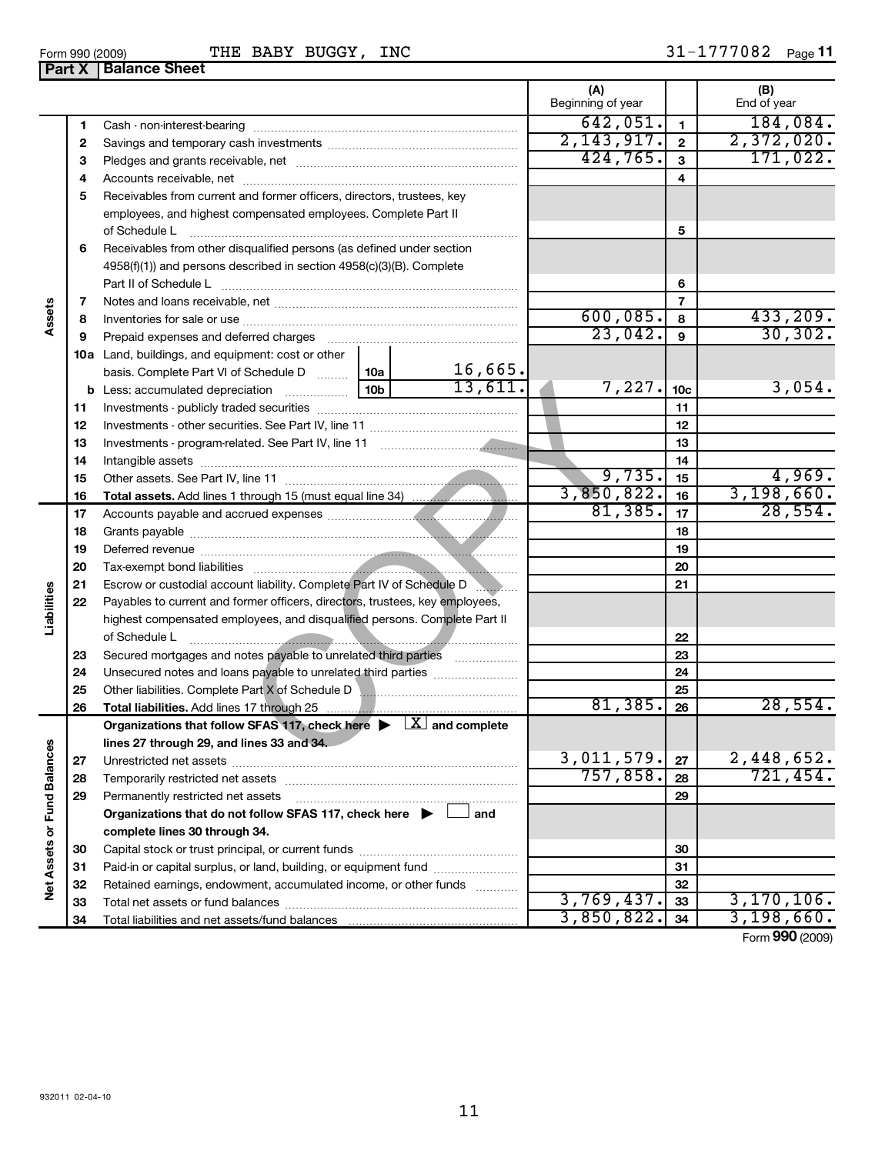Total liabilities and net assets/fund balances

| INC<br><b>DADV</b><br><b>BUGGY</b><br>THE<br>Form 990 (2009)<br>נסמם | Page |
|----------------------------------------------------------------------|------|
|----------------------------------------------------------------------|------|

Capital stock or trust principal, or current funds ~~~~~~~~~~~~~~~ Paid-in or capital surplus, or land, building, or equipment fund ...................... Retained earnings, endowment, accumulated income, or other funds ............ Total net assets or fund balances ~~~~~~~~~~~~~~~~~~~~~~

|                             |          | <b>Part X   Balance Sheet</b>                                                                                  |                          |                 |                      |
|-----------------------------|----------|----------------------------------------------------------------------------------------------------------------|--------------------------|-----------------|----------------------|
|                             |          |                                                                                                                | (A)<br>Beginning of year |                 | (B)<br>End of year   |
|                             | 1        |                                                                                                                | 642,051.                 | $\mathbf{1}$    | 184,084.             |
|                             | 2        |                                                                                                                | 2, 143, 917.             | $\mathbf{2}$    | 2,372,020.           |
|                             | З        |                                                                                                                | 424,765.                 | 3               | 171,022.             |
|                             | 4        |                                                                                                                |                          | 4               |                      |
|                             | 5        | Receivables from current and former officers, directors, trustees, key                                         |                          |                 |                      |
|                             |          | employees, and highest compensated employees. Complete Part II                                                 |                          |                 |                      |
|                             |          | of Schedule L                                                                                                  |                          | 5               |                      |
|                             | 6        | Receivables from other disqualified persons (as defined under section                                          |                          |                 |                      |
|                             |          | 4958(f)(1)) and persons described in section 4958(c)(3)(B). Complete                                           |                          |                 |                      |
|                             |          |                                                                                                                |                          | 6               |                      |
| Assets                      | 7        |                                                                                                                |                          | 7               |                      |
|                             | 8        |                                                                                                                | 600,085.<br>23,042.      | 8               | 433,209.<br>30, 302. |
|                             | 9        | Prepaid expenses and deferred charges [11] [11] Prepaid expenses and deferred charges [11] [11] American metal |                          | 9               |                      |
|                             |          | 10a Land, buildings, and equipment: cost or other<br>16,665.                                                   |                          |                 |                      |
|                             |          | basis. Complete Part VI of Schedule D  10a<br>13,611.                                                          | 7,227.                   | 10 <sub>c</sub> | 3,054.               |
|                             | 11       |                                                                                                                |                          | 11              |                      |
|                             | 12       |                                                                                                                |                          | 12              |                      |
|                             | 13       |                                                                                                                |                          | 13              |                      |
|                             | 14       |                                                                                                                |                          | 14              |                      |
|                             | 15       |                                                                                                                | 9,735.                   | 15              | 4,969.               |
|                             | 16       |                                                                                                                | 3,850,822.               | 16              | 3,198,660.           |
|                             | 17       |                                                                                                                | 81,385.                  | 17              | 28,554.              |
|                             | 18       |                                                                                                                |                          | 18              |                      |
|                             | 19       |                                                                                                                |                          | 19              |                      |
|                             | 20       |                                                                                                                |                          | 20              |                      |
|                             | 21       | Escrow or custodial account liability. Complete Part IV of Schedule D                                          |                          | 21              |                      |
| Liabilities                 | 22       | Payables to current and former officers, directors, trustees, key employees,                                   |                          |                 |                      |
|                             |          | highest compensated employees, and disqualified persons. Complete Part II                                      |                          |                 |                      |
|                             |          | of Schedule L                                                                                                  |                          | 22              |                      |
|                             | 23       | Secured mortgages and notes payable to unrelated third parties                                                 |                          | 23              |                      |
|                             | 24       | Unsecured notes and loans payable to unrelated third parties                                                   |                          | 24              |                      |
|                             | 25       |                                                                                                                |                          | 25              |                      |
|                             | 26       | Total liabilities. Add lines 17 through 25                                                                     | 81,385.                  | 26              | 28,554.              |
|                             |          | Organizations that follow SFAS 117, check here $\blacktriangleright \boxed{X}$ and complete                    |                          |                 |                      |
|                             |          | lines 27 through 29, and lines 33 and 34.                                                                      | 3,011,579.               |                 | 2,448,652.           |
|                             | 27       |                                                                                                                | 757,858.                 | 27              | 721,454.             |
|                             | 28<br>29 | Temporarily restricted net assets<br>Permanently restricted net assets                                         |                          | 28<br>29        |                      |
|                             |          | Organizations that do not follow SFAS 117, check here $\blacktriangleright$<br>and                             |                          |                 |                      |
| Net Assets or Fund Balances |          | complete lines 30 through 34.                                                                                  |                          |                 |                      |
|                             | 30       |                                                                                                                |                          | 30              |                      |
|                             | 31       | Paid-in or capital surplus, or land, building, or equipment fund                                               |                          | 31              |                      |
|                             | 32       | Retained earnings, endowment, accumulated income, or other funds                                               |                          | 32              |                      |
|                             |          |                                                                                                                | $2769127 - 22$           |                 | 2, 170, 106          |

11

3,769,437. 3,170,106.  $3,850,822.$   $34$  3,198,660.

Form (2009) **990**

|  | Form 990 (2009) |
|--|-----------------|
|  |                 |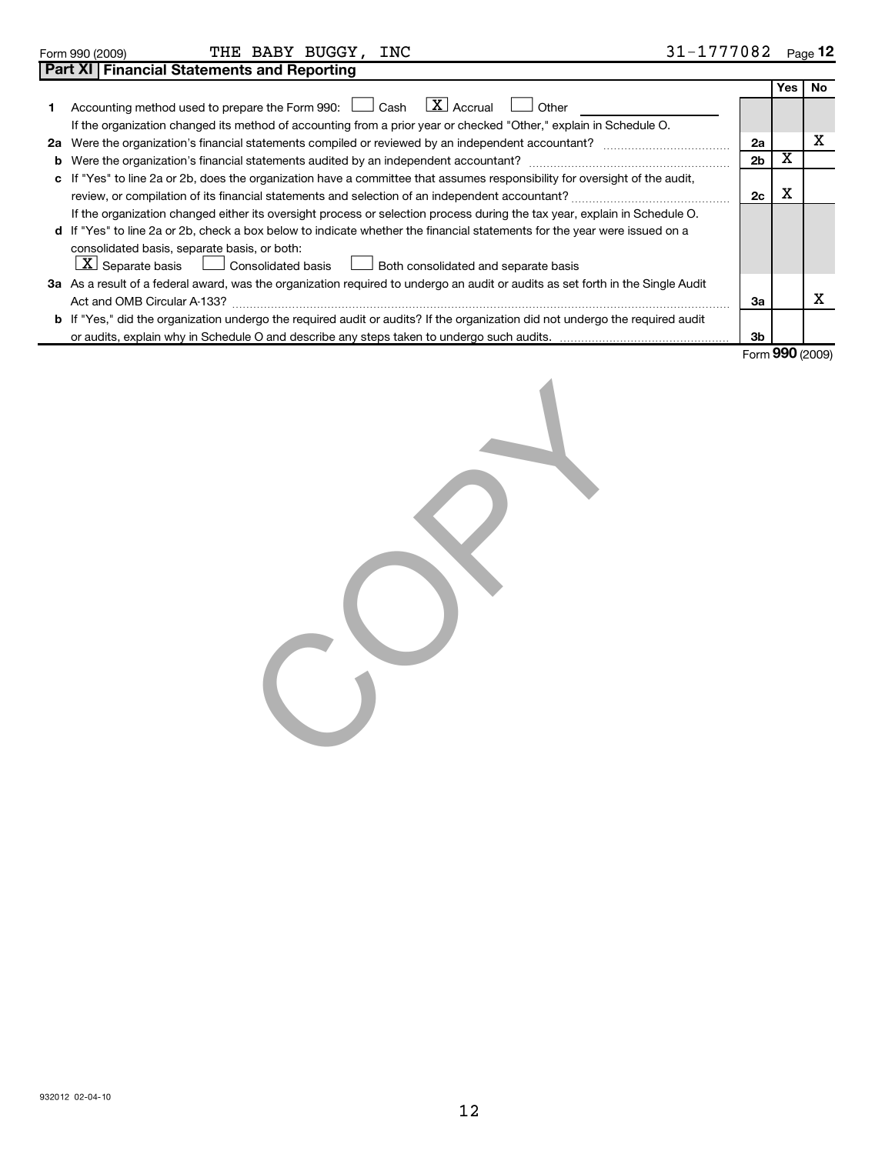| 932012 02-04-10 |
|-----------------|

| Form 990 (2009) | THE BABY BUGGY | INC | 31-1777082<br>Page |  |
|-----------------|----------------|-----|--------------------|--|

**Part XI Financial Statements and Reporting**

C

| 31-1777082 Page 12 |  |
|--------------------|--|
|--------------------|--|

|   |                                                                                                                                      |                | Yes | No |
|---|--------------------------------------------------------------------------------------------------------------------------------------|----------------|-----|----|
|   | Accounting method used to prepare the Form 990: $\Box$ Cash $\Box X$ Accrual<br>Other                                                |                |     |    |
|   | If the organization changed its method of accounting from a prior year or checked "Other," explain in Schedule O.                    |                |     |    |
|   | 2a Were the organization's financial statements compiled or reviewed by an independent accountant?                                   | 2a             |     | х  |
| b | Were the organization's financial statements audited by an independent accountant?                                                   | 2 <sub>b</sub> | х   |    |
|   | c If "Yes" to line 2a or 2b, does the organization have a committee that assumes responsibility for oversight of the audit,          |                |     |    |
|   | review, or compilation of its financial statements and selection of an independent accountant?                                       | 2c             | х   |    |
|   | If the organization changed either its oversight process or selection process during the tax year, explain in Schedule O.            |                |     |    |
|   | d If "Yes" to line 2a or 2b, check a box below to indicate whether the financial statements for the year were issued on a            |                |     |    |
|   | consolidated basis, separate basis, or both:                                                                                         |                |     |    |
|   | $\lfloor \mathbf{X} \rfloor$ Separate basis $\lfloor \ \rfloor$ Consolidated basis<br>Both consolidated and separate basis           |                |     |    |
|   | 3a As a result of a federal award, was the organization required to undergo an audit or audits as set forth in the Single Audit      |                |     |    |
|   | Act and OMB Circular A-133?                                                                                                          | За             |     | x  |
|   | <b>b</b> If "Yes," did the organization undergo the required audit or audits? If the organization did not undergo the required audit |                |     |    |
|   |                                                                                                                                      | 3b             |     |    |

Form **990** (2009)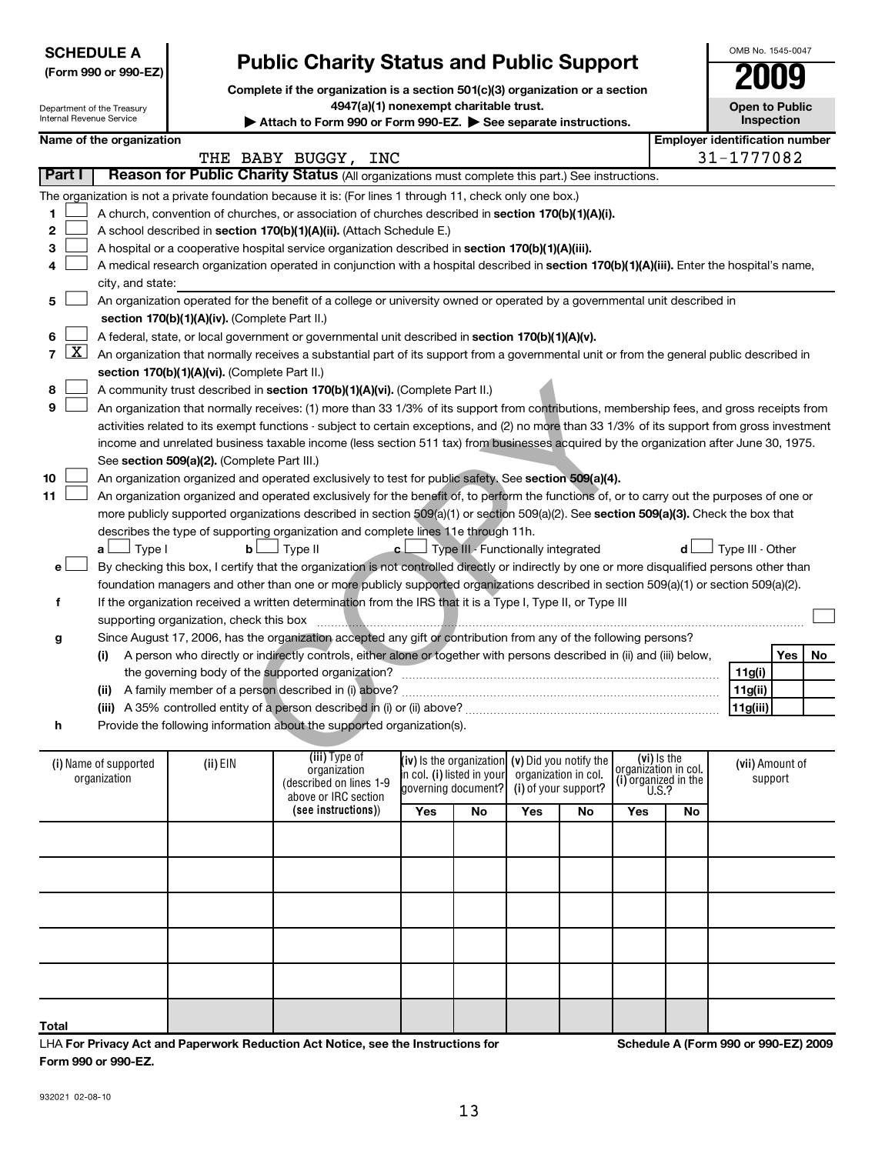| Form 990 or 990-EZ. |  |  |
|---------------------|--|--|

932021 02-08-10

Internal Revenue Service **Name of the organization Part I | Reason for Public Charity Status** (All organizations must complete this part.) See instructions. The organization is not a private foundation because it is: (For lines 1 through 11, check only one box.) THE BABY BUGGY, INC

Department of the Treasury

**SCHEDULE A**

**1 2**

**8 9**

**(Form 990 or 990-EZ)**

|  |  |  | A church, convention of churches, or association of churches described in section 170(b)(1)(A)(i). |  |
|--|--|--|----------------------------------------------------------------------------------------------------|--|
|  |  |  |                                                                                                    |  |

- **3** A hospital or a cooperative hospital service organization described in section 170(b)(1)(A)(iii).  $\sim$
- **4** A medical research organization operated in conjunction with a hospital described in **section 170(b)(1)(A)(iii).** Enter the hospital's name, city, and state:  $\sim$
- **5 section 170(b)(1)(A)(iv).**  (Complete Part II.) An organization operated for the benefit of a college or university owned or operated by a governmental unit described in  $\sim$
- **6** A federal, state, or local government or governmental unit described in **section 170(b)(1)(A)(v).**  $\sim$
- **7 section 170(b)(1)(A)(vi).** (Complete Part II.) An organization that normally receives a substantial part of its support from a governmental unit or from the general public described in  $\lfloor x \rfloor$ 
	- A community trust described in **section 170(b)(1)(A)(vi).** (Complete Part II.)  $\sim$
- id in section 170(b)(1)(A)(vi). (Complete Part II.)<br>
Ily receives: (1) more than 33 1/3% of its support from contributions, mem<br>
ppt functions subject to certain exceptions, and (2) no more than 33 1/3%<br>
eess taxable in See s**ection 509(a)(2).** (Complete Part III.) An organization that normally receives: (1) more than 33 1/3% of its support from contributions, membership fees, and gross receipts from activities related to its exempt functions - subject to certain exceptions, and (2) no more than 33 1/3% of its support from gross investment income and unrelated business taxable income (less section 511 tax) from businesses acquired by the organization after June 30, 1975.  $\sim$
- **10** An organization organized and operated exclusively to test for public safety. See **section 509(a)(4).**  $\sim$

**11** more publicly supported organizations described in section 509(a)(1) or section 509(a)(2). See **section 509(a)(3).** Check the box that An organization organized and operated exclusively for the benefit of, to perform the functions of, or to carry out the purposes of one or describes the type of supporting organization and complete lines 11e through 11h.  $\sim$ 

| $a \Box$ Type I | $\mathsf{b}$ $\Box$ Type II | $\mathbf{c}$ $\Box$ Type III - Functionally integrated | $d$ $\Box$ Type III - Other                                                                                                                        |
|-----------------|-----------------------------|--------------------------------------------------------|----------------------------------------------------------------------------------------------------------------------------------------------------|
|                 |                             |                                                        | e ∟⊿ By checking this box, I certify that the organization is not controlled directly or indirectly by one or more disqualified persons other than |
|                 |                             |                                                        | foundation managers and other than one or more publicly supported organizations described in section 509(a)(1) or section 509(a)(2).               |

**f** If the organization received a written determination from the IRS that it is a Type I, Type II, or Type III supporting organization, check this box ~~~~~~~~~~~~~~~~~~~~~~~~~~~~~~~~~~~~~~~~~~~~~~

**g** Since August 17, 2006, has the organization accepted any gift or contribution from any of the following persons?

- **(i)** A person who directly or indirectly controls, either alone or together with persons described in (ii) and (iii) below, **(ii)** A family member of a person described in (i) above? ~~~~~~~~~~~~~~~~~~~~~~~~~~~~~~ the governing body of the supported organization? ~~~~~~~~~~~~~~~~~~~~~~~~~~~~~~
- **(iii)** A 35% controlled entity of a person described in (i) or (ii) above? ~~~~~~~~~~~~~~~~~~~~~~~~
- **h** Provide the following information about the supported organization(s).

| (i) Name of supported<br>organization                                            | (ii) EIN | (iii) Type of<br>organization<br>(described on lines 1-9<br>above or IRC section | in col. (i) listed in your | (iv) is the organization $(v)$ Did you notify the $ $<br>governing document? | organization in col.<br>(i) of your support? |    | $\begin{bmatrix} (vi) \text{ is the} \\ \text{organization in col.} \\ (i) \text{ organized in the} \end{bmatrix}$<br>U.S.? |    | (vii) Amount of<br>support           |
|----------------------------------------------------------------------------------|----------|----------------------------------------------------------------------------------|----------------------------|------------------------------------------------------------------------------|----------------------------------------------|----|-----------------------------------------------------------------------------------------------------------------------------|----|--------------------------------------|
|                                                                                  |          | (see instructions))                                                              | Yes                        | No.                                                                          | Yes                                          | No | Yes                                                                                                                         | No |                                      |
|                                                                                  |          |                                                                                  |                            |                                                                              |                                              |    |                                                                                                                             |    |                                      |
|                                                                                  |          |                                                                                  |                            |                                                                              |                                              |    |                                                                                                                             |    |                                      |
|                                                                                  |          |                                                                                  |                            |                                                                              |                                              |    |                                                                                                                             |    |                                      |
|                                                                                  |          |                                                                                  |                            |                                                                              |                                              |    |                                                                                                                             |    |                                      |
|                                                                                  |          |                                                                                  |                            |                                                                              |                                              |    |                                                                                                                             |    |                                      |
| Total                                                                            |          |                                                                                  |                            |                                                                              |                                              |    |                                                                                                                             |    |                                      |
| LHA For Privacy Act and Paperwork Reduction Act Notice, see the Instructions for |          |                                                                                  |                            |                                                                              |                                              |    |                                                                                                                             |    | Schedule A (Form 990 or 990-EZ) 2009 |

**Public Charity Status and Public Support** 

**Complete if the organization is a section 501(c)(3) organization or a section**

**4947(a)(1) nonexempt charitable trust.**

▶ Attach to Form 990 or Form 990-EZ. ▶ See separate instructions.

|                                       | OMB No. 1545-0047                   |  |  |  |
|---------------------------------------|-------------------------------------|--|--|--|
|                                       | 2009                                |  |  |  |
|                                       | <b>Open to Public</b><br>Inspection |  |  |  |
| <b>Employer identification number</b> |                                     |  |  |  |
|                                       | 31-1777082                          |  |  |  |
|                                       |                                     |  |  |  |

Yes | No

 $\left\vert \cdot\right\vert$ 

**11g(i) 11g(ii) 11g(iii)**

**Schedule A (Form 990 or 990-EZ) 2009**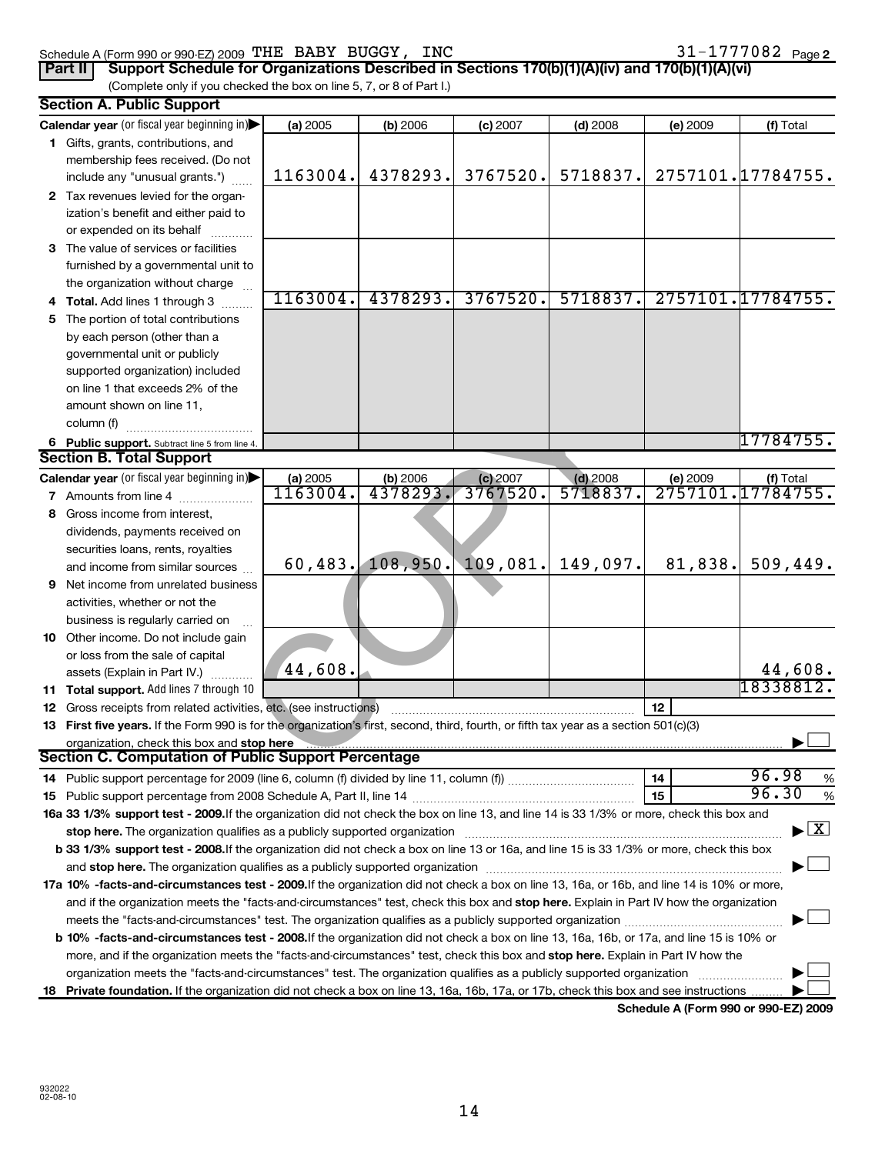#### Schedule A (Form 990 or 990-EZ) 2009 Page THE BABY BUGGY, INC  $31-1777082$

31-1777082 Page 2

|  | Part II   Support Schedule for Organizations Described in Sections 170(b)(1)(A)(iv) and 170(b)(1)(A)(vi) |  |  |
|--|----------------------------------------------------------------------------------------------------------|--|--|
|  | (Complete only if you checked the box on line 5, 7, or 8 of Part I.)                                     |  |  |

#### **Section A. Public Support**

|   | Section A. Public Support                                                                                                                                                                                                                                                                                                                                                                                        |          |          |            |            |          |                   |  |  |
|---|------------------------------------------------------------------------------------------------------------------------------------------------------------------------------------------------------------------------------------------------------------------------------------------------------------------------------------------------------------------------------------------------------------------|----------|----------|------------|------------|----------|-------------------|--|--|
|   | Calendar year (or fiscal year beginning in)                                                                                                                                                                                                                                                                                                                                                                      | (a) 2005 | (b) 2006 | $(c)$ 2007 | $(d)$ 2008 | (e) 2009 | (f) Total         |  |  |
|   | 1 Gifts, grants, contributions, and                                                                                                                                                                                                                                                                                                                                                                              |          |          |            |            |          |                   |  |  |
|   | membership fees received. (Do not                                                                                                                                                                                                                                                                                                                                                                                |          |          |            |            |          |                   |  |  |
|   | include any "unusual grants.")                                                                                                                                                                                                                                                                                                                                                                                   | 1163004. | 4378293. | 3767520.   | 5718837.   |          | 2757101.17784755. |  |  |
|   | 2 Tax revenues levied for the organ-                                                                                                                                                                                                                                                                                                                                                                             |          |          |            |            |          |                   |  |  |
|   | ization's benefit and either paid to                                                                                                                                                                                                                                                                                                                                                                             |          |          |            |            |          |                   |  |  |
|   | or expended on its behalf                                                                                                                                                                                                                                                                                                                                                                                        |          |          |            |            |          |                   |  |  |
|   | 3 The value of services or facilities                                                                                                                                                                                                                                                                                                                                                                            |          |          |            |            |          |                   |  |  |
|   | furnished by a governmental unit to                                                                                                                                                                                                                                                                                                                                                                              |          |          |            |            |          |                   |  |  |
|   | the organization without charge                                                                                                                                                                                                                                                                                                                                                                                  |          |          |            |            |          |                   |  |  |
|   | 4 Total. Add lines 1 through 3                                                                                                                                                                                                                                                                                                                                                                                   | 1163004. | 4378293. | 3767520.   | 5718837.   |          | 2757101.17784755. |  |  |
|   | 5 The portion of total contributions                                                                                                                                                                                                                                                                                                                                                                             |          |          |            |            |          |                   |  |  |
|   | by each person (other than a                                                                                                                                                                                                                                                                                                                                                                                     |          |          |            |            |          |                   |  |  |
|   | governmental unit or publicly                                                                                                                                                                                                                                                                                                                                                                                    |          |          |            |            |          |                   |  |  |
|   | supported organization) included                                                                                                                                                                                                                                                                                                                                                                                 |          |          |            |            |          |                   |  |  |
|   | on line 1 that exceeds 2% of the                                                                                                                                                                                                                                                                                                                                                                                 |          |          |            |            |          |                   |  |  |
|   | amount shown on line 11,                                                                                                                                                                                                                                                                                                                                                                                         |          |          |            |            |          |                   |  |  |
|   | column (f)                                                                                                                                                                                                                                                                                                                                                                                                       |          |          |            |            |          |                   |  |  |
|   | 6 Public support. Subtract line 5 from line 4.                                                                                                                                                                                                                                                                                                                                                                   |          |          |            |            |          | 17784755.         |  |  |
|   | <b>Section B. Total Support</b>                                                                                                                                                                                                                                                                                                                                                                                  |          |          |            |            |          |                   |  |  |
|   | Calendar year (or fiscal year beginning in)                                                                                                                                                                                                                                                                                                                                                                      | (a) 2005 | (b) 2006 | $(c)$ 2007 | $(d)$ 2008 | (e) 2009 | (f) Total         |  |  |
|   | 7 Amounts from line 4                                                                                                                                                                                                                                                                                                                                                                                            | 1163004. | 4378293  | 3767520.   | 5718837    |          | 2757101.17784755. |  |  |
|   | 8 Gross income from interest,                                                                                                                                                                                                                                                                                                                                                                                    |          |          |            |            |          |                   |  |  |
|   | dividends, payments received on                                                                                                                                                                                                                                                                                                                                                                                  |          |          |            |            |          |                   |  |  |
|   | securities loans, rents, royalties                                                                                                                                                                                                                                                                                                                                                                               |          |          |            |            |          |                   |  |  |
|   | and income from similar sources                                                                                                                                                                                                                                                                                                                                                                                  | 60, 483. | 108,950. | 109,081.   | 149,097.   | 81,838.  | 509,449.          |  |  |
| 9 | Net income from unrelated business                                                                                                                                                                                                                                                                                                                                                                               |          |          |            |            |          |                   |  |  |
|   | activities, whether or not the                                                                                                                                                                                                                                                                                                                                                                                   |          |          |            |            |          |                   |  |  |
|   | business is regularly carried on                                                                                                                                                                                                                                                                                                                                                                                 |          |          |            |            |          |                   |  |  |
|   | 10 Other income. Do not include gain                                                                                                                                                                                                                                                                                                                                                                             |          |          |            |            |          |                   |  |  |
|   | or loss from the sale of capital                                                                                                                                                                                                                                                                                                                                                                                 | 44,608.  |          |            |            |          | 44,608.           |  |  |
|   | assets (Explain in Part IV.)                                                                                                                                                                                                                                                                                                                                                                                     |          |          |            |            |          | 18338812.         |  |  |
|   | 11 Total support. Add lines 7 through 10                                                                                                                                                                                                                                                                                                                                                                         |          |          |            |            |          |                   |  |  |
|   | 12 Gross receipts from related activities, etc. (see instructions)                                                                                                                                                                                                                                                                                                                                               |          |          |            |            | 12       |                   |  |  |
|   | 13 First five years. If the Form 990 is for the organization's first, second, third, fourth, or fifth tax year as a section 501(c)(3)                                                                                                                                                                                                                                                                            |          |          |            |            |          |                   |  |  |
|   | organization, check this box and stop here<br><b>Section C. Computation of Public Support Percentage</b>                                                                                                                                                                                                                                                                                                         |          |          |            |            |          |                   |  |  |
|   |                                                                                                                                                                                                                                                                                                                                                                                                                  |          |          |            |            | 14       | 96.98<br>%        |  |  |
|   |                                                                                                                                                                                                                                                                                                                                                                                                                  |          |          |            |            | 15       | 96.30<br>%        |  |  |
|   |                                                                                                                                                                                                                                                                                                                                                                                                                  |          |          |            |            |          |                   |  |  |
|   | 16a 33 1/3% support test - 2009. If the organization did not check the box on line 13, and line 14 is 33 1/3% or more, check this box and<br>$\blacktriangleright$ $\lfloor$ X<br>stop here. The organization qualifies as a publicly supported organization manufaction manufacture or the organization manufacture or the organization manufacture or the organization manufacture or the state of the state o |          |          |            |            |          |                   |  |  |
|   |                                                                                                                                                                                                                                                                                                                                                                                                                  |          |          |            |            |          |                   |  |  |
|   | b 33 1/3% support test - 2008. If the organization did not check a box on line 13 or 16a, and line 15 is 33 1/3% or more, check this box                                                                                                                                                                                                                                                                         |          |          |            |            |          |                   |  |  |
|   |                                                                                                                                                                                                                                                                                                                                                                                                                  |          |          |            |            |          |                   |  |  |
|   | 17a 10% -facts-and-circumstances test - 2009. If the organization did not check a box on line 13, 16a, or 16b, and line 14 is 10% or more,<br>and if the organization meets the "facts-and-circumstances" test, check this box and stop here. Explain in Part IV how the organization                                                                                                                            |          |          |            |            |          |                   |  |  |
|   |                                                                                                                                                                                                                                                                                                                                                                                                                  |          |          |            |            |          |                   |  |  |
|   | <b>b 10%</b> -facts-and-circumstances test - 2008. If the organization did not check a box on line 13, 16a, 16b, or 17a, and line 15 is 10% or                                                                                                                                                                                                                                                                   |          |          |            |            |          |                   |  |  |
|   | more, and if the organization meets the "facts-and-circumstances" test, check this box and stop here. Explain in Part IV how the                                                                                                                                                                                                                                                                                 |          |          |            |            |          |                   |  |  |
|   | organization meets the "facts-and-circumstances" test. The organization qualifies as a publicly supported organization                                                                                                                                                                                                                                                                                           |          |          |            |            |          |                   |  |  |
|   | 18 Private foundation. If the organization did not check a box on line 13, 16a, 16b, 17a, or 17b, check this box and see instructions                                                                                                                                                                                                                                                                            |          |          |            |            |          |                   |  |  |
|   |                                                                                                                                                                                                                                                                                                                                                                                                                  |          |          |            |            |          |                   |  |  |

**Schedule A (Form 990 or 990-EZ) 2009**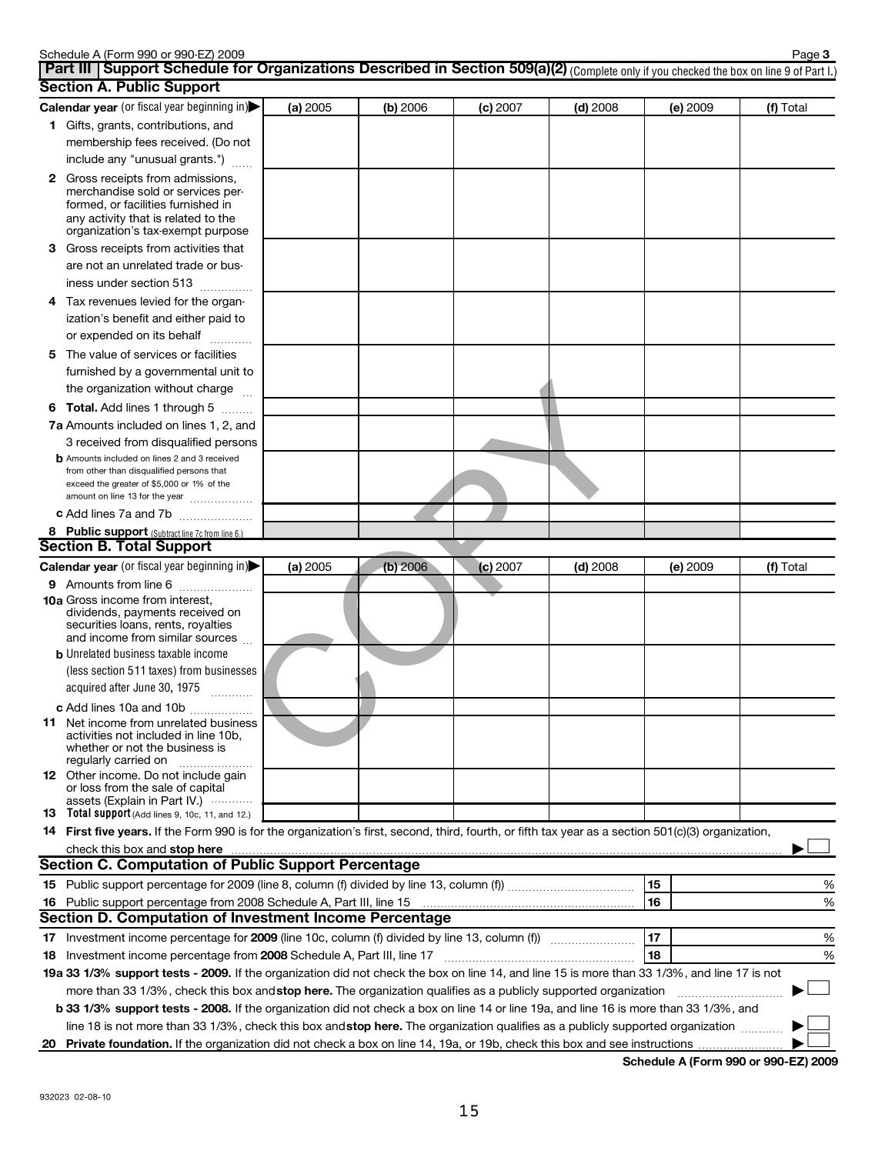|    | Part III   Support Schedule for Organizations Described in Section 509(a)(2) (Complete only if you checked the box on line 9 of Part I.)                                                                                                                              |          |          |          |            |          |           |
|----|-----------------------------------------------------------------------------------------------------------------------------------------------------------------------------------------------------------------------------------------------------------------------|----------|----------|----------|------------|----------|-----------|
|    | <b>Section A. Public Support</b>                                                                                                                                                                                                                                      |          |          |          |            |          |           |
|    | Calendar year (or fiscal year beginning in)                                                                                                                                                                                                                           | (a) 2005 | (b) 2006 | (c) 2007 | $(d)$ 2008 | (e) 2009 | (f) Total |
|    | 1 Gifts, grants, contributions, and<br>membership fees received. (Do not                                                                                                                                                                                              |          |          |          |            |          |           |
|    | include any "unusual grants.")                                                                                                                                                                                                                                        |          |          |          |            |          |           |
|    | <b>2</b> Gross receipts from admissions,<br>merchandise sold or services per-<br>formed, or facilities furnished in<br>any activity that is related to the<br>organization's tax-exempt purpose                                                                       |          |          |          |            |          |           |
|    | <b>3</b> Gross receipts from activities that<br>are not an unrelated trade or bus-<br>iness under section 513                                                                                                                                                         |          |          |          |            |          |           |
| 4  | Tax revenues levied for the organ-<br>ization's benefit and either paid to<br>or expended on its behalf                                                                                                                                                               |          |          |          |            |          |           |
| 5  | The value of services or facilities<br>furnished by a governmental unit to<br>the organization without charge                                                                                                                                                         |          |          |          |            |          |           |
|    | 6 Total. Add lines 1 through 5                                                                                                                                                                                                                                        |          |          |          |            |          |           |
|    | 7a Amounts included on lines 1, 2, and                                                                                                                                                                                                                                |          |          |          |            |          |           |
|    | 3 received from disqualified persons<br><b>b</b> Amounts included on lines 2 and 3 received<br>from other than disqualified persons that                                                                                                                              |          |          |          |            |          |           |
|    | exceed the greater of \$5,000 or 1% of the<br>amount on line 13 for the year                                                                                                                                                                                          |          |          |          |            |          |           |
|    | c Add lines 7a and 7b                                                                                                                                                                                                                                                 |          |          |          |            |          |           |
|    | 8 Public support (Subtract line 7c from line 6.)                                                                                                                                                                                                                      |          |          |          |            |          |           |
|    | <b>Section B. Total Support</b>                                                                                                                                                                                                                                       |          |          |          |            |          |           |
|    | Calendar year (or fiscal year beginning in)                                                                                                                                                                                                                           | (a) 2005 | (b) 2006 | (c) 2007 | $(d)$ 2008 | (e) 2009 | (f) Total |
|    | 9 Amounts from line 6<br><b>10a</b> Gross income from interest,<br>dividends, payments received on<br>securities loans, rents, royalties<br>and income from similar sources<br><b>b</b> Unrelated business taxable income<br>(less section 511 taxes) from businesses |          |          |          |            |          |           |
|    | acquired after June 30, 1975<br>.                                                                                                                                                                                                                                     |          |          |          |            |          |           |
|    | c Add lines 10a and 10b<br>11 Net income from unrelated business<br>activities not included in line 10b,<br>whether or not the business is<br>regularly carried on                                                                                                    |          |          |          |            |          |           |
|    | <b>12</b> Other income. Do not include gain<br>or loss from the sale of capital<br>assets (Explain in Part IV.)<br>13 Total support (Add lines 9, 10c, 11, and 12.)                                                                                                   |          |          |          |            |          |           |
|    | 14 First five years. If the Form 990 is for the organization's first, second, third, fourth, or fifth tax year as a section 501(c)(3) organization,                                                                                                                   |          |          |          |            |          |           |
|    | check this box and stop here www.communication.communication.com/                                                                                                                                                                                                     |          |          |          |            |          |           |
|    | <b>Section C. Computation of Public Support Percentage</b>                                                                                                                                                                                                            |          |          |          |            |          |           |
|    |                                                                                                                                                                                                                                                                       |          |          |          |            | 15       | %         |
| 16 | Public support percentage from 2008 Schedule A, Part III, line 15 [11] manu-contract manu-contract providers i                                                                                                                                                        |          |          |          |            | 16       | %         |
|    | Section D. Computation of Investment Income Percentage                                                                                                                                                                                                                |          |          |          |            |          |           |
|    |                                                                                                                                                                                                                                                                       |          |          |          |            | 17       | %         |
|    |                                                                                                                                                                                                                                                                       |          |          |          |            | 18       | %         |
|    | 19a 33 1/3% support tests - 2009. If the organization did not check the box on line 14, and line 15 is more than 33 1/3%, and line 17 is not                                                                                                                          |          |          |          |            |          |           |
|    | more than 33 1/3%, check this box and stop here. The organization qualifies as a publicly supported organization<br>b 33 1/3% support tests - 2008. If the organization did not check a box on line 14 or line 19a, and line 16 is more than 33 1/3%, and             |          |          |          |            |          |           |
|    | line 18 is not more than 33 1/3%, check this box and stop here. The organization qualifies as a publicly supported organization                                                                                                                                       |          |          |          |            |          |           |
|    |                                                                                                                                                                                                                                                                       |          |          |          |            |          |           |

**Schedule A (Form 990 or 990-EZ) 2009**

**Page 3** 

Schedule A (Form 990 or 990-EZ) 2009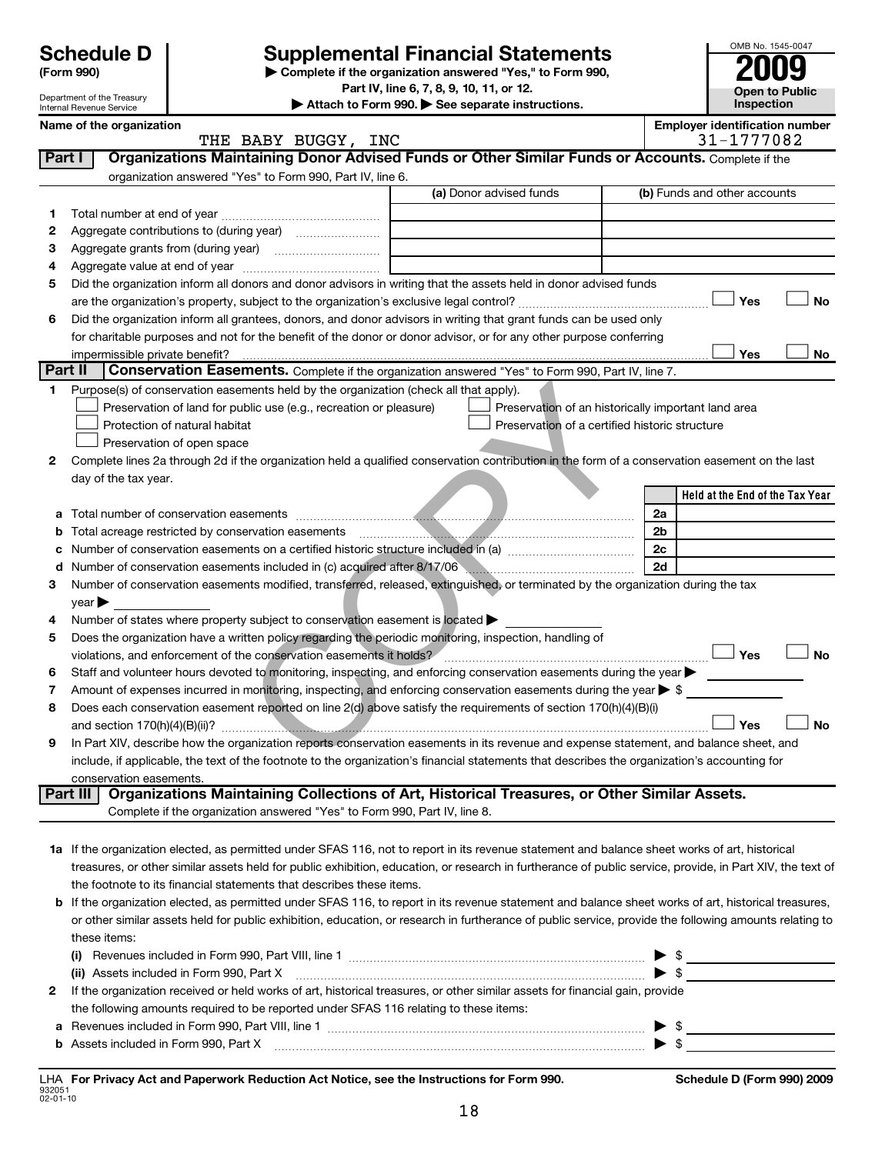### **Supplemental Financial Statements**

**(Form 990) | Complete if the organization answered "Yes," to Form 990,**

**Part IV, line 6, 7, 8, 9, 10, 11, or 12.**

| OMB No. 1545-0047     |
|-----------------------|
|                       |
| 2009                  |
| <b>Open to Public</b> |
| Inspection            |

|          |                                  | Department of the Treasury<br>Internal Revenue Service |                                                                                                                                                                                                                                         | Attach to Form 990. See separate instructions. |  |                                                     |                          |                                       | Inspection |           |
|----------|----------------------------------|--------------------------------------------------------|-----------------------------------------------------------------------------------------------------------------------------------------------------------------------------------------------------------------------------------------|------------------------------------------------|--|-----------------------------------------------------|--------------------------|---------------------------------------|------------|-----------|
|          |                                  | Name of the organization                               |                                                                                                                                                                                                                                         |                                                |  |                                                     |                          | <b>Employer identification number</b> |            |           |
|          |                                  |                                                        |                                                                                                                                                                                                                                         | THE BABY BUGGY, INC                            |  |                                                     |                          | 31-1777082                            |            |           |
|          | Part I                           |                                                        | Organizations Maintaining Donor Advised Funds or Other Similar Funds or Accounts. Complete if the                                                                                                                                       |                                                |  |                                                     |                          |                                       |            |           |
|          |                                  |                                                        | organization answered "Yes" to Form 990, Part IV, line 6.                                                                                                                                                                               |                                                |  |                                                     |                          |                                       |            |           |
|          |                                  |                                                        |                                                                                                                                                                                                                                         |                                                |  | (a) Donor advised funds                             |                          | (b) Funds and other accounts          |            |           |
| 1.       |                                  |                                                        |                                                                                                                                                                                                                                         |                                                |  |                                                     |                          |                                       |            |           |
| 2        |                                  |                                                        |                                                                                                                                                                                                                                         |                                                |  |                                                     |                          |                                       |            |           |
| 3        |                                  |                                                        |                                                                                                                                                                                                                                         |                                                |  |                                                     |                          |                                       |            |           |
| 4        |                                  |                                                        |                                                                                                                                                                                                                                         |                                                |  |                                                     |                          |                                       |            |           |
| 5        |                                  |                                                        | Did the organization inform all donors and donor advisors in writing that the assets held in donor advised funds                                                                                                                        |                                                |  |                                                     |                          |                                       |            |           |
|          |                                  |                                                        |                                                                                                                                                                                                                                         |                                                |  |                                                     |                          | Yes                                   |            | No        |
| 6        |                                  |                                                        | Did the organization inform all grantees, donors, and donor advisors in writing that grant funds can be used only<br>for charitable purposes and not for the benefit of the donor or donor advisor, or for any other purpose conferring |                                                |  |                                                     |                          |                                       |            |           |
|          |                                  | impermissible private benefit?                         |                                                                                                                                                                                                                                         |                                                |  |                                                     |                          | Yes                                   |            | No        |
| Part II  |                                  |                                                        | Conservation Easements. Complete if the organization answered "Yes" to Form 990, Part IV, line 7.                                                                                                                                       |                                                |  |                                                     |                          |                                       |            |           |
| 1.       |                                  |                                                        | Purpose(s) of conservation easements held by the organization (check all that apply).                                                                                                                                                   |                                                |  |                                                     |                          |                                       |            |           |
|          |                                  |                                                        | Preservation of land for public use (e.g., recreation or pleasure)                                                                                                                                                                      |                                                |  | Preservation of an historically important land area |                          |                                       |            |           |
|          |                                  |                                                        | Protection of natural habitat                                                                                                                                                                                                           |                                                |  | Preservation of a certified historic structure      |                          |                                       |            |           |
|          |                                  |                                                        | Preservation of open space                                                                                                                                                                                                              |                                                |  |                                                     |                          |                                       |            |           |
| 2        |                                  |                                                        | Complete lines 2a through 2d if the organization held a qualified conservation contribution in the form of a conservation easement on the last                                                                                          |                                                |  |                                                     |                          |                                       |            |           |
|          |                                  | day of the tax year.                                   |                                                                                                                                                                                                                                         |                                                |  |                                                     |                          |                                       |            |           |
|          |                                  |                                                        |                                                                                                                                                                                                                                         |                                                |  |                                                     |                          | Held at the End of the Tax Year       |            |           |
| а        |                                  |                                                        |                                                                                                                                                                                                                                         |                                                |  |                                                     | 2a                       |                                       |            |           |
| b        |                                  |                                                        | Total acreage restricted by conservation easements                                                                                                                                                                                      |                                                |  |                                                     | 2b                       |                                       |            |           |
| с        |                                  |                                                        |                                                                                                                                                                                                                                         |                                                |  |                                                     | 2c                       |                                       |            |           |
|          |                                  |                                                        |                                                                                                                                                                                                                                         |                                                |  |                                                     | 2d                       |                                       |            |           |
| З        |                                  |                                                        | Number of conservation easements modified, transferred, released, extinguished, or terminated by the organization during the tax                                                                                                        |                                                |  |                                                     |                          |                                       |            |           |
|          | $\vee$ ear $\blacktriangleright$ |                                                        |                                                                                                                                                                                                                                         |                                                |  |                                                     |                          |                                       |            |           |
| 4        |                                  |                                                        | Number of states where property subject to conservation easement is located $\blacktriangleright$                                                                                                                                       |                                                |  |                                                     |                          |                                       |            |           |
| 5        |                                  |                                                        | Does the organization have a written policy regarding the periodic monitoring, inspection, handling of                                                                                                                                  |                                                |  |                                                     |                          | Yes                                   |            | <b>No</b> |
|          |                                  |                                                        | violations, and enforcement of the conservation easements it holds?<br>Staff and volunteer hours devoted to monitoring, inspecting, and enforcing conservation easements during the year                                                |                                                |  |                                                     |                          |                                       |            |           |
| 6<br>7   |                                  |                                                        | Amount of expenses incurred in monitoring, inspecting, and enforcing conservation easements during the year $\triangleright$ \$                                                                                                         |                                                |  |                                                     |                          |                                       |            |           |
| 8        |                                  |                                                        | Does each conservation easement reported on line 2(d) above satisfy the requirements of section 170(h)(4)(B)(i)                                                                                                                         |                                                |  |                                                     |                          |                                       |            |           |
|          |                                  |                                                        |                                                                                                                                                                                                                                         |                                                |  |                                                     |                          |                                       | Yes        | <b>No</b> |
| 9        |                                  |                                                        | In Part XIV, describe how the organization reports conservation easements in its revenue and expense statement, and balance sheet, and                                                                                                  |                                                |  |                                                     |                          |                                       |            |           |
|          |                                  |                                                        | include, if applicable, the text of the footnote to the organization's financial statements that describes the organization's accounting for                                                                                            |                                                |  |                                                     |                          |                                       |            |           |
|          |                                  | conservation easements.                                |                                                                                                                                                                                                                                         |                                                |  |                                                     |                          |                                       |            |           |
| Part III |                                  |                                                        | Organizations Maintaining Collections of Art, Historical Treasures, or Other Similar Assets.                                                                                                                                            |                                                |  |                                                     |                          |                                       |            |           |
|          |                                  |                                                        | Complete if the organization answered "Yes" to Form 990, Part IV, line 8.                                                                                                                                                               |                                                |  |                                                     |                          |                                       |            |           |
|          |                                  |                                                        |                                                                                                                                                                                                                                         |                                                |  |                                                     |                          |                                       |            |           |
|          |                                  |                                                        | 1a If the organization elected, as permitted under SFAS 116, not to report in its revenue statement and balance sheet works of art, historical                                                                                          |                                                |  |                                                     |                          |                                       |            |           |
|          |                                  |                                                        | treasures, or other similar assets held for public exhibition, education, or research in furtherance of public service, provide, in Part XIV, the text of                                                                               |                                                |  |                                                     |                          |                                       |            |           |
|          |                                  |                                                        | the footnote to its financial statements that describes these items.                                                                                                                                                                    |                                                |  |                                                     |                          |                                       |            |           |
|          |                                  |                                                        | <b>b</b> If the organization elected, as permitted under SFAS 116, to report in its revenue statement and balance sheet works of art, historical treasures,                                                                             |                                                |  |                                                     |                          |                                       |            |           |
|          |                                  |                                                        | or other similar assets held for public exhibition, education, or research in furtherance of public service, provide the following amounts relating to                                                                                  |                                                |  |                                                     |                          |                                       |            |           |
|          |                                  | these items:                                           |                                                                                                                                                                                                                                         |                                                |  |                                                     |                          |                                       |            |           |
|          |                                  |                                                        |                                                                                                                                                                                                                                         |                                                |  |                                                     |                          | $\frac{1}{2}$                         |            |           |
|          |                                  |                                                        | (ii) Assets included in Form 990, Part X                                                                                                                                                                                                |                                                |  |                                                     |                          | $\blacktriangleright$ s               |            |           |
| 2        |                                  |                                                        | If the organization received or held works of art, historical treasures, or other similar assets for financial gain, provide                                                                                                            |                                                |  |                                                     |                          |                                       |            |           |
|          |                                  |                                                        | the following amounts required to be reported under SFAS 116 relating to these items:                                                                                                                                                   |                                                |  |                                                     |                          |                                       |            |           |
|          |                                  |                                                        |                                                                                                                                                                                                                                         |                                                |  |                                                     | $\blacktriangleright$ \$ |                                       |            |           |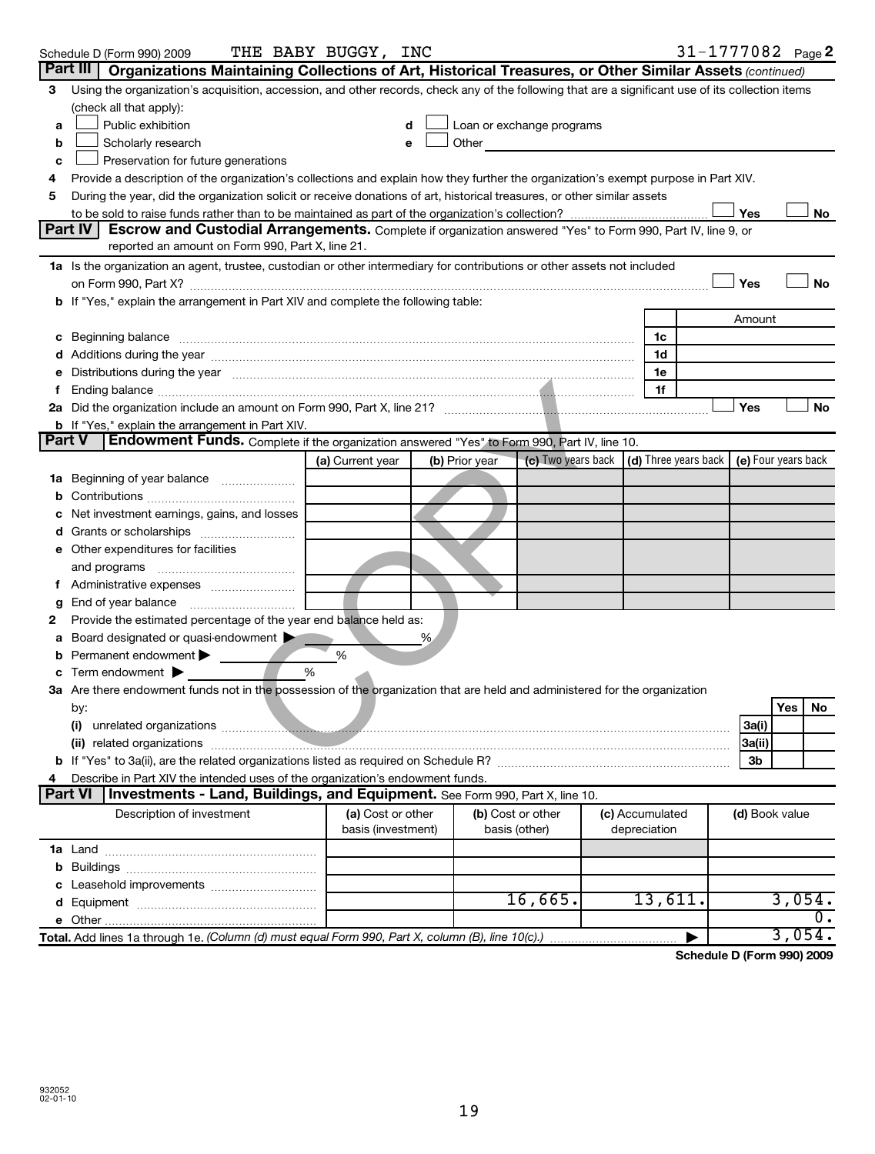|               | Schedule D (Form 990) 2009                                                                                                                                                                                                                               | THE BABY BUGGY, INC                     |                |                                    |  |                                                         | 31-1777082 Page 2 |                     |  |  |
|---------------|----------------------------------------------------------------------------------------------------------------------------------------------------------------------------------------------------------------------------------------------------------|-----------------------------------------|----------------|------------------------------------|--|---------------------------------------------------------|-------------------|---------------------|--|--|
| Part III      | Organizations Maintaining Collections of Art, Historical Treasures, or Other Similar Assets (continued)                                                                                                                                                  |                                         |                |                                    |  |                                                         |                   |                     |  |  |
| 3             | Using the organization's acquisition, accession, and other records, check any of the following that are a significant use of its collection items                                                                                                        |                                         |                |                                    |  |                                                         |                   |                     |  |  |
|               | (check all that apply):                                                                                                                                                                                                                                  |                                         |                |                                    |  |                                                         |                   |                     |  |  |
| a             | Public exhibition<br>Loan or exchange programs<br>d                                                                                                                                                                                                      |                                         |                |                                    |  |                                                         |                   |                     |  |  |
| b             | Other and the contract of the contract of the contract of the contract of the contract of the contract of the contract of the contract of the contract of the contract of the contract of the contract of the contract of the<br>Scholarly research<br>e |                                         |                |                                    |  |                                                         |                   |                     |  |  |
| c             | Preservation for future generations                                                                                                                                                                                                                      |                                         |                |                                    |  |                                                         |                   |                     |  |  |
| 4             | Provide a description of the organization's collections and explain how they further the organization's exempt purpose in Part XIV.                                                                                                                      |                                         |                |                                    |  |                                                         |                   |                     |  |  |
| 5             | During the year, did the organization solicit or receive donations of art, historical treasures, or other similar assets                                                                                                                                 |                                         |                |                                    |  |                                                         |                   |                     |  |  |
|               |                                                                                                                                                                                                                                                          |                                         |                |                                    |  |                                                         | Yes               | No.                 |  |  |
|               | Part IV<br>Escrow and Custodial Arrangements. Complete if organization answered "Yes" to Form 990, Part IV, line 9, or                                                                                                                                   |                                         |                |                                    |  |                                                         |                   |                     |  |  |
|               | reported an amount on Form 990, Part X, line 21.                                                                                                                                                                                                         |                                         |                |                                    |  |                                                         |                   |                     |  |  |
|               | 1a Is the organization an agent, trustee, custodian or other intermediary for contributions or other assets not included                                                                                                                                 |                                         |                |                                    |  |                                                         |                   |                     |  |  |
|               |                                                                                                                                                                                                                                                          |                                         |                |                                    |  |                                                         | Yes               | <b>No</b>           |  |  |
| b             | If "Yes," explain the arrangement in Part XIV and complete the following table:                                                                                                                                                                          |                                         |                |                                    |  |                                                         |                   |                     |  |  |
|               |                                                                                                                                                                                                                                                          |                                         |                |                                    |  |                                                         | Amount            |                     |  |  |
| с             | Beginning balance <b>communications</b> and the contract of the contract of the contract of the contract of the contract of the contract of the contract of the contract of the contract of the contract of the contract of the con                      |                                         |                |                                    |  | 1c                                                      |                   |                     |  |  |
|               | Additions during the year manufactured and an account of the year and year and year and year and year and year                                                                                                                                           |                                         |                |                                    |  | 1d                                                      |                   |                     |  |  |
|               | Distributions during the year measurement contains and the state of the state of the state of the state of the                                                                                                                                           |                                         |                |                                    |  | 1е                                                      |                   |                     |  |  |
| f.            |                                                                                                                                                                                                                                                          |                                         |                |                                    |  | 1f                                                      |                   |                     |  |  |
|               |                                                                                                                                                                                                                                                          |                                         |                |                                    |  |                                                         | Yes               | No                  |  |  |
|               | <b>b</b> If "Yes," explain the arrangement in Part XIV.                                                                                                                                                                                                  |                                         |                |                                    |  |                                                         |                   |                     |  |  |
| <b>Part V</b> | Endowment Funds. Complete if the organization answered "Yes" to Form 990, Part IV, line 10.                                                                                                                                                              |                                         |                |                                    |  |                                                         |                   |                     |  |  |
|               |                                                                                                                                                                                                                                                          | (a) Current year                        | (b) Prior year |                                    |  | (c) Two years back $\vert$ (d) Three years back $\vert$ |                   | (e) Four years back |  |  |
| 1a            | Beginning of year balance                                                                                                                                                                                                                                |                                         |                |                                    |  |                                                         |                   |                     |  |  |
| b             |                                                                                                                                                                                                                                                          |                                         |                |                                    |  |                                                         |                   |                     |  |  |
|               | Net investment earnings, gains, and losses                                                                                                                                                                                                               |                                         |                |                                    |  |                                                         |                   |                     |  |  |
| d             |                                                                                                                                                                                                                                                          |                                         |                |                                    |  |                                                         |                   |                     |  |  |
|               | e Other expenditures for facilities                                                                                                                                                                                                                      |                                         |                |                                    |  |                                                         |                   |                     |  |  |
|               | and programs                                                                                                                                                                                                                                             |                                         |                |                                    |  |                                                         |                   |                     |  |  |
| τ.            |                                                                                                                                                                                                                                                          |                                         |                |                                    |  |                                                         |                   |                     |  |  |
| g             | End of year balance                                                                                                                                                                                                                                      |                                         |                |                                    |  |                                                         |                   |                     |  |  |
| 2             | Provide the estimated percentage of the year end balance held as:                                                                                                                                                                                        |                                         |                |                                    |  |                                                         |                   |                     |  |  |
| а             | Board designated or quasi-endowment                                                                                                                                                                                                                      |                                         | %              |                                    |  |                                                         |                   |                     |  |  |
| b             | Permanent endowment                                                                                                                                                                                                                                      | %                                       |                |                                    |  |                                                         |                   |                     |  |  |
|               | Term endowment $\blacktriangleright$                                                                                                                                                                                                                     | %                                       |                |                                    |  |                                                         |                   |                     |  |  |
|               | 3a Are there endowment funds not in the possession of the organization that are held and administered for the organization                                                                                                                               |                                         |                |                                    |  |                                                         |                   |                     |  |  |
|               | by:                                                                                                                                                                                                                                                      |                                         |                |                                    |  |                                                         |                   | Yes<br><b>NO</b>    |  |  |
|               |                                                                                                                                                                                                                                                          |                                         |                |                                    |  |                                                         | 3a(i)             |                     |  |  |
|               | (ii) related organizations                                                                                                                                                                                                                               |                                         |                |                                    |  |                                                         | 3a(ii)            |                     |  |  |
|               |                                                                                                                                                                                                                                                          |                                         |                |                                    |  |                                                         | 3b                |                     |  |  |
|               | Describe in Part XIV the intended uses of the organization's endowment funds.                                                                                                                                                                            |                                         |                |                                    |  |                                                         |                   |                     |  |  |
|               | Part VI<br><b>Investments - Land, Buildings, and Equipment.</b> See Form 990, Part X, line 10.                                                                                                                                                           |                                         |                |                                    |  |                                                         |                   |                     |  |  |
|               | Description of investment                                                                                                                                                                                                                                | (a) Cost or other<br>basis (investment) |                | (b) Cost or other<br>basis (other) |  | (c) Accumulated<br>depreciation                         | (d) Book value    |                     |  |  |
|               |                                                                                                                                                                                                                                                          |                                         |                |                                    |  |                                                         |                   |                     |  |  |
|               |                                                                                                                                                                                                                                                          |                                         |                |                                    |  |                                                         |                   |                     |  |  |
|               |                                                                                                                                                                                                                                                          |                                         |                |                                    |  |                                                         |                   |                     |  |  |
|               |                                                                                                                                                                                                                                                          |                                         |                | 16,665.                            |  | 13,611.                                                 |                   | 3,054.              |  |  |
| е             |                                                                                                                                                                                                                                                          |                                         |                |                                    |  |                                                         |                   | υ.                  |  |  |
|               | Total. Add lines 1a through 1e. (Column (d) must equal Form 990, Part X, column (B), line 10(c).)                                                                                                                                                        |                                         |                |                                    |  |                                                         |                   | 3,054.              |  |  |

**Schedule D (Form 990) 2009**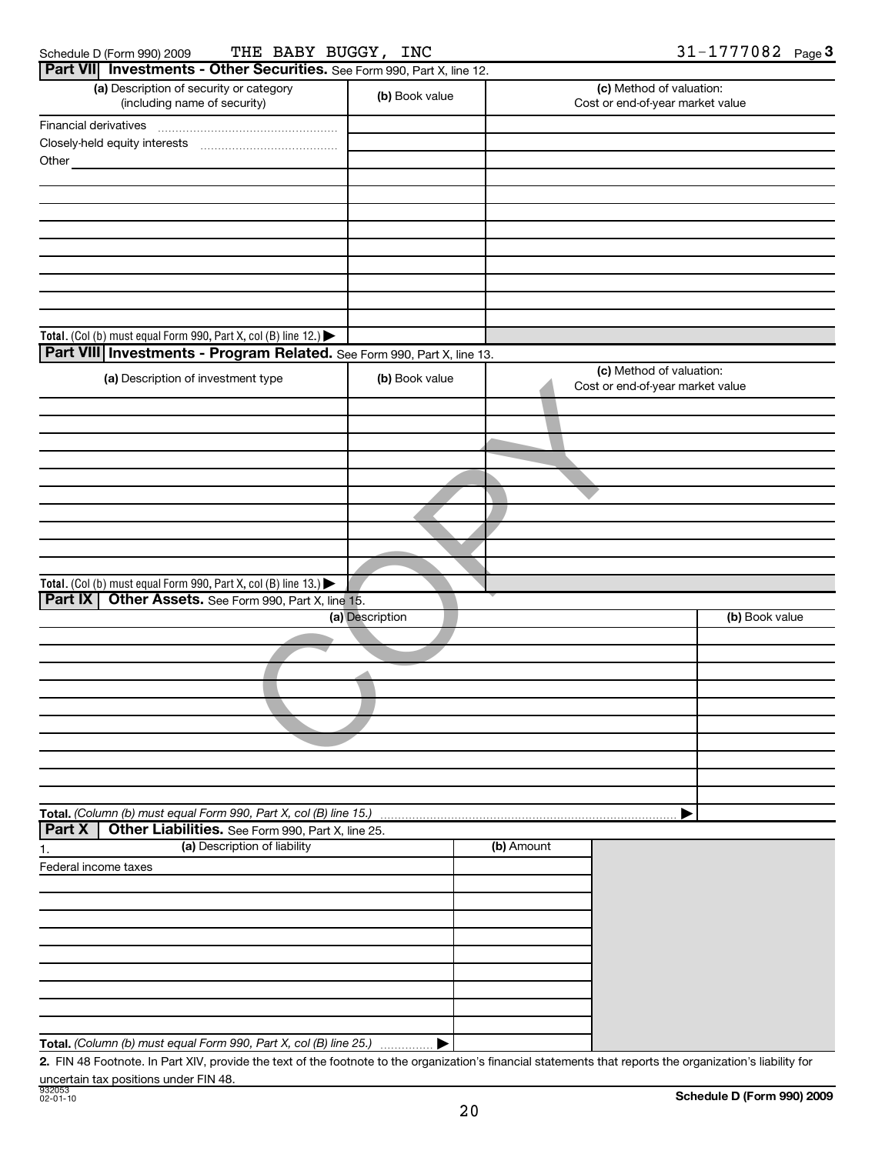| Schedule D (Form 990) 2009 |  |  |  |
|----------------------------|--|--|--|
|----------------------------|--|--|--|

Schedule D (Form 990) 2009  $\;$  THE BABY BUGGY, INC  $\;$  31-1777082 Page

|--|

|                       | Part VII Investments - Other Securities. See Form 990, Part X, line 12. |                 |            |                                                              |                |
|-----------------------|-------------------------------------------------------------------------|-----------------|------------|--------------------------------------------------------------|----------------|
|                       | (a) Description of security or category<br>(including name of security) | (b) Book value  |            | (c) Method of valuation:<br>Cost or end-of-year market value |                |
| Financial derivatives |                                                                         |                 |            |                                                              |                |
|                       |                                                                         |                 |            |                                                              |                |
| Other_                |                                                                         |                 |            |                                                              |                |
|                       |                                                                         |                 |            |                                                              |                |
|                       |                                                                         |                 |            |                                                              |                |
|                       |                                                                         |                 |            |                                                              |                |
|                       |                                                                         |                 |            |                                                              |                |
|                       |                                                                         |                 |            |                                                              |                |
|                       |                                                                         |                 |            |                                                              |                |
|                       |                                                                         |                 |            |                                                              |                |
|                       |                                                                         |                 |            |                                                              |                |
|                       |                                                                         |                 |            |                                                              |                |
|                       |                                                                         |                 |            |                                                              |                |
|                       | Total. (Col (b) must equal Form 990, Part X, col (B) line 12.)          |                 |            |                                                              |                |
|                       | Part VIII Investments - Program Related. See Form 990, Part X, line 13. |                 |            |                                                              |                |
|                       | (a) Description of investment type                                      | (b) Book value  |            | (c) Method of valuation:<br>Cost or end-of-year market value |                |
|                       |                                                                         |                 |            |                                                              |                |
|                       |                                                                         |                 |            |                                                              |                |
|                       |                                                                         |                 |            |                                                              |                |
|                       |                                                                         |                 |            |                                                              |                |
|                       |                                                                         |                 |            |                                                              |                |
|                       |                                                                         |                 |            |                                                              |                |
|                       |                                                                         |                 |            |                                                              |                |
|                       |                                                                         |                 |            |                                                              |                |
|                       |                                                                         |                 |            |                                                              |                |
|                       |                                                                         |                 |            |                                                              |                |
|                       |                                                                         |                 |            |                                                              |                |
|                       | Total. (Col (b) must equal Form 990, Part X, col (B) line 13.)          |                 |            |                                                              |                |
| Part IX               | Other Assets. See Form 990, Part X, line 15.                            |                 |            |                                                              |                |
|                       |                                                                         | (a) Description |            |                                                              | (b) Book value |
|                       |                                                                         |                 |            |                                                              |                |
|                       |                                                                         |                 |            |                                                              |                |
|                       |                                                                         |                 |            |                                                              |                |
|                       |                                                                         |                 |            |                                                              |                |
|                       |                                                                         |                 |            |                                                              |                |
|                       |                                                                         |                 |            |                                                              |                |
|                       |                                                                         |                 |            |                                                              |                |
|                       |                                                                         |                 |            |                                                              |                |
|                       |                                                                         |                 |            |                                                              |                |
|                       |                                                                         |                 |            |                                                              |                |
|                       | Total. (Column (b) must equal Form 990, Part X, col (B) line 15.)       |                 |            |                                                              |                |
| <b>Part X</b>         | Other Liabilities. See Form 990, Part X, line 25.                       |                 |            |                                                              |                |
| 1.                    | (a) Description of liability                                            |                 | (b) Amount |                                                              |                |
|                       | Federal income taxes                                                    |                 |            |                                                              |                |
|                       |                                                                         |                 |            |                                                              |                |
|                       |                                                                         |                 |            |                                                              |                |
|                       |                                                                         |                 |            |                                                              |                |
|                       |                                                                         |                 |            |                                                              |                |
|                       |                                                                         |                 |            |                                                              |                |
|                       |                                                                         |                 |            |                                                              |                |
|                       |                                                                         |                 |            |                                                              |                |
|                       |                                                                         |                 |            |                                                              |                |
|                       |                                                                         |                 |            |                                                              |                |
|                       |                                                                         |                 |            |                                                              |                |
|                       | Total. (Column (b) must equal Form 990, Part X, col (B) line 25.)       |                 |            |                                                              |                |

**2.** FIN 48 Footnote. In Part XIV, provide the text of the footnote to the organization's financial statements that reports the organization's liability for uncertain tax positions under FIN 48.

20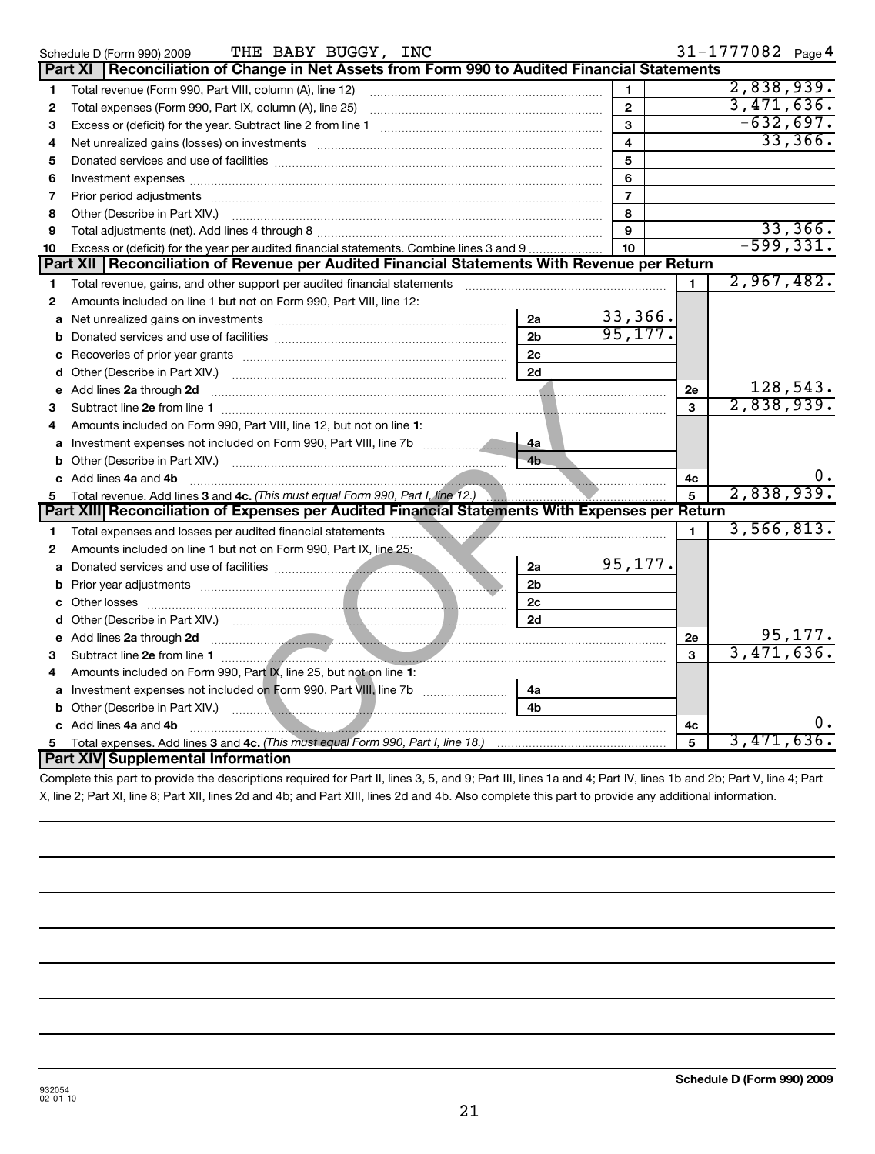|              | THE BABY BUGGY, INC<br>Schedule D (Form 990) 2009                                                                                                                                                                                    |                |                  |              | 31-1777082 Page 4 |            |
|--------------|--------------------------------------------------------------------------------------------------------------------------------------------------------------------------------------------------------------------------------------|----------------|------------------|--------------|-------------------|------------|
|              | Reconciliation of Change in Net Assets from Form 990 to Audited Financial Statements<br>Part XI                                                                                                                                      |                |                  |              |                   |            |
| 1            | Total revenue (Form 990, Part VIII, column (A), line 12)                                                                                                                                                                             |                | 1                |              | 2,838,939.        |            |
| 2            | Total expenses (Form 990, Part IX, column (A), line 25) [11] [2010] [2010] [2010] [2010] [2010] [2010] [2010] [                                                                                                                      |                | $\mathbf{2}$     |              | 3,471,636.        |            |
| 3            |                                                                                                                                                                                                                                      |                | 3                |              | $-632,697.$       |            |
| 4            | Net unrealized gains (losses) on investments [111] www.communicalizations.communications.com                                                                                                                                         |                | 4                |              |                   | $33,366$ . |
| 5            |                                                                                                                                                                                                                                      |                | 5                |              |                   |            |
| 6            |                                                                                                                                                                                                                                      |                | 6                |              |                   |            |
| 7            |                                                                                                                                                                                                                                      |                | $\overline{7}$   |              |                   |            |
| 8            | Other (Describe in Part XIV.) <b>Process and Container and Container and Container and Container and Container and Container and Container and Container and Container and Container and Container and Container and Container a</b> |                | 8                |              |                   |            |
| 9            | Total adjustments (net). Add lines 4 through 8 [[11] [12] matter content and adjustments (net). Add lines 4 through 8 [[11] matter content content and adjustments (net).                                                            |                | 9                |              |                   | 33,366.    |
| 10           | Excess or (deficit) for the year per audited financial statements. Combine lines 3 and 9                                                                                                                                             |                | 10 <sup>10</sup> |              | $-599, 331.$      |            |
|              | Part XII   Reconciliation of Revenue per Audited Financial Statements With Revenue per Return                                                                                                                                        |                |                  |              |                   |            |
| 1            |                                                                                                                                                                                                                                      |                |                  | $\mathbf{1}$ | 2,967,482.        |            |
| $\mathbf{2}$ | Amounts included on line 1 but not on Form 990, Part VIII, line 12:                                                                                                                                                                  |                |                  |              |                   |            |
| a            | Net unrealized gains on investments [11] Martin Martin Martin Martin Martin Martin Martin Martin Martin Martin                                                                                                                       | 2a             | 33,366.          |              |                   |            |
| b            |                                                                                                                                                                                                                                      | 2 <sub>b</sub> | 95, 177.         |              |                   |            |
| c            |                                                                                                                                                                                                                                      | 2 <sub>c</sub> |                  |              |                   |            |
| d            |                                                                                                                                                                                                                                      | 2d             |                  |              |                   |            |
| е            | Add lines 2a through 2d                                                                                                                                                                                                              |                |                  | 2e           |                   | 128,543.   |
| 3            |                                                                                                                                                                                                                                      |                |                  | 3            | 2,838,939.        |            |
| 4            | Amounts included on Form 990, Part VIII, line 12, but not on line 1:                                                                                                                                                                 |                |                  |              |                   |            |
| a            |                                                                                                                                                                                                                                      | 4a             |                  |              |                   |            |
| b            |                                                                                                                                                                                                                                      | 4 <sub>h</sub> |                  |              |                   |            |
|              | c Add lines 4a and 4b                                                                                                                                                                                                                |                |                  | 4c           |                   |            |
| 5            | Total revenue. Add lines 3 and 4c. (This must equal Form 990, Part I, line 12.)                                                                                                                                                      |                |                  | 5            | 2,838,939.        |            |
|              | Part XIII Reconciliation of Expenses per Audited Financial Statements With Expenses per Return                                                                                                                                       |                |                  |              |                   |            |
| 1            |                                                                                                                                                                                                                                      |                |                  | 1            | 3,566,813.        |            |
| $\mathbf{2}$ | Amounts included on line 1 but not on Form 990, Part IX, line 25:                                                                                                                                                                    |                |                  |              |                   |            |
| a            |                                                                                                                                                                                                                                      | 2a             | 95,177.          |              |                   |            |
| b            |                                                                                                                                                                                                                                      | 2 <sub>b</sub> |                  |              |                   |            |
| c            |                                                                                                                                                                                                                                      | 2c             |                  |              |                   |            |
| d            |                                                                                                                                                                                                                                      | 2d             |                  |              |                   |            |
| е            | Add lines 2a through 2d <b>matures</b> and the set of the set of the set of the set of the set of the set of the set of the set of the set of the set of the set of the set of the set of the set of the set of the set of the set   |                |                  | 2e           |                   | 95,177.    |
| 3            |                                                                                                                                                                                                                                      |                |                  | 3            | 3,471,636.        |            |
| 4            | Amounts included on Form 990, Part IX, line 25, but not on line 1:                                                                                                                                                                   |                |                  |              |                   |            |
| a            |                                                                                                                                                                                                                                      | 4a             |                  |              |                   |            |
| b            | Other (Describe in Part XIV.) <b>Contract Contract Contract Contract Contract Contract Contract Contract Contract Contract Contract Contract Contract Contract Contract Contract Contract Contract Contract Contract Contract Co</b> | 4 <sub>b</sub> |                  |              |                   |            |
|              | Add lines 4a and 4b                                                                                                                                                                                                                  |                |                  | 4c           |                   | ο.         |
| 5            |                                                                                                                                                                                                                                      |                |                  | 5            | 3,471,636.        |            |
|              | Part XIV Supplemental Information                                                                                                                                                                                                    |                |                  |              |                   |            |

Complete this part to provide the descriptions required for Part II, lines 3, 5, and 9; Part III, lines 1a and 4; Part IV, lines 1b and 2b; Part V, line 4; Part X, line 2; Part XI, line 8; Part XII, lines 2d and 4b; and Part XIII, lines 2d and 4b. Also complete this part to provide any additional information.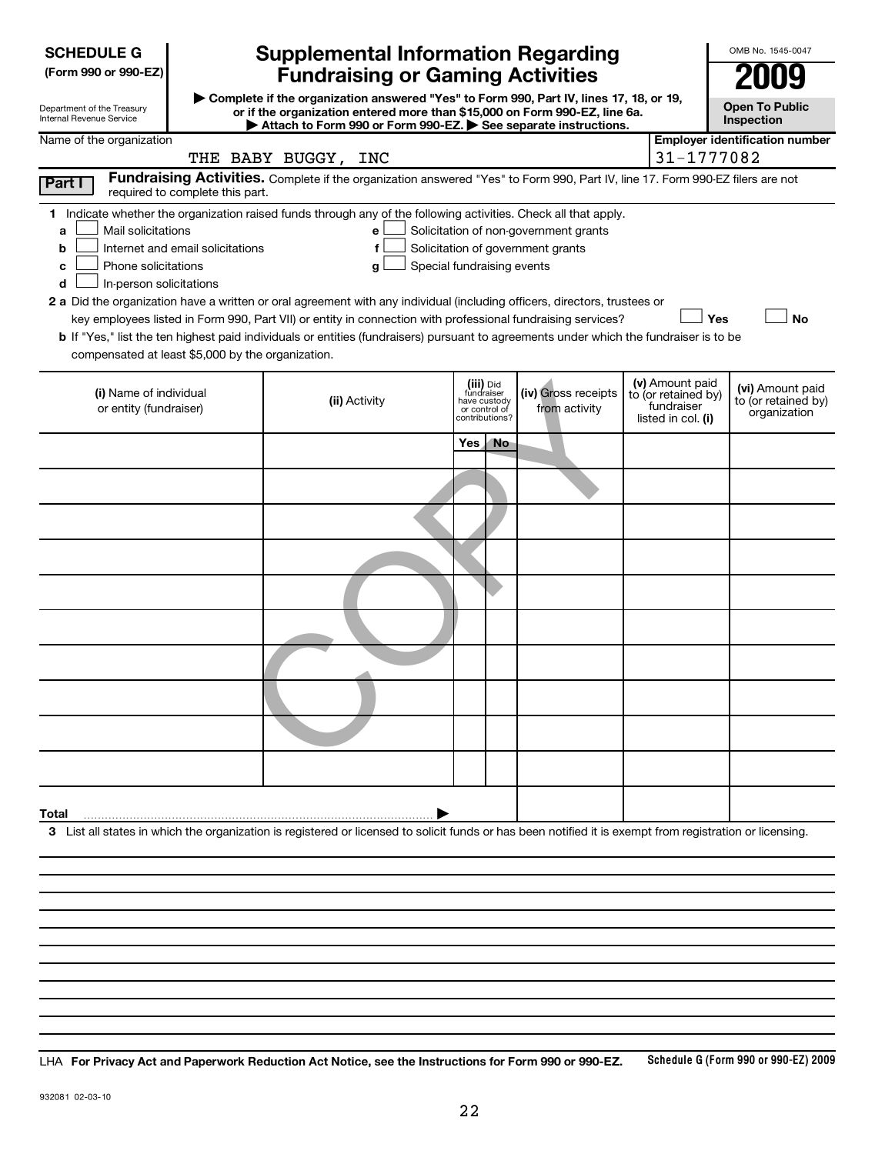| <b>SCHEDULE G</b>                                                                                                                                                                                                                                                                                                                                                                                                                                                                                                                              |                                                                                                                                                                      |                     |                                                      |       |                                                                            | <b>Supplemental Information Regarding</b>                                                                                                                                                 |  |                                                                            | OMB No. 1545-0047                                       |  |
|------------------------------------------------------------------------------------------------------------------------------------------------------------------------------------------------------------------------------------------------------------------------------------------------------------------------------------------------------------------------------------------------------------------------------------------------------------------------------------------------------------------------------------------------|----------------------------------------------------------------------------------------------------------------------------------------------------------------------|---------------------|------------------------------------------------------|-------|----------------------------------------------------------------------------|-------------------------------------------------------------------------------------------------------------------------------------------------------------------------------------------|--|----------------------------------------------------------------------------|---------------------------------------------------------|--|
| (Form 990 or 990-EZ)                                                                                                                                                                                                                                                                                                                                                                                                                                                                                                                           |                                                                                                                                                                      |                     | <b>Fundraising or Gaming Activities</b>              |       |                                                                            |                                                                                                                                                                                           |  |                                                                            |                                                         |  |
| Department of the Treasury<br>Internal Revenue Service                                                                                                                                                                                                                                                                                                                                                                                                                                                                                         | Complete if the organization answered "Yes" to Form 990, Part IV, lines 17, 18, or 19,<br>or if the organization entered more than \$15,000 on Form 990-EZ, line 6a. |                     | <b>Open To Public</b><br>Inspection                  |       |                                                                            |                                                                                                                                                                                           |  |                                                                            |                                                         |  |
| Name of the organization                                                                                                                                                                                                                                                                                                                                                                                                                                                                                                                       |                                                                                                                                                                      |                     |                                                      |       |                                                                            | Attach to Form 990 or Form 990-EZ. See separate instructions.                                                                                                                             |  |                                                                            | <b>Employer identification number</b>                   |  |
|                                                                                                                                                                                                                                                                                                                                                                                                                                                                                                                                                |                                                                                                                                                                      | THE BABY BUGGY, INC |                                                      |       |                                                                            |                                                                                                                                                                                           |  | 31-1777082                                                                 |                                                         |  |
| Part I                                                                                                                                                                                                                                                                                                                                                                                                                                                                                                                                         | required to complete this part.                                                                                                                                      |                     |                                                      |       |                                                                            | Fundraising Activities. Complete if the organization answered "Yes" to Form 990, Part IV, line 17. Form 990-EZ filers are not                                                             |  |                                                                            |                                                         |  |
| 1 Indicate whether the organization raised funds through any of the following activities. Check all that apply.<br>Mail solicitations<br>a<br>b<br>Phone solicitations<br>c<br>In-person solicitations<br>d<br>2 a Did the organization have a written or oral agreement with any individual (including officers, directors, trustees or<br><b>b</b> If "Yes," list the ten highest paid individuals or entities (fundraisers) pursuant to agreements under which the fundraiser is to be<br>compensated at least \$5,000 by the organization. | Internet and email solicitations                                                                                                                                     |                     | $\mathbf{e}$<br>f<br>Special fundraising events<br>g |       |                                                                            | Solicitation of non-government grants<br>Solicitation of government grants<br>key employees listed in Form 990, Part VII) or entity in connection with professional fundraising services? |  | Yes                                                                        | No                                                      |  |
| (i) Name of individual<br>or entity (fundraiser)                                                                                                                                                                                                                                                                                                                                                                                                                                                                                               |                                                                                                                                                                      |                     | (ii) Activity                                        |       | (iii) Did<br>fundraiser<br>have custody<br>or control of<br>contributions? | (iv) Gross receipts<br>from activity                                                                                                                                                      |  | (v) Amount paid<br>to (or retained by)<br>fundraiser<br>listed in col. (i) | (vi) Amount paid<br>to (or retained by)<br>organization |  |
|                                                                                                                                                                                                                                                                                                                                                                                                                                                                                                                                                |                                                                                                                                                                      |                     |                                                      | Yes , | <b>No</b>                                                                  |                                                                                                                                                                                           |  |                                                                            |                                                         |  |
|                                                                                                                                                                                                                                                                                                                                                                                                                                                                                                                                                |                                                                                                                                                                      |                     |                                                      |       |                                                                            |                                                                                                                                                                                           |  |                                                                            |                                                         |  |
|                                                                                                                                                                                                                                                                                                                                                                                                                                                                                                                                                |                                                                                                                                                                      |                     |                                                      |       |                                                                            |                                                                                                                                                                                           |  |                                                                            |                                                         |  |
|                                                                                                                                                                                                                                                                                                                                                                                                                                                                                                                                                |                                                                                                                                                                      |                     |                                                      |       |                                                                            |                                                                                                                                                                                           |  |                                                                            |                                                         |  |
|                                                                                                                                                                                                                                                                                                                                                                                                                                                                                                                                                |                                                                                                                                                                      |                     |                                                      |       |                                                                            |                                                                                                                                                                                           |  |                                                                            |                                                         |  |
|                                                                                                                                                                                                                                                                                                                                                                                                                                                                                                                                                |                                                                                                                                                                      |                     |                                                      |       |                                                                            |                                                                                                                                                                                           |  |                                                                            |                                                         |  |
|                                                                                                                                                                                                                                                                                                                                                                                                                                                                                                                                                |                                                                                                                                                                      |                     |                                                      |       |                                                                            |                                                                                                                                                                                           |  |                                                                            |                                                         |  |
|                                                                                                                                                                                                                                                                                                                                                                                                                                                                                                                                                |                                                                                                                                                                      |                     |                                                      |       |                                                                            |                                                                                                                                                                                           |  |                                                                            |                                                         |  |
|                                                                                                                                                                                                                                                                                                                                                                                                                                                                                                                                                |                                                                                                                                                                      |                     |                                                      |       |                                                                            |                                                                                                                                                                                           |  |                                                                            |                                                         |  |
|                                                                                                                                                                                                                                                                                                                                                                                                                                                                                                                                                |                                                                                                                                                                      |                     |                                                      |       |                                                                            |                                                                                                                                                                                           |  |                                                                            |                                                         |  |
| Total                                                                                                                                                                                                                                                                                                                                                                                                                                                                                                                                          |                                                                                                                                                                      |                     |                                                      |       |                                                                            |                                                                                                                                                                                           |  |                                                                            |                                                         |  |
| 3 List all states in which the organization is registered or licensed to solicit funds or has been notified it is exempt from registration or licensing.                                                                                                                                                                                                                                                                                                                                                                                       |                                                                                                                                                                      |                     |                                                      |       |                                                                            |                                                                                                                                                                                           |  |                                                                            |                                                         |  |
|                                                                                                                                                                                                                                                                                                                                                                                                                                                                                                                                                |                                                                                                                                                                      |                     |                                                      |       |                                                                            |                                                                                                                                                                                           |  |                                                                            |                                                         |  |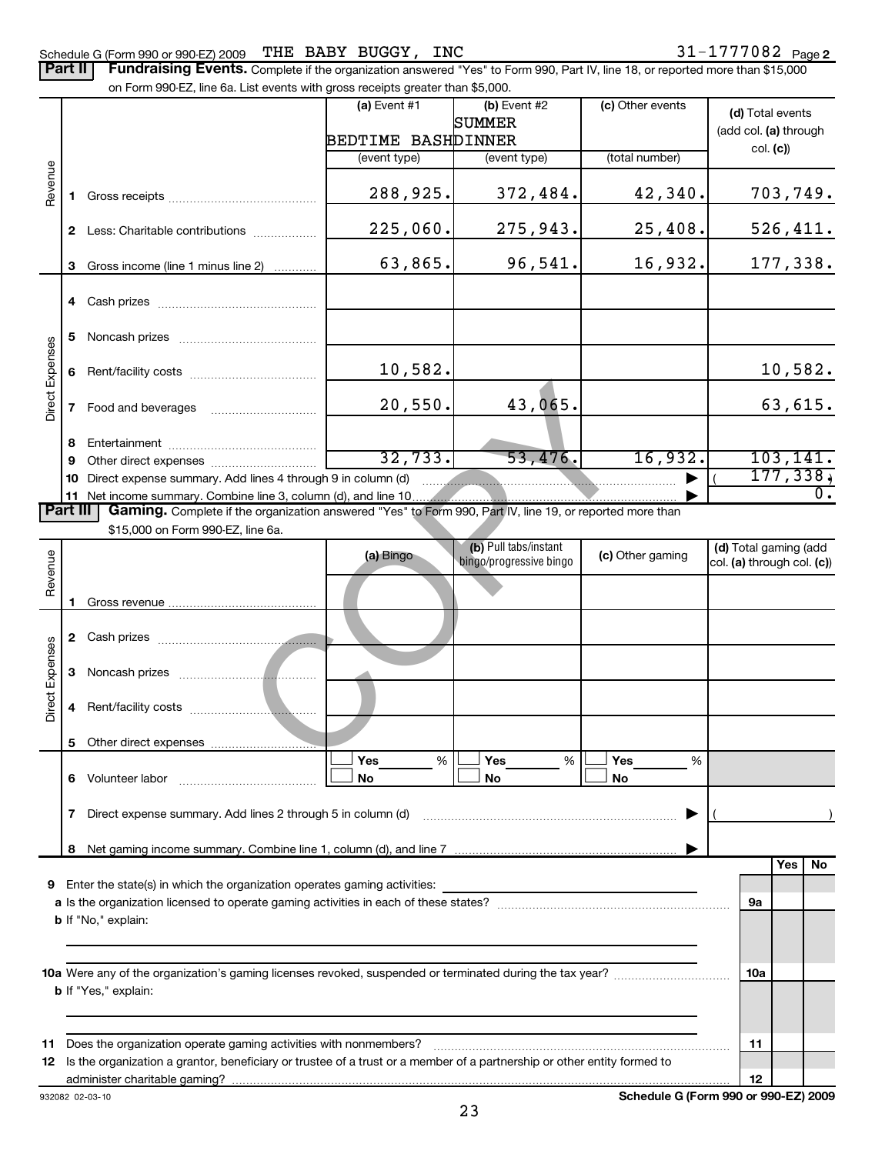#### Schedule G (Form 990 or 990-EZ) 2009 'I'HE' BABY BUGGY,INC 3 L-L///U 8 Z Page THE BABY BUGGY, INC

|                        | Part II  | Fundraising Events. Complete if the organization answered "Yes" to Form 990, Part IV, line 18, or reported more than \$15,000 |                    |                         |                  |                            |                  |                  |
|------------------------|----------|-------------------------------------------------------------------------------------------------------------------------------|--------------------|-------------------------|------------------|----------------------------|------------------|------------------|
|                        |          | on Form 990-EZ, line 6a. List events with gross receipts greater than \$5,000.                                                | (a) Event $#1$     |                         | (c) Other events |                            |                  |                  |
|                        |          |                                                                                                                               |                    | (b) Event #2<br>SUMMER  |                  |                            | (d) Total events |                  |
|                        |          |                                                                                                                               | BEDTIME BASHDINNER |                         |                  | (add col. (a) through      |                  |                  |
|                        |          |                                                                                                                               | (event type)       | (event type)            | (total number)   |                            | col. (c)         |                  |
|                        |          |                                                                                                                               |                    |                         |                  |                            |                  |                  |
| Revenue                | 1.       |                                                                                                                               | 288,925.           | 372,484.                | 42,340.          |                            | 703, 749.        |                  |
|                        |          |                                                                                                                               |                    |                         |                  |                            |                  |                  |
|                        |          | 2 Less: Charitable contributions                                                                                              | 225,060.           | 275,943.                | 25,408.          |                            | 526,411.         |                  |
|                        | З        | Gross income (line 1 minus line 2)                                                                                            | 63,865.            | 96,541.                 | 16,932.          |                            | 177,338.         |                  |
|                        |          |                                                                                                                               |                    |                         |                  |                            |                  |                  |
|                        | 4        |                                                                                                                               |                    |                         |                  |                            |                  |                  |
|                        |          |                                                                                                                               |                    |                         |                  |                            |                  |                  |
|                        | 5        |                                                                                                                               |                    |                         |                  |                            |                  |                  |
|                        |          |                                                                                                                               | 10,582.            |                         |                  |                            | 10,582.          |                  |
|                        | 6        |                                                                                                                               |                    |                         |                  |                            |                  |                  |
| <b>Direct Expenses</b> | 7        |                                                                                                                               | 20,550.            | 43,065.                 |                  |                            | 63,615.          |                  |
|                        |          |                                                                                                                               |                    |                         |                  |                            |                  |                  |
|                        | 8        |                                                                                                                               |                    |                         |                  |                            |                  |                  |
|                        | 9        |                                                                                                                               | 32,733.            | 53,476.                 | 16,932.          |                            | 103, 141.        |                  |
|                        | 10       | Direct expense summary. Add lines 4 through 9 in column (d)                                                                   |                    | $\blacksquare$          |                  |                            | 177, 338,        | $\overline{0}$ . |
|                        | Part III | Gaming. Complete if the organization answered "Yes" to Form 990, Part IV, line 19, or reported more than                      |                    |                         |                  |                            |                  |                  |
|                        |          | \$15,000 on Form 990-EZ, line 6a.                                                                                             |                    |                         |                  |                            |                  |                  |
|                        |          |                                                                                                                               | (a) Bingo          | (b) Pull tabs/instant   | (c) Other gaming | (d) Total gaming (add      |                  |                  |
| Revenue                |          |                                                                                                                               |                    | bingo/progressive bingo |                  | col. (a) through col. (c)) |                  |                  |
|                        |          |                                                                                                                               |                    |                         |                  |                            |                  |                  |
|                        | 1.       |                                                                                                                               |                    |                         |                  |                            |                  |                  |
|                        |          |                                                                                                                               |                    |                         |                  |                            |                  |                  |
|                        |          |                                                                                                                               |                    |                         |                  |                            |                  |                  |
| Direct Expenses        | 3        |                                                                                                                               |                    |                         |                  |                            |                  |                  |
|                        |          |                                                                                                                               |                    |                         |                  |                            |                  |                  |
|                        |          |                                                                                                                               |                    |                         |                  |                            |                  |                  |
|                        |          |                                                                                                                               |                    |                         |                  |                            |                  |                  |
|                        | 5        |                                                                                                                               | Yes<br>%           | <b>Yes</b><br>%         | Yes<br>%         |                            |                  |                  |
|                        | 6        | Volunteer labor<br><u> 1986 - Jan Berlin, Amerikaansk politiker (</u>                                                         | No                 | No                      | No               |                            |                  |                  |
|                        |          |                                                                                                                               |                    |                         |                  |                            |                  |                  |
|                        | 7        | Direct expense summary. Add lines 2 through 5 in column (d)                                                                   |                    |                         |                  |                            |                  |                  |
|                        |          |                                                                                                                               |                    |                         |                  |                            |                  |                  |
|                        | 8        |                                                                                                                               |                    |                         |                  |                            | Yes              | No               |
| 9                      |          | Enter the state(s) in which the organization operates gaming activities:                                                      |                    |                         |                  |                            |                  |                  |
|                        |          |                                                                                                                               |                    |                         |                  | 9а                         |                  |                  |
|                        |          | b If "No," explain:                                                                                                           |                    |                         |                  |                            |                  |                  |
|                        |          |                                                                                                                               |                    |                         |                  |                            |                  |                  |
|                        |          |                                                                                                                               |                    |                         |                  |                            |                  |                  |
|                        |          |                                                                                                                               |                    |                         |                  | 10a                        |                  |                  |
|                        |          | <b>b</b> If "Yes," explain:                                                                                                   |                    |                         |                  |                            |                  |                  |
|                        |          |                                                                                                                               |                    |                         |                  |                            |                  |                  |
| 11.                    |          | Does the organization operate gaming activities with nonmembers?                                                              |                    |                         |                  | 11                         |                  |                  |
|                        |          | 12 Is the organization a grantor, beneficiary or trustee of a trust or a member of a partnership or other entity formed to    |                    |                         |                  |                            |                  |                  |
|                        |          |                                                                                                                               |                    |                         |                  | 12                         |                  |                  |

**Schedule G (Form 990 or 990-EZ) 2009**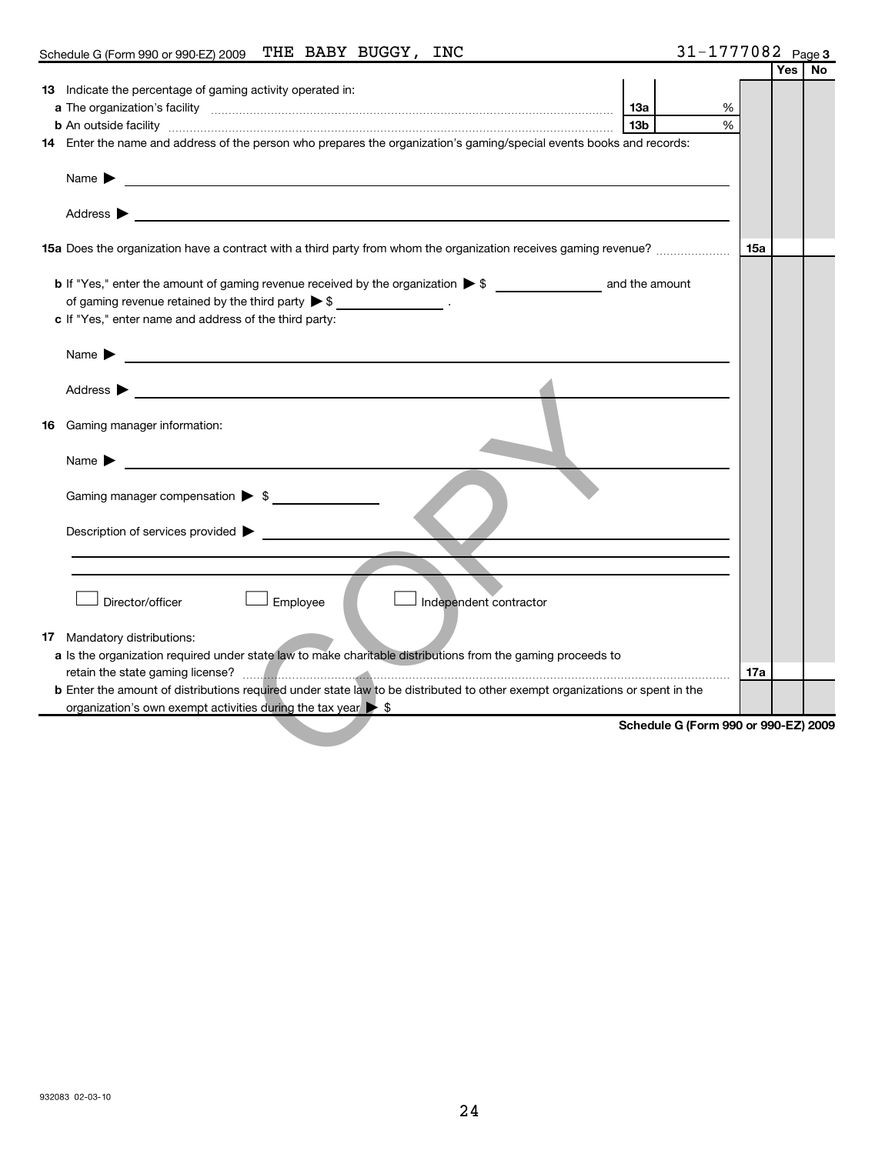#### Schedule G (Form 990 or 990-EZ) 2009 FTHE BABY BUGGY, INC  $31-1777082$  Page

#### **3**

|                                                                                                                                                                                                                                           |                                      |            | Yes | No |
|-------------------------------------------------------------------------------------------------------------------------------------------------------------------------------------------------------------------------------------------|--------------------------------------|------------|-----|----|
| <b>13</b> Indicate the percentage of gaming activity operated in:                                                                                                                                                                         |                                      |            |     |    |
| a The organization's facility measurement contained a strategy of the contract of the contract of the contract of the contract of the contract of the contract of the contract of the contract of the contract of the contract            |                                      | %          |     |    |
| <b>b</b> An outside facility <b>with the contract of the contract of the contract of the contract of the contract of the contract of the contract of the contract of the contract of the contract of the contract of the contract of </b> | 13 <sub>b</sub>                      | %          |     |    |
| 14 Enter the name and address of the person who prepares the organization's gaming/special events books and records:                                                                                                                      |                                      |            |     |    |
|                                                                                                                                                                                                                                           |                                      |            |     |    |
| Name $\blacktriangleright$                                                                                                                                                                                                                |                                      |            |     |    |
|                                                                                                                                                                                                                                           |                                      |            |     |    |
| Address $\blacktriangleright$<br><u> 1989 - Johann Barbara, martxa alemaniar argumento este alemaniar alemaniar alemaniar alemaniar alemaniar al</u>                                                                                      |                                      |            |     |    |
|                                                                                                                                                                                                                                           |                                      |            |     |    |
| 15a Does the organization have a contract with a third party from whom the organization receives gaming revenue?                                                                                                                          |                                      | <b>15a</b> |     |    |
|                                                                                                                                                                                                                                           |                                      |            |     |    |
|                                                                                                                                                                                                                                           |                                      |            |     |    |
| of gaming revenue retained by the third party $\triangleright$ \$ _________________.                                                                                                                                                      |                                      |            |     |    |
| c If "Yes," enter name and address of the third party:                                                                                                                                                                                    |                                      |            |     |    |
|                                                                                                                                                                                                                                           |                                      |            |     |    |
| Name $\blacktriangleright$                                                                                                                                                                                                                |                                      |            |     |    |
| Address $\blacktriangleright$                                                                                                                                                                                                             |                                      |            |     |    |
| <u> 1989 - Johann Barbara, martxa alemaniar arg</u>                                                                                                                                                                                       |                                      |            |     |    |
| 16 Gaming manager information:                                                                                                                                                                                                            |                                      |            |     |    |
|                                                                                                                                                                                                                                           |                                      |            |     |    |
| Name $\blacktriangleright$<br><u> 1989 - Johann John Stone, markin f</u>                                                                                                                                                                  |                                      |            |     |    |
|                                                                                                                                                                                                                                           |                                      |            |     |    |
| Gaming manager compensation > \$                                                                                                                                                                                                          |                                      |            |     |    |
|                                                                                                                                                                                                                                           |                                      |            |     |    |
| Description of services provided $\blacktriangleright$                                                                                                                                                                                    |                                      |            |     |    |
|                                                                                                                                                                                                                                           |                                      |            |     |    |
|                                                                                                                                                                                                                                           |                                      |            |     |    |
|                                                                                                                                                                                                                                           |                                      |            |     |    |
| Director/officer<br>Employee<br>Independent contractor                                                                                                                                                                                    |                                      |            |     |    |
|                                                                                                                                                                                                                                           |                                      |            |     |    |
| <b>17</b> Mandatory distributions:                                                                                                                                                                                                        |                                      |            |     |    |
| a Is the organization required under state law to make charitable distributions from the gaming proceeds to                                                                                                                               |                                      |            |     |    |
|                                                                                                                                                                                                                                           |                                      | 17a        |     |    |
| <b>b</b> Enter the amount of distributions required under state law to be distributed to other exempt organizations or spent in the                                                                                                       |                                      |            |     |    |
| organization's own exempt activities during the tax year $\triangleright$ \$                                                                                                                                                              |                                      |            |     |    |
|                                                                                                                                                                                                                                           | Schedule G (Form 990 or 990-EZ) 2009 |            |     |    |
|                                                                                                                                                                                                                                           |                                      |            |     |    |
|                                                                                                                                                                                                                                           |                                      |            |     |    |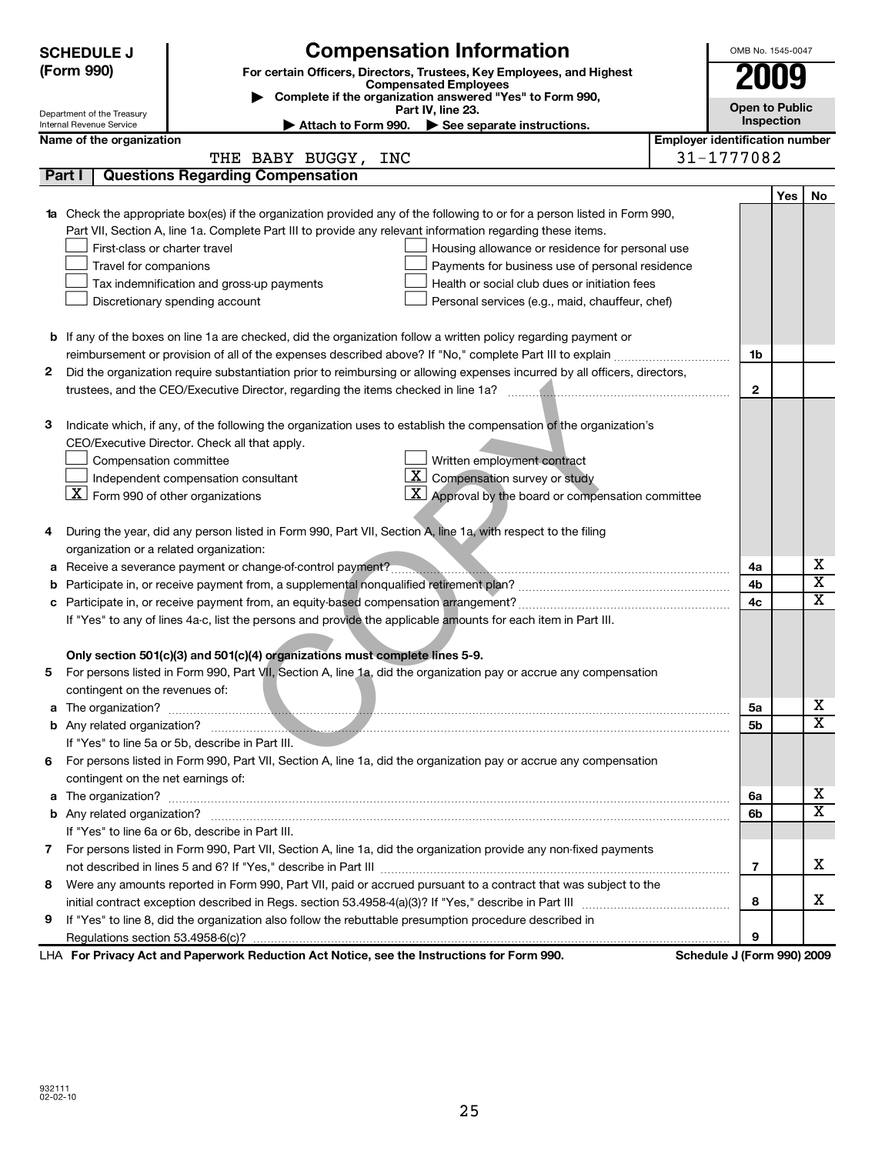| <b>SCHEDULE J</b><br>(Form 990) | <b>Compensation Information</b><br>For certain Officers, Directors, Trustees, Key Employees, and Highest<br><b>Compensated Employees</b><br>Complete if the organization answered "Yes" to Form 990, | OMB No. 1545-0047<br>2009             |                              |
|---------------------------------|------------------------------------------------------------------------------------------------------------------------------------------------------------------------------------------------------|---------------------------------------|------------------------------|
| Department of the Treasury      | Part IV, line 23.                                                                                                                                                                                    | <b>Open to Public</b>                 |                              |
| Internal Revenue Service        | Attach to Form 990. See separate instructions.                                                                                                                                                       | Inspection                            |                              |
| Name of the organization        |                                                                                                                                                                                                      | <b>Employer identification number</b> |                              |
|                                 | THE BABY BUGGY, INC                                                                                                                                                                                  | 31-1777082                            |                              |
| Part I                          | <b>Questions Regarding Compensation</b>                                                                                                                                                              |                                       |                              |
|                                 |                                                                                                                                                                                                      |                                       | Yes<br>No.                   |
|                                 | 1a Check the appropriate box(es) if the organization provided any of the following to or for a person listed in Form 990,                                                                            |                                       |                              |
|                                 | Part VII, Section A, line 1a. Complete Part III to provide any relevant information regarding these items.                                                                                           |                                       |                              |
|                                 | First-class or charter travel<br>Housing allowance or residence for personal use                                                                                                                     |                                       |                              |
|                                 | Travel for companions<br>Payments for business use of personal residence<br>Tax indemnification and gross-up payments<br>Health or social club dues or initiation fees                               |                                       |                              |
|                                 | Discretionary spending account<br>Personal services (e.g., maid, chauffeur, chef)                                                                                                                    |                                       |                              |
|                                 |                                                                                                                                                                                                      |                                       |                              |
|                                 | <b>b</b> If any of the boxes on line 1a are checked, did the organization follow a written policy regarding payment or                                                                               |                                       |                              |
|                                 |                                                                                                                                                                                                      | 1b                                    |                              |
| 2                               | Did the organization require substantiation prior to reimbursing or allowing expenses incurred by all officers, directors,                                                                           |                                       |                              |
|                                 |                                                                                                                                                                                                      | $\mathbf{2}$                          |                              |
|                                 |                                                                                                                                                                                                      |                                       |                              |
| з                               | Indicate which, if any, of the following the organization uses to establish the compensation of the organization's                                                                                   |                                       |                              |
|                                 | CEO/Executive Director. Check all that apply.                                                                                                                                                        |                                       |                              |
|                                 | Written employment contract<br>Compensation committee                                                                                                                                                |                                       |                              |
|                                 | $\mathbf{X}$ Compensation survey or study<br>Independent compensation consultant                                                                                                                     |                                       |                              |
|                                 | $\underline{\mathbf{X}}$ Form 990 of other organizations<br>$\boxed{\text{X}}$ Approval by the board or compensation committee                                                                       |                                       |                              |
|                                 |                                                                                                                                                                                                      |                                       |                              |
| 4                               | During the year, did any person listed in Form 990, Part VII, Section A, line 1a, with respect to the filing                                                                                         |                                       |                              |
|                                 | organization or a related organization:                                                                                                                                                              |                                       |                              |
|                                 | a Receive a severance payment or change-of-control payment?<br>a Receive a severance payment or change-of-control payment?                                                                           | 4a                                    | х                            |
| b                               |                                                                                                                                                                                                      | 4b                                    | $\overline{\textbf{x}}$      |
|                                 |                                                                                                                                                                                                      | 4c                                    | $\overline{\mathtt{x}}$      |
|                                 | If "Yes" to any of lines 4a-c, list the persons and provide the applicable amounts for each item in Part III.                                                                                        |                                       |                              |
|                                 |                                                                                                                                                                                                      |                                       |                              |
|                                 | Only section 501(c)(3) and 501(c)(4) organizations must complete lines 5-9.                                                                                                                          |                                       |                              |
| 5                               | For persons listed in Form 990, Part VII, Section A, line 1a, did the organization pay or accrue any compensation                                                                                    |                                       |                              |
|                                 | contingent on the revenues of:                                                                                                                                                                       |                                       |                              |
|                                 |                                                                                                                                                                                                      | 5a                                    | x                            |
|                                 |                                                                                                                                                                                                      | 5b                                    | $\overline{\mathtt{x}}$      |
|                                 | If "Yes" to line 5a or 5b, describe in Part III.                                                                                                                                                     |                                       |                              |
| 6.                              | For persons listed in Form 990, Part VII, Section A, line 1a, did the organization pay or accrue any compensation                                                                                    |                                       |                              |
|                                 | contingent on the net earnings of:                                                                                                                                                                   |                                       |                              |
|                                 |                                                                                                                                                                                                      | 6a                                    | x<br>$\overline{\mathtt{x}}$ |
|                                 |                                                                                                                                                                                                      | 6b                                    |                              |
|                                 | If "Yes" to line 6a or 6b, describe in Part III.                                                                                                                                                     |                                       |                              |
|                                 | 7 For persons listed in Form 990, Part VII, Section A, line 1a, did the organization provide any non-fixed payments                                                                                  |                                       |                              |
|                                 |                                                                                                                                                                                                      | 7                                     | x                            |
| 8                               | Were any amounts reported in Form 990, Part VII, paid or accrued pursuant to a contract that was subject to the                                                                                      |                                       |                              |
|                                 |                                                                                                                                                                                                      | 8                                     | x.                           |
| 9                               | If "Yes" to line 8, did the organization also follow the rebuttable presumption procedure described in                                                                                               |                                       |                              |
|                                 |                                                                                                                                                                                                      | 9                                     |                              |
|                                 | LHA For Privacy Act and Paperwork Reduction Act Notice, see the Instructions for Form 990.                                                                                                           | Schedule J (Form 990) 2009            |                              |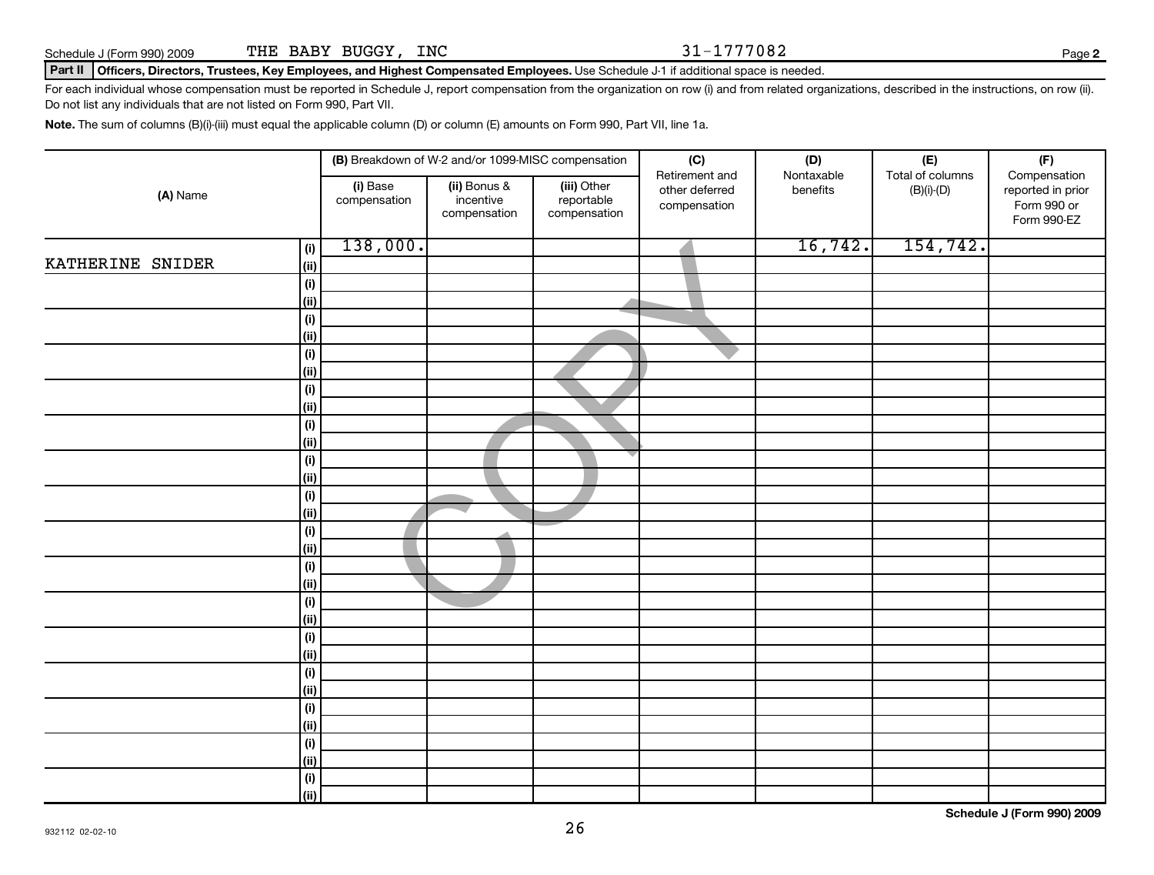Schedule J (Form 990) 2009 THE BABY BUGGY, INC 31-1777082 Page

#### **Part II Officers, Directors, Trustees, Key Employees, and Highest Compensated Employees.**  Use Schedule J-1 if additional space is needed.

For each individual whose compensation must be reported in Schedule J, report compensation from the organization on row (i) and from related organizations, described in the instructions, on row (ii). Do not list any individuals that are not listed on Form 990, Part VII.

**Note.**  The sum of columns (B)(i)-(iii) must equal the applicable column (D) or column (E) amounts on Form 990, Part VII, line 1a.

|                  |                                      |                          | (B) Breakdown of W-2 and/or 1099-MISC compensation |                                           | (C)                                              | (D)                    | (E)<br>Total of columns | (F)<br>Compensation                             |
|------------------|--------------------------------------|--------------------------|----------------------------------------------------|-------------------------------------------|--------------------------------------------------|------------------------|-------------------------|-------------------------------------------------|
| (A) Name         |                                      | (i) Base<br>compensation | (ii) Bonus &<br>incentive<br>compensation          | (iii) Other<br>reportable<br>compensation | Retirement and<br>other deferred<br>compensation | Nontaxable<br>benefits | $(B)(i)-(D)$            | reported in prior<br>Form 990 or<br>Form 990-EZ |
|                  | (i)                                  | 138,000.                 |                                                    |                                           |                                                  | 16,742.                | 154, 742.               |                                                 |
| KATHERINE SNIDER | (ii)                                 |                          |                                                    |                                           |                                                  |                        |                         |                                                 |
|                  | $(i)$                                |                          |                                                    |                                           |                                                  |                        |                         |                                                 |
|                  | (ii)                                 |                          |                                                    |                                           |                                                  |                        |                         |                                                 |
|                  | $\qquad \qquad \textbf{(i)}$         |                          |                                                    |                                           |                                                  |                        |                         |                                                 |
|                  | (ii)                                 |                          |                                                    |                                           |                                                  |                        |                         |                                                 |
|                  | $\qquad \qquad \textbf{(i)}$         |                          |                                                    |                                           |                                                  |                        |                         |                                                 |
|                  | (ii)                                 |                          |                                                    |                                           |                                                  |                        |                         |                                                 |
|                  | (i)                                  |                          |                                                    |                                           |                                                  |                        |                         |                                                 |
|                  | (ii)                                 |                          |                                                    |                                           |                                                  |                        |                         |                                                 |
|                  | (i)                                  |                          |                                                    |                                           |                                                  |                        |                         |                                                 |
|                  | (ii)                                 |                          |                                                    |                                           |                                                  |                        |                         |                                                 |
|                  | (i)                                  |                          |                                                    |                                           |                                                  |                        |                         |                                                 |
|                  | (ii)                                 |                          |                                                    |                                           |                                                  |                        |                         |                                                 |
|                  | $\qquad \qquad \textbf{(i)}$         |                          |                                                    |                                           |                                                  |                        |                         |                                                 |
|                  | (ii)                                 |                          |                                                    |                                           |                                                  |                        |                         |                                                 |
|                  | (i)                                  |                          |                                                    |                                           |                                                  |                        |                         |                                                 |
|                  | (ii)                                 |                          |                                                    |                                           |                                                  |                        |                         |                                                 |
|                  | (i)                                  |                          |                                                    |                                           |                                                  |                        |                         |                                                 |
|                  | (ii)                                 |                          |                                                    |                                           |                                                  |                        |                         |                                                 |
|                  | (i)                                  |                          |                                                    |                                           |                                                  |                        |                         |                                                 |
|                  | (ii)                                 |                          |                                                    |                                           |                                                  |                        |                         |                                                 |
|                  | (i)                                  |                          |                                                    |                                           |                                                  |                        |                         |                                                 |
|                  | (ii)                                 |                          |                                                    |                                           |                                                  |                        |                         |                                                 |
|                  | $\qquad \qquad \textbf{(i)}$         |                          |                                                    |                                           |                                                  |                        |                         |                                                 |
|                  | (ii)                                 |                          |                                                    |                                           |                                                  |                        |                         |                                                 |
|                  | (i)                                  |                          |                                                    |                                           |                                                  |                        |                         |                                                 |
|                  | (ii)                                 |                          |                                                    |                                           |                                                  |                        |                         |                                                 |
|                  | (i)<br>(ii)                          |                          |                                                    |                                           |                                                  |                        |                         |                                                 |
|                  |                                      |                          |                                                    |                                           |                                                  |                        |                         |                                                 |
|                  | $\qquad \qquad \textbf{(i)}$<br>(ii) |                          |                                                    |                                           |                                                  |                        |                         |                                                 |
|                  |                                      |                          |                                                    |                                           |                                                  |                        |                         |                                                 |

**Schedule J (Form 990) 2009**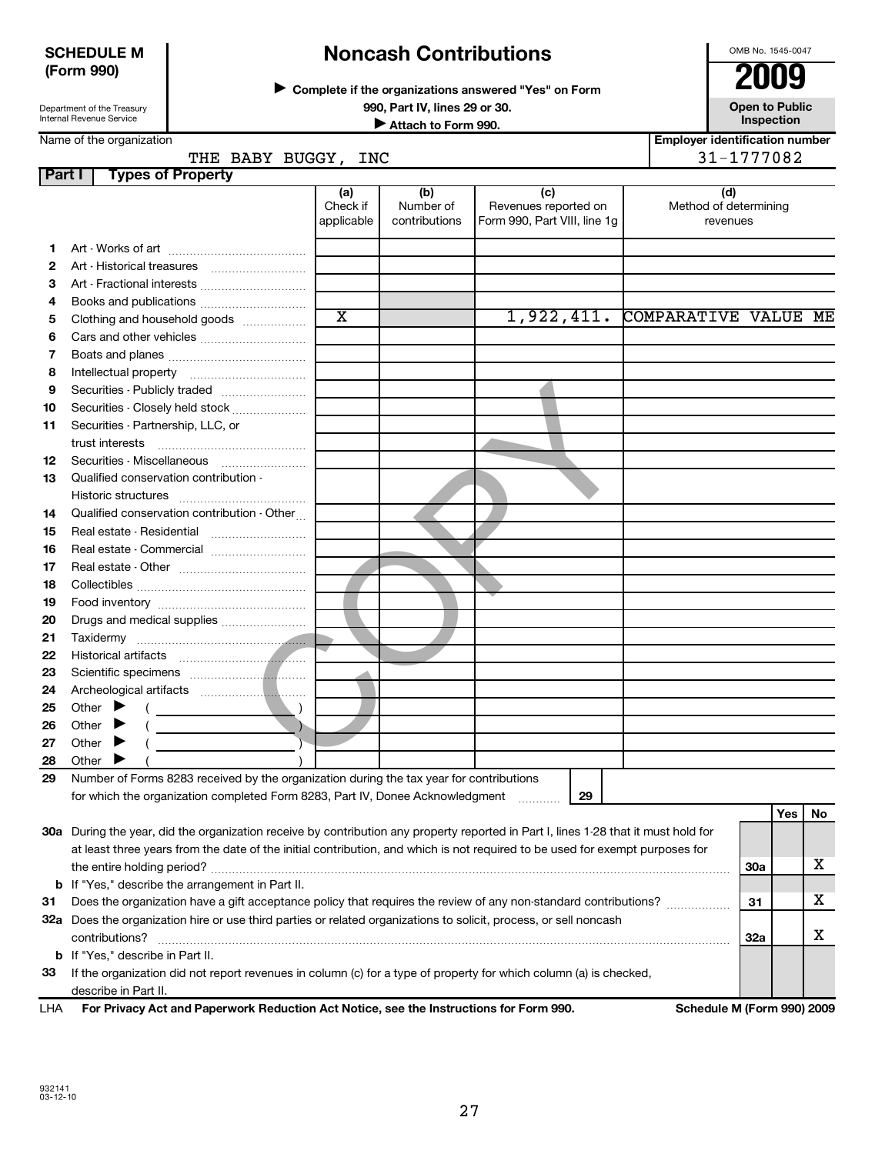#### **SCHEDULE M (Form 990)**

## **Noncash Contributions**

**Complete if the organizations answered "Yes" on Form** <sup>J</sup>**2009**

**Inspection Inspection Inspection Inspection Inspection** 

**990, Part IV, lines 29 or 30. Open to Public Unspection**<br> **■** Attach to Form 990

**Employer identification number**

## Department of the Treasury Internal Revenue Service

Name of the organization

#### **Part I Types of Property** THE BABY BUGGY, INC 1999 120 131-1777082

| 3) | (b) |
|----|-----|

|     |                                                                                                                                     | (a)<br>Check if       | (b)<br>Number of | (c)<br>Revenues reported on  | (d)<br>Method of determining    |            |     |    |
|-----|-------------------------------------------------------------------------------------------------------------------------------------|-----------------------|------------------|------------------------------|---------------------------------|------------|-----|----|
|     |                                                                                                                                     | applicable            | contributions    | Form 990, Part VIII, line 1g | revenues                        |            |     |    |
| 1.  |                                                                                                                                     |                       |                  |                              |                                 |            |     |    |
| 2   | Art - Historical treasures                                                                                                          |                       |                  |                              |                                 |            |     |    |
| 3   |                                                                                                                                     |                       |                  |                              |                                 |            |     |    |
| 4   |                                                                                                                                     |                       |                  |                              |                                 |            |     |    |
| 5   | Clothing and household goods                                                                                                        | $\overline{\text{x}}$ |                  |                              | 1,922,411. COMPARATIVE VALUE ME |            |     |    |
| 6   |                                                                                                                                     |                       |                  |                              |                                 |            |     |    |
| 7   |                                                                                                                                     |                       |                  |                              |                                 |            |     |    |
| 8   | Intellectual property                                                                                                               |                       |                  |                              |                                 |            |     |    |
| 9   |                                                                                                                                     |                       |                  |                              |                                 |            |     |    |
| 10  | Securities - Closely held stock                                                                                                     |                       |                  |                              |                                 |            |     |    |
| 11  | Securities - Partnership, LLC, or                                                                                                   |                       |                  |                              |                                 |            |     |    |
|     |                                                                                                                                     |                       |                  |                              |                                 |            |     |    |
| 12  |                                                                                                                                     |                       |                  |                              |                                 |            |     |    |
| 13  | Qualified conservation contribution -                                                                                               |                       |                  |                              |                                 |            |     |    |
|     |                                                                                                                                     |                       |                  |                              |                                 |            |     |    |
| 14  | Qualified conservation contribution - Other                                                                                         |                       |                  |                              |                                 |            |     |    |
| 15  | Real estate - Residential                                                                                                           |                       |                  |                              |                                 |            |     |    |
| 16  | Real estate - Commercial                                                                                                            |                       |                  |                              |                                 |            |     |    |
| 17  |                                                                                                                                     |                       |                  |                              |                                 |            |     |    |
| 18  |                                                                                                                                     |                       |                  |                              |                                 |            |     |    |
| 19  |                                                                                                                                     |                       |                  |                              |                                 |            |     |    |
| 20  | Drugs and medical supplies                                                                                                          |                       |                  |                              |                                 |            |     |    |
| 21  |                                                                                                                                     |                       |                  |                              |                                 |            |     |    |
| 22  |                                                                                                                                     |                       |                  |                              |                                 |            |     |    |
| 23  |                                                                                                                                     |                       |                  |                              |                                 |            |     |    |
| 24  |                                                                                                                                     |                       |                  |                              |                                 |            |     |    |
| 25  | Other $\blacktriangleright$                                                                                                         |                       |                  |                              |                                 |            |     |    |
| 26  | Other                                                                                                                               |                       |                  |                              |                                 |            |     |    |
| 27  | Other<br>▸                                                                                                                          |                       |                  |                              |                                 |            |     |    |
| 28  | Other                                                                                                                               |                       |                  |                              |                                 |            |     |    |
| 29  | Number of Forms 8283 received by the organization during the tax year for contributions                                             |                       |                  |                              |                                 |            |     |    |
|     | for which the organization completed Form 8283, Part IV, Donee Acknowledgment                                                       |                       |                  | 29                           |                                 |            |     |    |
|     |                                                                                                                                     |                       |                  |                              |                                 |            | Yes | No |
|     | 30a During the year, did the organization receive by contribution any property reported in Part I, lines 1-28 that it must hold for |                       |                  |                              |                                 |            |     |    |
|     | at least three years from the date of the initial contribution, and which is not required to be used for exempt purposes for        |                       |                  |                              |                                 |            |     |    |
|     | the entire holding period?                                                                                                          |                       |                  |                              |                                 | <b>30a</b> |     | х  |
|     | <b>b</b> If "Yes," describe the arrangement in Part II.                                                                             |                       |                  |                              |                                 |            |     |    |
| 31  | Does the organization have a gift acceptance policy that requires the review of any non-standard contributions?                     |                       |                  |                              |                                 | 31         |     | х  |
|     | 32a Does the organization hire or use third parties or related organizations to solicit, process, or sell noncash                   |                       |                  |                              |                                 |            |     |    |
|     | contributions?                                                                                                                      |                       |                  |                              |                                 | 32a        |     | х  |
|     | <b>b</b> If "Yes," describe in Part II.                                                                                             |                       |                  |                              |                                 |            |     |    |
| 33  | If the organization did not report revenues in column (c) for a type of property for which column (a) is checked,                   |                       |                  |                              |                                 |            |     |    |
|     | describe in Part II.                                                                                                                |                       |                  |                              |                                 |            |     |    |
| LHA | For Privacy Act and Paperwork Reduction Act Notice, see the Instructions for Form 990.                                              |                       |                  |                              | Schedule M (Form 990) 2009      |            |     |    |

OMB No. 1545-0047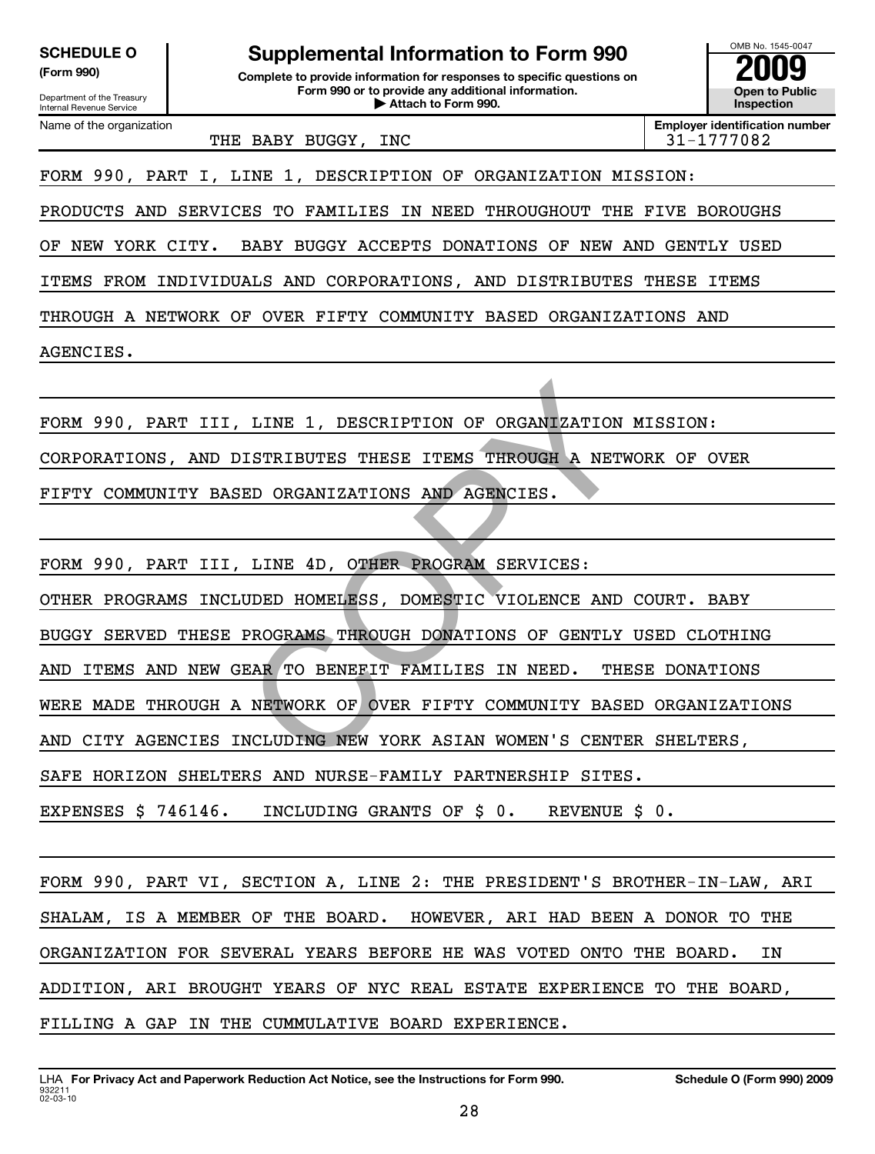| <b>SCHEDULE O</b> |  |
|-------------------|--|
|-------------------|--|

Department of the Treasury Internal Revenue Service

**(Form 990) Complete to provide information for responses to specific questions on Form 990 or to provide any additional information. | Attach to Form 990. Open to Public Supplemental Information to Form 990**<br> **Supplemental Information** for responses to specific questions on<br>
Form 990 or to provide any additional information.<br> **2009**<br> **Examplemental Propential Propential Propential Propent** 

**Inspection**

OMB No. 1545-0047

Name of the organization

**Employer identification number** THE BABY BUGGY, INC  $\vert$  31-1777082

FORM 990, PART I, LINE 1, DESCRIPTION OF ORGANIZATION MISSION:

PRODUCTS AND SERVICES TO FAMILIES IN NEED THROUGHOUT THE FIVE BOROUGHS

OF NEW YORK CITY. BABY BUGGY ACCEPTS DONATIONS OF NEW AND GENTLY USED

ITEMS FROM INDIVIDUALS AND CORPORATIONS, AND DISTRIBUTES THESE ITEMS

THROUGH A NETWORK OF OVER FIFTY COMMUNITY BASED ORGANIZATIONS AND

AGENCIES.

FORM 990, PART III, LINE 1, DESCRIPTION OF ORGANIZATION MISSION:

CORPORATIONS, AND DISTRIBUTES THESE ITEMS THROUGH A NETWORK OF OVER

FIFTY COMMUNITY BASED ORGANIZATIONS AND AGENCIES.

LINE 1, DESCRIPTION OF ORGANIZATION<br>ISTRIBUTES THESE ITEMS THROUGH A NETW<br>ED ORGANIZATIONS AND AGENCIES.<br>LINE 4D, OTHER PROGRAM SERVICES:<br>UDED HOMELESS, DOMESTIC VIOLENCE AND<br>PROGRAMS THROUGH DONATIONS OF GENTLY<br>EAR TO BEN FORM 990, PART III, LINE 4D, OTHER PROGRAM SERVICES: OTHER PROGRAMS INCLUDED HOMELESS, DOMESTIC VIOLENCE AND COURT. BABY BUGGY SERVED THESE PROGRAMS THROUGH DONATIONS OF GENTLY USED CLOTHING AND ITEMS AND NEW GEAR TO BENEFIT FAMILIES IN NEED. THESE DONATIONS WERE MADE THROUGH A NETWORK OF OVER FIFTY COMMUNITY BASED ORGANIZATIONS AND CITY AGENCIES INCLUDING NEW YORK ASIAN WOMEN'S CENTER SHELTERS, SAFE HORIZON SHELTERS AND NURSE-FAMILY PARTNERSHIP SITES. EXPENSES \$ 746146. INCLUDING GRANTS OF \$ 0. REVENUE \$ 0.

FORM 990, PART VI, SECTION A, LINE 2: THE PRESIDENT'S BROTHER-IN-LAW, ARI SHALAM, IS A MEMBER OF THE BOARD. HOWEVER, ARI HAD BEEN A DONOR TO THE ORGANIZATION FOR SEVERAL YEARS BEFORE HE WAS VOTED ONTO THE BOARD. IN ADDITION, ARI BROUGHT YEARS OF NYC REAL ESTATE EXPERIENCE TO THE BOARD, FILLING A GAP IN THE CUMMULATIVE BOARD EXPERIENCE.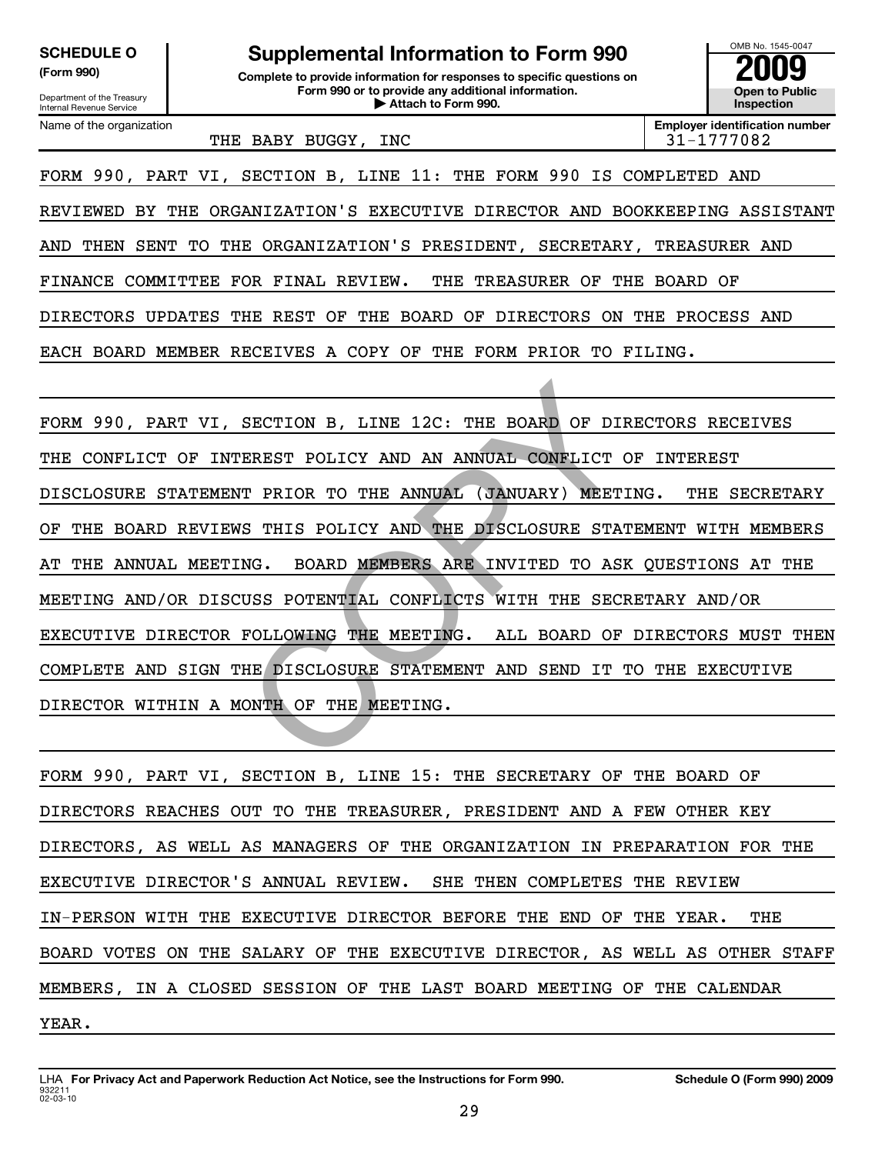Department of the Treasury Internal Revenue Service

**(Form 990) Complete to provide information for responses to specific questions on Form 990 or to provide any additional information. | Attach to Form 990. Open to Public** SCHEDULE O<br> **Supplemental Information to Form 990**<br> **Supplemental Information for responses to specific questions on**<br> **Experimental Scheper to Public**<br> **Experimental Scheper to Public**<br> **Experimental Scheper to Public** 



Name of the organization

**Employer identification number** THE BABY BUGGY, INC  $\vert$  31-1777082

FORM 990, PART VI, SECTION B, LINE 11: THE FORM 990 IS COMPLETED AND

REVIEWED BY THE ORGANIZATION'S EXECUTIVE DIRECTOR AND BOOKKEEPING ASSISTANT

AND THEN SENT TO THE ORGANIZATION'S PRESIDENT, SECRETARY, TREASURER AND

FINANCE COMMITTEE FOR FINAL REVIEW. THE TREASURER OF THE BOARD OF

DIRECTORS UPDATES THE REST OF THE BOARD OF DIRECTORS ON THE PROCESS AND

EACH BOARD MEMBER RECEIVES A COPY OF THE FORM PRIOR TO FILING.

SECTION B, LINE 12C: THE BOARD OF DIR<br>EREST POLICY AND AN ANNUAL CONFLICT C<br>T PRIOR TO THE ANNUAL (JANUARY) MEETI<br>S THIS POLICY AND THE DISCLOSURE STAT<br>NG. BOARD MEMBERS ARE INVITED TO ASK<br>USS POTENTIAL CONFLICTS WITH THE FORM 990, PART VI, SECTION B, LINE 12C: THE BOARD OF DIRECTORS RECEIVES THE CONFLICT OF INTEREST POLICY AND AN ANNUAL CONFLICT OF INTEREST DISCLOSURE STATEMENT PRIOR TO THE ANNUAL (JANUARY) MEETING. THE SECRETARY OF THE BOARD REVIEWS THIS POLICY AND THE DISCLOSURE STATEMENT WITH MEMBERS AT THE ANNUAL MEETING. BOARD MEMBERS ARE INVITED TO ASK QUESTIONS AT THE MEETING AND/OR DISCUSS POTENTIAL CONFLICTS WITH THE SECRETARY AND/OR EXECUTIVE DIRECTOR FOLLOWING THE MEETING. ALL BOARD OF DIRECTORS MUST THEN COMPLETE AND SIGN THE DISCLOSURE STATEMENT AND SEND IT TO THE EXECUTIVE DIRECTOR WITHIN A MONTH OF THE MEETING.

FORM 990, PART VI, SECTION B, LINE 15: THE SECRETARY OF THE BOARD OF DIRECTORS REACHES OUT TO THE TREASURER, PRESIDENT AND A FEW OTHER KEY DIRECTORS, AS WELL AS MANAGERS OF THE ORGANIZATION IN PREPARATION FOR THE EXECUTIVE DIRECTOR'S ANNUAL REVIEW. SHE THEN COMPLETES THE REVIEW IN-PERSON WITH THE EXECUTIVE DIRECTOR BEFORE THE END OF THE YEAR. THE BOARD VOTES ON THE SALARY OF THE EXECUTIVE DIRECTOR, AS WELL AS OTHER STAFF MEMBERS, IN A CLOSED SESSION OF THE LAST BOARD MEETING OF THE CALENDAR YEAR.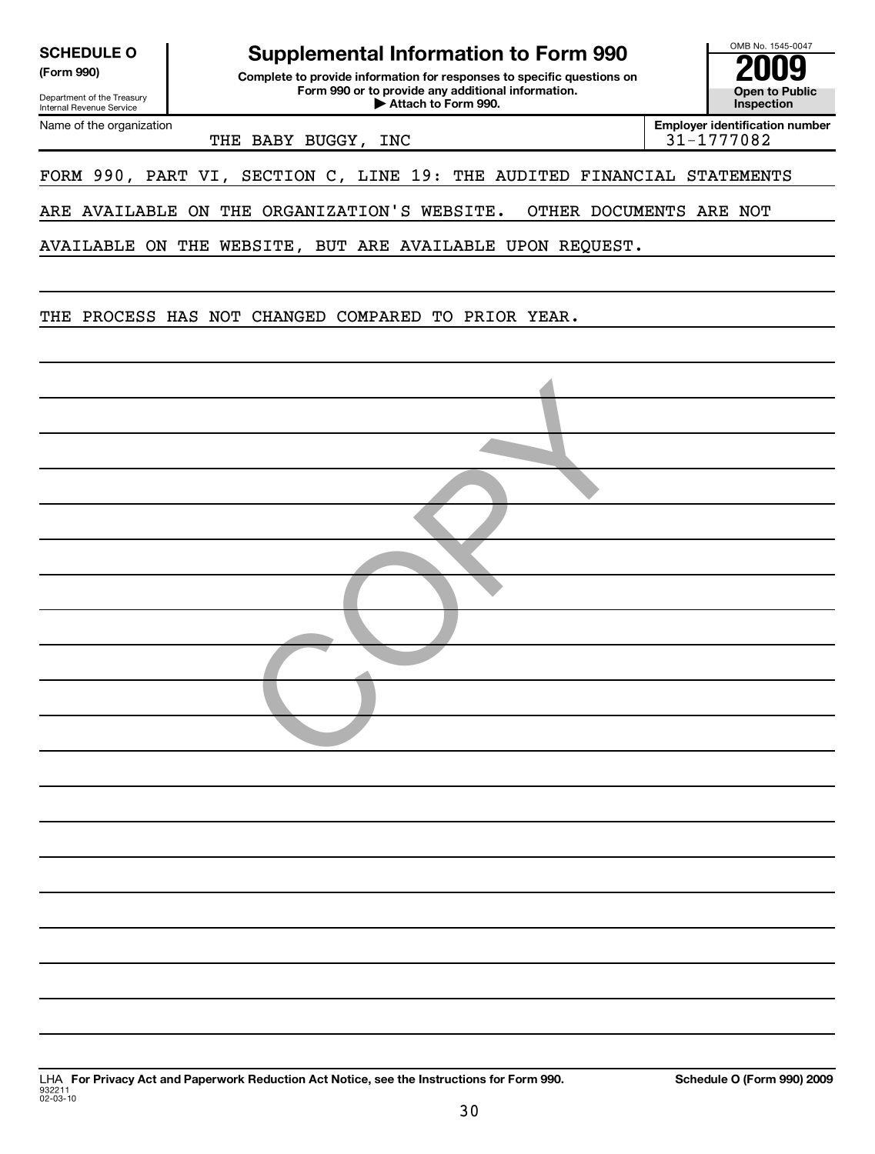| <b>SCHEDULE O</b> |
|-------------------|
|-------------------|

**(Form 990) Complete to provide information for responses to specific questions on Form 990 or to provide any additional information. | Attach to Form 990. Open to Public Supplemental Information to Form 990**<br>
Form 990 or to provide any additional information.<br> **2009 2009 2009 2009 2009 2009 2009 2009 2009 2009 2009 2009 2009 2009 2009 2009 2009 2009 200** 

Department of the Treasury Internal Revenue Service Name of the organization

#### **Inspection Employer identification number**

OMB No. 1545-0047

THE BABY BUGGY, INC 31-1777082

#### FORM 990, PART VI, SECTION C, LINE 19: THE AUDITED FINANCIAL STATEMENTS

### ARE AVAILABLE ON THE ORGANIZATION'S WEBSITE. OTHER DOCUMENTS ARE NOT

### AVAILABLE ON THE WEBSITE, BUT ARE AVAILABLE UPON REQUEST.

THE PROCESS HAS NOT CHANGED COMPARED TO PRIOR YEAR.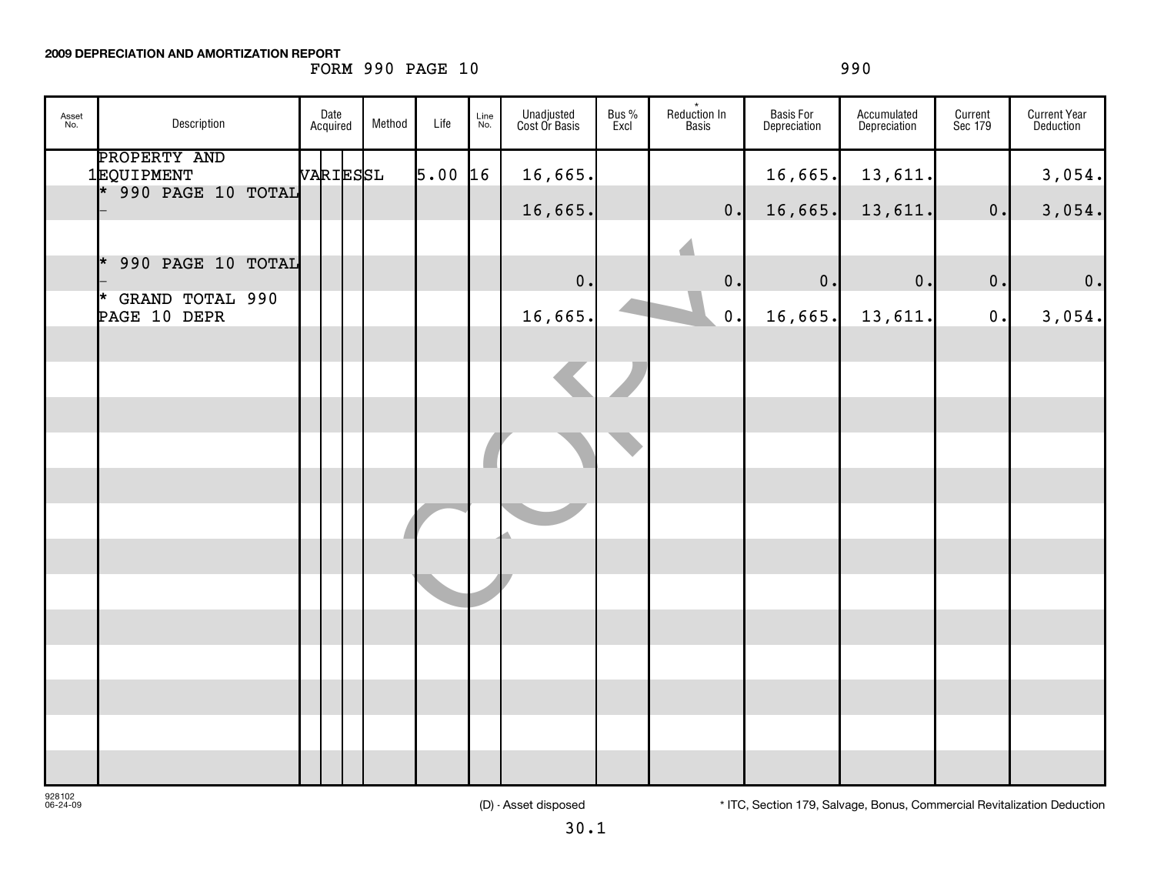**2009 DEPRECIATION AND AMORTIZATION REPORT**

#### FORM 990 PAGE 10 990

| Asset<br>No. | Description                                       | Date<br>Acquired | Method | Life | Line<br>No. | Unadjusted<br>Cost Or Basis | Bus %<br>Excl | Reduction In<br>Basis | Basis For<br>Depreciation | Accumulated<br>Depreciation | Current<br>Sec 179 | <b>Current Year</b><br>Deduction |
|--------------|---------------------------------------------------|------------------|--------|------|-------------|-----------------------------|---------------|-----------------------|---------------------------|-----------------------------|--------------------|----------------------------------|
|              | PROPERTY AND<br>1EQUIPMENT<br>* 990 PAGE 10 TOTAL | VARIESSL         |        | 5.00 | 16          | 16,665.                     |               |                       | 16,665.                   | 13,611.                     |                    | 3,054.                           |
|              |                                                   |                  |        |      |             | 16,665.                     |               | $\mathbf 0$ .         | 16,665.                   | 13,611.                     | 0.                 | 3,054.                           |
|              | 990 PAGE 10 TOTAL<br>l*                           |                  |        |      |             | 0.                          |               | $\mathbf 0$ .         | 0.                        | 0.                          | 0.                 | $\mathbf 0$ .                    |
|              | * GRAND TOTAL 990<br>PAGE 10 DEPR                 |                  |        |      |             | 16,665.                     |               | $\mathbf 0$ .         | 16,665.                   | 13,611.                     | 0.                 | 3,054.                           |
|              |                                                   |                  |        |      |             |                             |               |                       |                           |                             |                    |                                  |
|              |                                                   |                  |        |      |             |                             |               |                       |                           |                             |                    |                                  |
|              |                                                   |                  |        |      |             |                             |               |                       |                           |                             |                    |                                  |
|              |                                                   |                  |        |      |             |                             |               |                       |                           |                             |                    |                                  |
|              |                                                   |                  |        |      |             |                             |               |                       |                           |                             |                    |                                  |
|              |                                                   |                  |        |      |             |                             |               |                       |                           |                             |                    |                                  |
|              |                                                   |                  |        |      |             |                             |               |                       |                           |                             |                    |                                  |
|              |                                                   |                  |        |      |             |                             |               |                       |                           |                             |                    |                                  |
|              |                                                   |                  |        |      |             |                             |               |                       |                           |                             |                    |                                  |
|              |                                                   |                  |        |      |             |                             |               |                       |                           |                             |                    |                                  |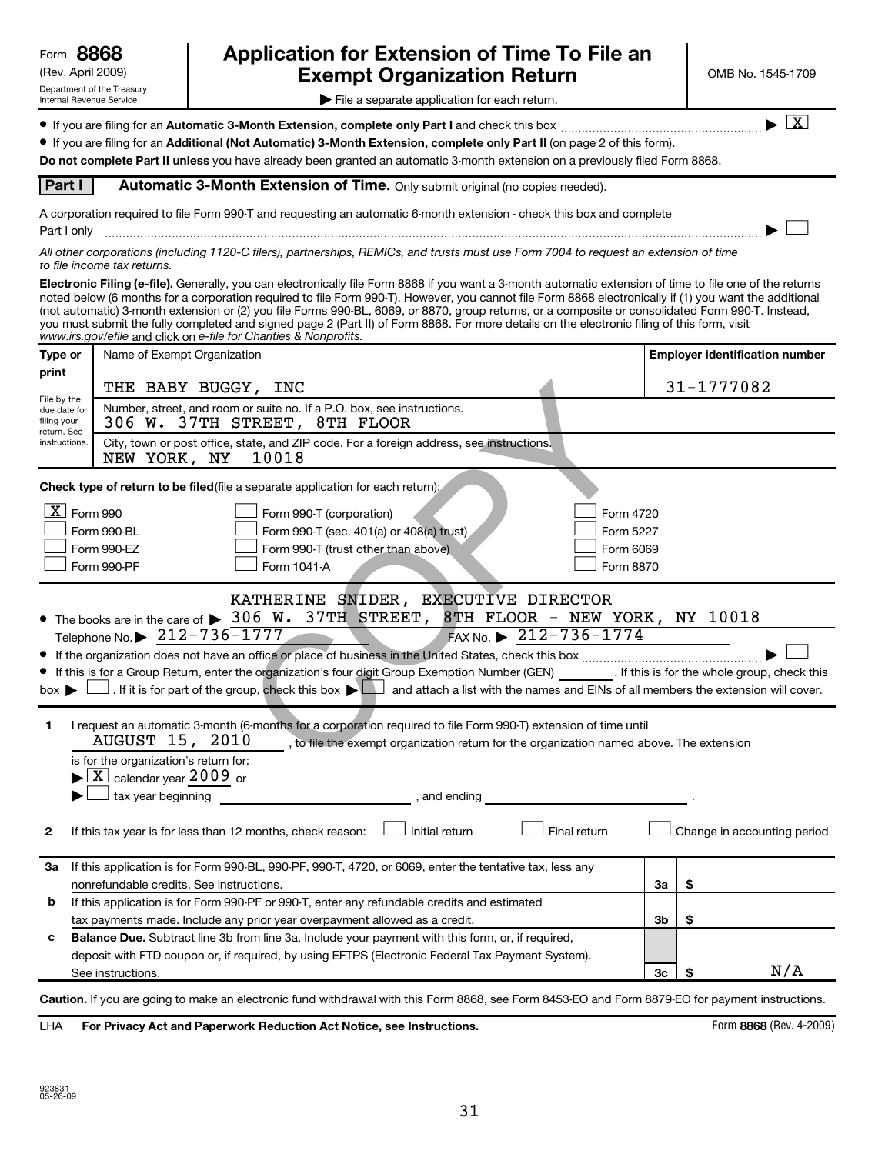| Form 8868                                              |
|--------------------------------------------------------|
| (Rev. April 2009)                                      |
| Department of the Treasury<br>Internal Revenue Service |

### (Rev. April 2009) **Cxempt Organization Return** Manus 1545-1709 **8868 Application for Extension of Time To File an**

| File a separate application for each return.

 $\lfloor x \rfloor$ 

 $\left\vert \cdot\right\vert$ 

**If you are filing for an Automatic 3-Month Extension, complete only Part I** and check this box  $\ldots$  $\ldots$  $\ldots$  $\ldots$  $\ldots$  $\ldots$ 

**• If you are filing for an Additional (Not Automatic) 3-Month Extension, complete only Part II (on page 2 of this form).** 

Do not complete Part II unless you have already been granted an automatic 3-month extension on a previously filed Form 8868.

**Part I** | Automatic 3-Month Extension of Time. Only submit original (no copies needed).

A corporation required to file Form 990-T and requesting an automatic 6-month extension - check this box and complete

Part I only ~~~~~~~~~~~~~~~~~~~~~~~~~~~~~~~~~~~~~~~~~~~~~~~~~~~~~~~~~~~~~~ |

*All other corporations (including 1120-C filers), partnerships, REMICs, and trusts must use Form 7004 to request an extension of time to file income tax returns.*

Electronic Filing (e-file). Generally, you can electronically file Form 8868 if you want a 3-month automatic extension of time to file one of the returns www.irs.gov/efile and click on e-file for Charities & Nonprofits. noted below (6 months for a corporation required to file Form 990-T). However, you cannot file Form 8868 electronically if (1) you want the additional (not automatic) 3-month extension or (2) you file Forms 990-BL, 6069, or 8870, group returns, or a composite or consolidated Form 990-T. Instead, you must submit the fully completed and signed page 2 (Part II) of Form 8868. For more details on the electronic filing of this form, visit and click on

| Type or                                                   | Name of Exempt Organization                                                                                                                                                                            |    |            | <b>Employer identification number</b> |
|-----------------------------------------------------------|--------------------------------------------------------------------------------------------------------------------------------------------------------------------------------------------------------|----|------------|---------------------------------------|
| print                                                     | THE BABY BUGGY, INC                                                                                                                                                                                    |    | 31-1777082 |                                       |
| File by the<br>due date for<br>filing your<br>return. See | Number, street, and room or suite no. If a P.O. box, see instructions.<br>306 W. 37TH STREET, 8TH FLOOR                                                                                                |    |            |                                       |
| instructions.                                             | City, town or post office, state, and ZIP code. For a foreign address, see instructions.<br>NEW YORK, NY<br>10018                                                                                      |    |            |                                       |
|                                                           | <b>Check type of return to be filed</b> (file a separate application for each return);                                                                                                                 |    |            |                                       |
|                                                           | $\overline{\textbf{X}}$ Form 990<br>Form 990-T (corporation)<br>Form 4720                                                                                                                              |    |            |                                       |
|                                                           | Form 990-BL<br>Form 990-T (sec. 401(a) or 408(a) trust)<br>Form 5227                                                                                                                                   |    |            |                                       |
|                                                           | Form 990-EZ<br>Form 990-T (trust other than above)<br>Form 6069<br>Form 990-PF<br>Form 1041-A<br>Form 8870                                                                                             |    |            |                                       |
|                                                           | KATHERINE SNIDER, EXECUTIVE DIRECTOR                                                                                                                                                                   |    |            |                                       |
|                                                           | • The books are in the care of > 306 W. 37TH STREET, 8TH FLOOR - NEW YORK, NY 10018                                                                                                                    |    |            |                                       |
|                                                           | FAX No. $\geq 212 - 736 - 1774$<br>Telephone No. $\triangleright$ 212-736-1777                                                                                                                         |    |            |                                       |
|                                                           |                                                                                                                                                                                                        |    |            |                                       |
|                                                           |                                                                                                                                                                                                        |    |            |                                       |
|                                                           | • If this is for a Group Return, enter the organization's four digit Group Exemption Number (GEN) [167]. If this is for the whole group, check this                                                    |    |            |                                       |
|                                                           | $\mathsf{box} \blacktriangleright \Box$ . If it is for part of the group, check this box $\blacktriangleright \Box$ and attach a list with the names and EINs of all members the extension will cover. |    |            |                                       |
| 1                                                         | I request an automatic 3-month (6-months for a corporation required to file Form 990-T) extension of time until                                                                                        |    |            |                                       |
|                                                           | <b>AUGUST 15, 2010</b><br>, to file the exempt organization return for the organization named above. The extension<br>is for the organization's return for:                                            |    |            |                                       |
|                                                           | $\blacktriangleright$ $\boxed{\text{X}}$ calendar year 2009 or                                                                                                                                         |    |            |                                       |
|                                                           | $\Box$ tax year beginning<br>, and ending                                                                                                                                                              |    |            |                                       |
| 2                                                         | Initial return<br>Final return<br>If this tax year is for less than 12 months, check reason:                                                                                                           |    |            | Change in accounting period           |
| За                                                        | If this application is for Form 990-BL, 990-PF, 990-T, 4720, or 6069, enter the tentative tax, less any                                                                                                |    |            |                                       |
|                                                           | nonrefundable credits. See instructions.                                                                                                                                                               | За | \$         |                                       |
| b                                                         | If this application is for Form 990-PF or 990-T, enter any refundable credits and estimated                                                                                                            |    |            |                                       |
|                                                           | tax payments made. Include any prior year overpayment allowed as a credit.                                                                                                                             | 3b | \$         |                                       |
| с                                                         | Balance Due. Subtract line 3b from line 3a. Include your payment with this form, or, if required,                                                                                                      |    |            |                                       |
|                                                           | deposit with FTD coupon or, if required, by using EFTPS (Electronic Federal Tax Payment System).<br>See instructions.                                                                                  | 3c |            | N/A                                   |

**For Privacy Act and Paperwork Reduction Act Notice, see Instructions. 8868** LHA